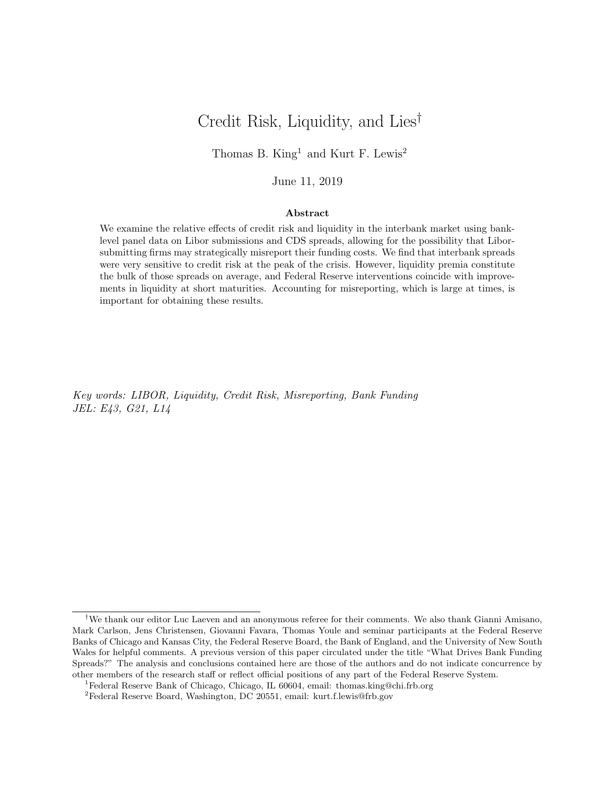## Credit Risk, Liquidity, and Lies†

Thomas B. King<sup>1</sup> and Kurt F. Lewis<sup>2</sup>

## June 11, 2019

#### Abstract

We examine the relative effects of credit risk and liquidity in the interbank market using banklevel panel data on Libor submissions and CDS spreads, allowing for the possibility that Liborsubmitting firms may strategically misreport their funding costs. We find that interbank spreads were very sensitive to credit risk at the peak of the crisis. However, liquidity premia constitute the bulk of those spreads on average, and Federal Reserve interventions coincide with improvements in liquidity at short maturities. Accounting for misreporting, which is large at times, is important for obtaining these results.

Key words: LIBOR, Liquidity, Credit Risk, Misreporting, Bank Funding JEL: E43, G21, L14

<sup>†</sup>We thank our editor Luc Laeven and an anonymous referee for their comments. We also thank Gianni Amisano, Mark Carlson, Jens Christensen, Giovanni Favara, Thomas Youle and seminar participants at the Federal Reserve Banks of Chicago and Kansas City, the Federal Reserve Board, the Bank of England, and the University of New South Wales for helpful comments. A previous version of this paper circulated under the title "What Drives Bank Funding Spreads?" The analysis and conclusions contained here are those of the authors and do not indicate concurrence by other members of the research staff or reflect official positions of any part of the Federal Reserve System.

<sup>1</sup>Federal Reserve Bank of Chicago, Chicago, IL 60604, email: thomas.king@chi.frb.org

<sup>&</sup>lt;sup>2</sup>Federal Reserve Board, Washington, DC 20551, email: kurt.f.lewis@frb.gov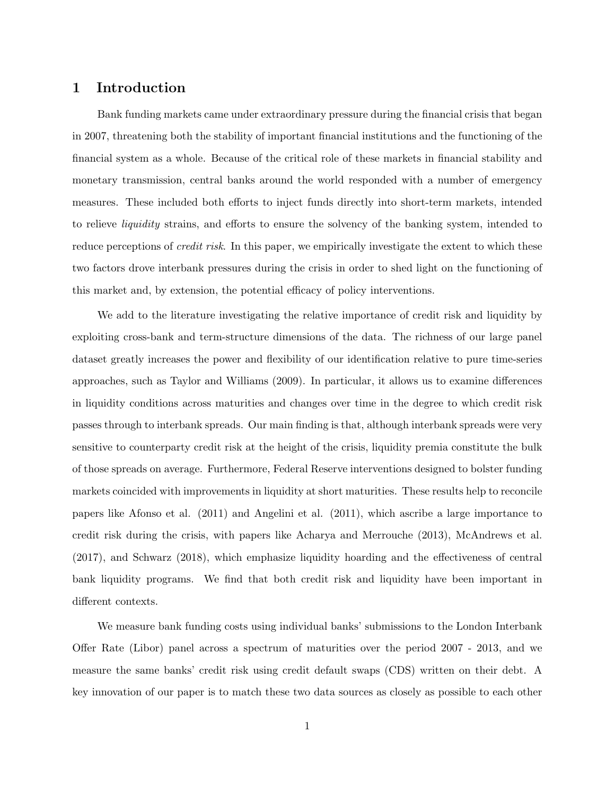## 1 Introduction

Bank funding markets came under extraordinary pressure during the financial crisis that began in 2007, threatening both the stability of important financial institutions and the functioning of the financial system as a whole. Because of the critical role of these markets in financial stability and monetary transmission, central banks around the world responded with a number of emergency measures. These included both efforts to inject funds directly into short-term markets, intended to relieve liquidity strains, and efforts to ensure the solvency of the banking system, intended to reduce perceptions of *credit risk*. In this paper, we empirically investigate the extent to which these two factors drove interbank pressures during the crisis in order to shed light on the functioning of this market and, by extension, the potential efficacy of policy interventions.

We add to the literature investigating the relative importance of credit risk and liquidity by exploiting cross-bank and term-structure dimensions of the data. The richness of our large panel dataset greatly increases the power and flexibility of our identification relative to pure time-series approaches, such as Taylor and Williams (2009). In particular, it allows us to examine differences in liquidity conditions across maturities and changes over time in the degree to which credit risk passes through to interbank spreads. Our main finding is that, although interbank spreads were very sensitive to counterparty credit risk at the height of the crisis, liquidity premia constitute the bulk of those spreads on average. Furthermore, Federal Reserve interventions designed to bolster funding markets coincided with improvements in liquidity at short maturities. These results help to reconcile papers like Afonso et al. (2011) and Angelini et al. (2011), which ascribe a large importance to credit risk during the crisis, with papers like Acharya and Merrouche (2013), McAndrews et al. (2017), and Schwarz (2018), which emphasize liquidity hoarding and the effectiveness of central bank liquidity programs. We find that both credit risk and liquidity have been important in different contexts.

We measure bank funding costs using individual banks' submissions to the London Interbank Offer Rate (Libor) panel across a spectrum of maturities over the period 2007 - 2013, and we measure the same banks' credit risk using credit default swaps (CDS) written on their debt. A key innovation of our paper is to match these two data sources as closely as possible to each other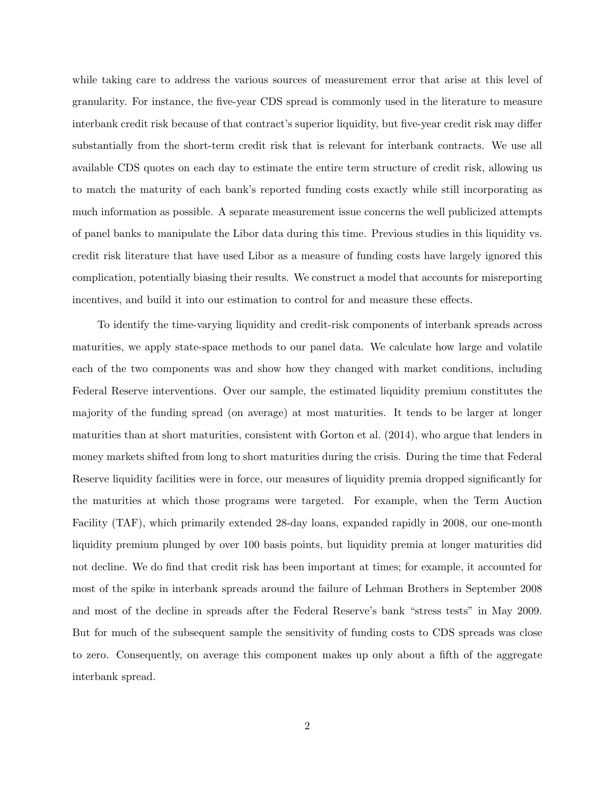while taking care to address the various sources of measurement error that arise at this level of granularity. For instance, the five-year CDS spread is commonly used in the literature to measure interbank credit risk because of that contract's superior liquidity, but five-year credit risk may differ substantially from the short-term credit risk that is relevant for interbank contracts. We use all available CDS quotes on each day to estimate the entire term structure of credit risk, allowing us to match the maturity of each bank's reported funding costs exactly while still incorporating as much information as possible. A separate measurement issue concerns the well publicized attempts of panel banks to manipulate the Libor data during this time. Previous studies in this liquidity vs. credit risk literature that have used Libor as a measure of funding costs have largely ignored this complication, potentially biasing their results. We construct a model that accounts for misreporting incentives, and build it into our estimation to control for and measure these effects.

To identify the time-varying liquidity and credit-risk components of interbank spreads across maturities, we apply state-space methods to our panel data. We calculate how large and volatile each of the two components was and show how they changed with market conditions, including Federal Reserve interventions. Over our sample, the estimated liquidity premium constitutes the majority of the funding spread (on average) at most maturities. It tends to be larger at longer maturities than at short maturities, consistent with Gorton et al. (2014), who argue that lenders in money markets shifted from long to short maturities during the crisis. During the time that Federal Reserve liquidity facilities were in force, our measures of liquidity premia dropped significantly for the maturities at which those programs were targeted. For example, when the Term Auction Facility (TAF), which primarily extended 28-day loans, expanded rapidly in 2008, our one-month liquidity premium plunged by over 100 basis points, but liquidity premia at longer maturities did not decline. We do find that credit risk has been important at times; for example, it accounted for most of the spike in interbank spreads around the failure of Lehman Brothers in September 2008 and most of the decline in spreads after the Federal Reserve's bank "stress tests" in May 2009. But for much of the subsequent sample the sensitivity of funding costs to CDS spreads was close to zero. Consequently, on average this component makes up only about a fifth of the aggregate interbank spread.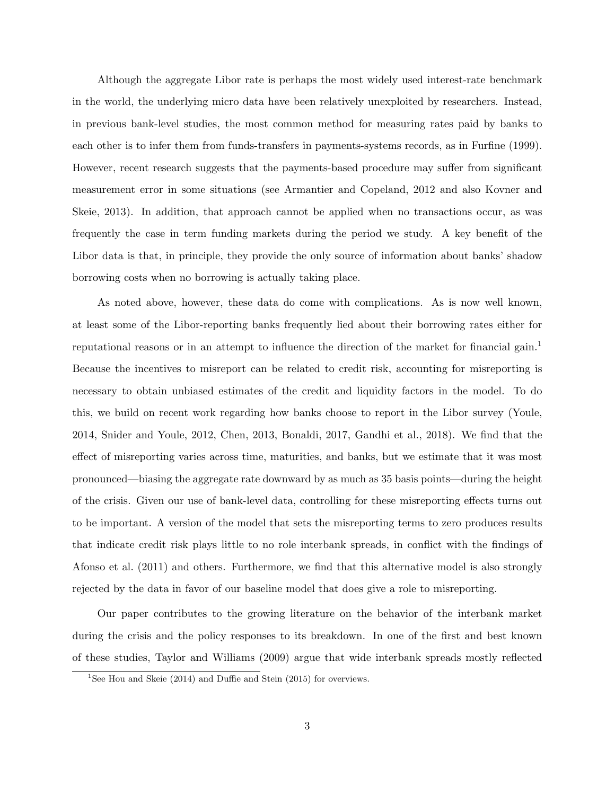Although the aggregate Libor rate is perhaps the most widely used interest-rate benchmark in the world, the underlying micro data have been relatively unexploited by researchers. Instead, in previous bank-level studies, the most common method for measuring rates paid by banks to each other is to infer them from funds-transfers in payments-systems records, as in Furfine (1999). However, recent research suggests that the payments-based procedure may suffer from significant measurement error in some situations (see Armantier and Copeland, 2012 and also Kovner and Skeie, 2013). In addition, that approach cannot be applied when no transactions occur, as was frequently the case in term funding markets during the period we study. A key benefit of the Libor data is that, in principle, they provide the only source of information about banks' shadow borrowing costs when no borrowing is actually taking place.

As noted above, however, these data do come with complications. As is now well known, at least some of the Libor-reporting banks frequently lied about their borrowing rates either for reputational reasons or in an attempt to influence the direction of the market for financial gain.<sup>1</sup> Because the incentives to misreport can be related to credit risk, accounting for misreporting is necessary to obtain unbiased estimates of the credit and liquidity factors in the model. To do this, we build on recent work regarding how banks choose to report in the Libor survey (Youle, 2014, Snider and Youle, 2012, Chen, 2013, Bonaldi, 2017, Gandhi et al., 2018). We find that the effect of misreporting varies across time, maturities, and banks, but we estimate that it was most pronounced—biasing the aggregate rate downward by as much as 35 basis points—during the height of the crisis. Given our use of bank-level data, controlling for these misreporting effects turns out to be important. A version of the model that sets the misreporting terms to zero produces results that indicate credit risk plays little to no role interbank spreads, in conflict with the findings of Afonso et al. (2011) and others. Furthermore, we find that this alternative model is also strongly rejected by the data in favor of our baseline model that does give a role to misreporting.

Our paper contributes to the growing literature on the behavior of the interbank market during the crisis and the policy responses to its breakdown. In one of the first and best known of these studies, Taylor and Williams (2009) argue that wide interbank spreads mostly reflected

<sup>&</sup>lt;sup>1</sup>See Hou and Skeie (2014) and Duffie and Stein (2015) for overviews.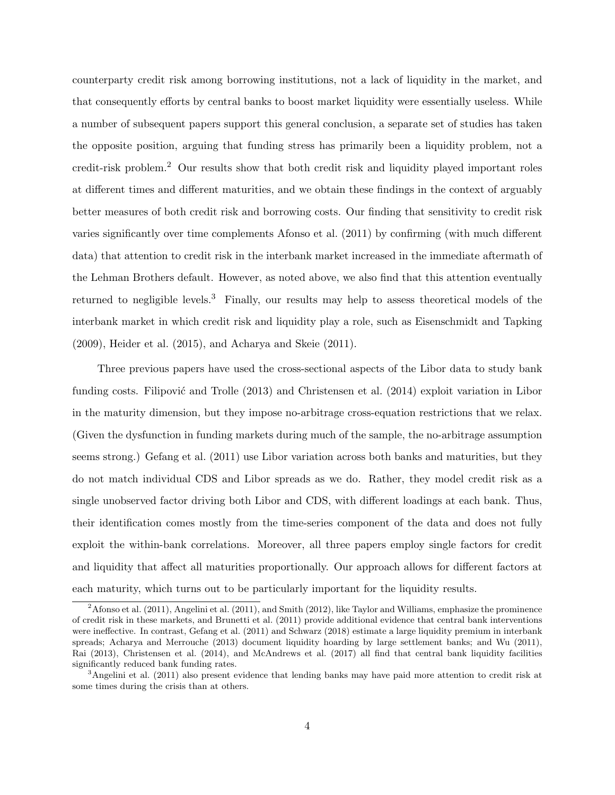counterparty credit risk among borrowing institutions, not a lack of liquidity in the market, and that consequently efforts by central banks to boost market liquidity were essentially useless. While a number of subsequent papers support this general conclusion, a separate set of studies has taken the opposite position, arguing that funding stress has primarily been a liquidity problem, not a credit-risk problem.<sup>2</sup> Our results show that both credit risk and liquidity played important roles at different times and different maturities, and we obtain these findings in the context of arguably better measures of both credit risk and borrowing costs. Our finding that sensitivity to credit risk varies significantly over time complements Afonso et al. (2011) by confirming (with much different data) that attention to credit risk in the interbank market increased in the immediate aftermath of the Lehman Brothers default. However, as noted above, we also find that this attention eventually returned to negligible levels.<sup>3</sup> Finally, our results may help to assess theoretical models of the interbank market in which credit risk and liquidity play a role, such as Eisenschmidt and Tapking (2009), Heider et al. (2015), and Acharya and Skeie (2011).

Three previous papers have used the cross-sectional aspects of the Libor data to study bank funding costs. Filipović and Trolle  $(2013)$  and Christensen et al.  $(2014)$  exploit variation in Libor in the maturity dimension, but they impose no-arbitrage cross-equation restrictions that we relax. (Given the dysfunction in funding markets during much of the sample, the no-arbitrage assumption seems strong.) Gefang et al. (2011) use Libor variation across both banks and maturities, but they do not match individual CDS and Libor spreads as we do. Rather, they model credit risk as a single unobserved factor driving both Libor and CDS, with different loadings at each bank. Thus, their identification comes mostly from the time-series component of the data and does not fully exploit the within-bank correlations. Moreover, all three papers employ single factors for credit and liquidity that affect all maturities proportionally. Our approach allows for different factors at each maturity, which turns out to be particularly important for the liquidity results.

 $2$ Afonso et al. (2011), Angelini et al. (2011), and Smith (2012), like Taylor and Williams, emphasize the prominence of credit risk in these markets, and Brunetti et al. (2011) provide additional evidence that central bank interventions were ineffective. In contrast, Gefang et al. (2011) and Schwarz (2018) estimate a large liquidity premium in interbank spreads; Acharya and Merrouche (2013) document liquidity hoarding by large settlement banks; and Wu (2011), Rai (2013), Christensen et al. (2014), and McAndrews et al. (2017) all find that central bank liquidity facilities significantly reduced bank funding rates.

<sup>&</sup>lt;sup>3</sup>Angelini et al. (2011) also present evidence that lending banks may have paid more attention to credit risk at some times during the crisis than at others.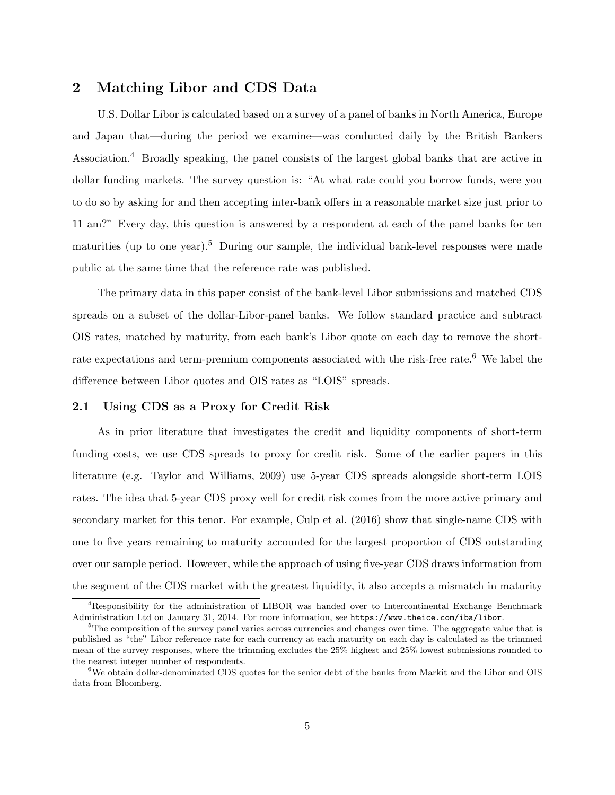## 2 Matching Libor and CDS Data

U.S. Dollar Libor is calculated based on a survey of a panel of banks in North America, Europe and Japan that—during the period we examine—was conducted daily by the British Bankers Association.<sup>4</sup> Broadly speaking, the panel consists of the largest global banks that are active in dollar funding markets. The survey question is: "At what rate could you borrow funds, were you to do so by asking for and then accepting inter-bank offers in a reasonable market size just prior to 11 am?" Every day, this question is answered by a respondent at each of the panel banks for ten maturities (up to one year).<sup>5</sup> During our sample, the individual bank-level responses were made public at the same time that the reference rate was published.

The primary data in this paper consist of the bank-level Libor submissions and matched CDS spreads on a subset of the dollar-Libor-panel banks. We follow standard practice and subtract OIS rates, matched by maturity, from each bank's Libor quote on each day to remove the shortrate expectations and term-premium components associated with the risk-free rate.<sup>6</sup> We label the difference between Libor quotes and OIS rates as "LOIS" spreads.

#### 2.1 Using CDS as a Proxy for Credit Risk

As in prior literature that investigates the credit and liquidity components of short-term funding costs, we use CDS spreads to proxy for credit risk. Some of the earlier papers in this literature (e.g. Taylor and Williams, 2009) use 5-year CDS spreads alongside short-term LOIS rates. The idea that 5-year CDS proxy well for credit risk comes from the more active primary and secondary market for this tenor. For example, Culp et al. (2016) show that single-name CDS with one to five years remaining to maturity accounted for the largest proportion of CDS outstanding over our sample period. However, while the approach of using five-year CDS draws information from the segment of the CDS market with the greatest liquidity, it also accepts a mismatch in maturity

<sup>4</sup>Responsibility for the administration of LIBOR was handed over to Intercontinental Exchange Benchmark Administration Ltd on January 31, 2014. For more information, see https://www.theice.com/iba/libor.

 ${}^{5}$ The composition of the survey panel varies across currencies and changes over time. The aggregate value that is published as "the" Libor reference rate for each currency at each maturity on each day is calculated as the trimmed mean of the survey responses, where the trimming excludes the 25% highest and 25% lowest submissions rounded to the nearest integer number of respondents.

 $6$ We obtain dollar-denominated CDS quotes for the senior debt of the banks from Markit and the Libor and OIS data from Bloomberg.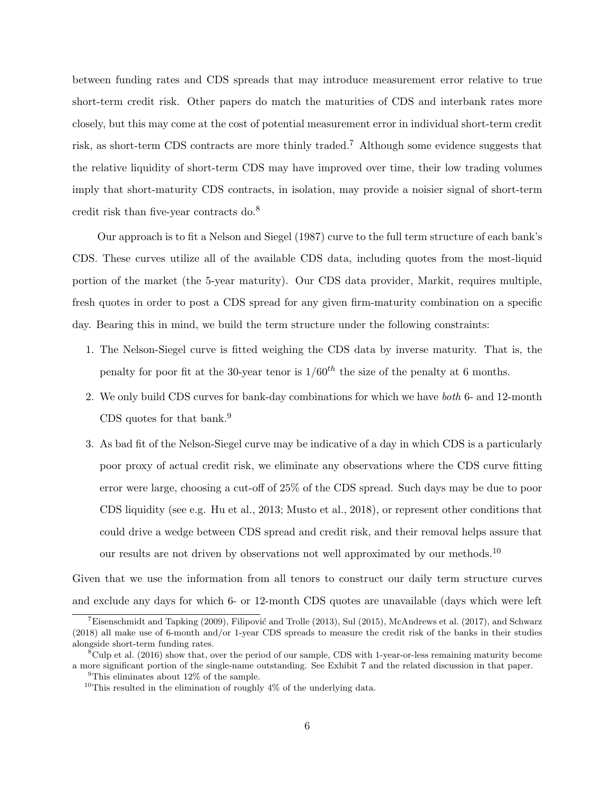between funding rates and CDS spreads that may introduce measurement error relative to true short-term credit risk. Other papers do match the maturities of CDS and interbank rates more closely, but this may come at the cost of potential measurement error in individual short-term credit risk, as short-term CDS contracts are more thinly traded.<sup>7</sup> Although some evidence suggests that the relative liquidity of short-term CDS may have improved over time, their low trading volumes imply that short-maturity CDS contracts, in isolation, may provide a noisier signal of short-term credit risk than five-year contracts do.<sup>8</sup>

Our approach is to fit a Nelson and Siegel (1987) curve to the full term structure of each bank's CDS. These curves utilize all of the available CDS data, including quotes from the most-liquid portion of the market (the 5-year maturity). Our CDS data provider, Markit, requires multiple, fresh quotes in order to post a CDS spread for any given firm-maturity combination on a specific day. Bearing this in mind, we build the term structure under the following constraints:

- 1. The Nelson-Siegel curve is fitted weighing the CDS data by inverse maturity. That is, the penalty for poor fit at the 30-year tenor is  $1/60^{th}$  the size of the penalty at 6 months.
- 2. We only build CDS curves for bank-day combinations for which we have both 6- and 12-month CDS quotes for that bank.<sup>9</sup>
- 3. As bad fit of the Nelson-Siegel curve may be indicative of a day in which CDS is a particularly poor proxy of actual credit risk, we eliminate any observations where the CDS curve fitting error were large, choosing a cut-off of 25% of the CDS spread. Such days may be due to poor CDS liquidity (see e.g. Hu et al., 2013; Musto et al., 2018), or represent other conditions that could drive a wedge between CDS spread and credit risk, and their removal helps assure that our results are not driven by observations not well approximated by our methods.<sup>10</sup>

Given that we use the information from all tenors to construct our daily term structure curves and exclude any days for which 6- or 12-month CDS quotes are unavailable (days which were left

<sup>&</sup>lt;sup>7</sup>Eisenschmidt and Tapking (2009), Filipović and Trolle (2013), Sul (2015), McAndrews et al. (2017), and Schwarz (2018) all make use of 6-month and/or 1-year CDS spreads to measure the credit risk of the banks in their studies alongside short-term funding rates.

 ${}^8$ Culp et al. (2016) show that, over the period of our sample, CDS with 1-year-or-less remaining maturity become a more significant portion of the single-name outstanding. See Exhibit 7 and the related discussion in that paper.

<sup>&</sup>lt;sup>9</sup>This eliminates about  $12\%$  of the sample.

<sup>&</sup>lt;sup>10</sup>This resulted in the elimination of roughly  $4\%$  of the underlying data.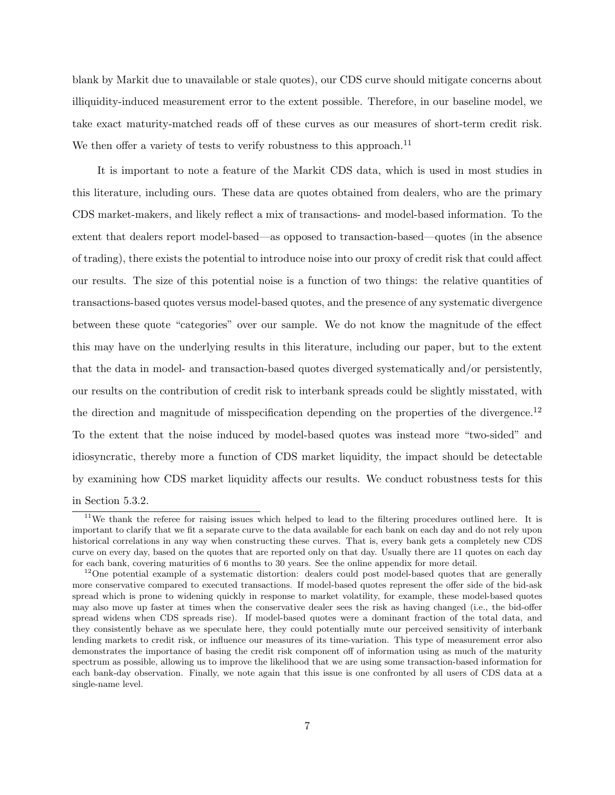blank by Markit due to unavailable or stale quotes), our CDS curve should mitigate concerns about illiquidity-induced measurement error to the extent possible. Therefore, in our baseline model, we take exact maturity-matched reads off of these curves as our measures of short-term credit risk. We then offer a variety of tests to verify robustness to this approach.<sup>11</sup>

It is important to note a feature of the Markit CDS data, which is used in most studies in this literature, including ours. These data are quotes obtained from dealers, who are the primary CDS market-makers, and likely reflect a mix of transactions- and model-based information. To the extent that dealers report model-based—as opposed to transaction-based—quotes (in the absence of trading), there exists the potential to introduce noise into our proxy of credit risk that could affect our results. The size of this potential noise is a function of two things: the relative quantities of transactions-based quotes versus model-based quotes, and the presence of any systematic divergence between these quote "categories" over our sample. We do not know the magnitude of the effect this may have on the underlying results in this literature, including our paper, but to the extent that the data in model- and transaction-based quotes diverged systematically and/or persistently, our results on the contribution of credit risk to interbank spreads could be slightly misstated, with the direction and magnitude of misspecification depending on the properties of the divergence.<sup>12</sup> To the extent that the noise induced by model-based quotes was instead more "two-sided" and idiosyncratic, thereby more a function of CDS market liquidity, the impact should be detectable by examining how CDS market liquidity affects our results. We conduct robustness tests for this

in Section 5.3.2.

<sup>&</sup>lt;sup>11</sup>We thank the referee for raising issues which helped to lead to the filtering procedures outlined here. It is important to clarify that we fit a separate curve to the data available for each bank on each day and do not rely upon historical correlations in any way when constructing these curves. That is, every bank gets a completely new CDS curve on every day, based on the quotes that are reported only on that day. Usually there are 11 quotes on each day for each bank, covering maturities of 6 months to 30 years. See the online appendix for more detail.

<sup>&</sup>lt;sup>12</sup>One potential example of a systematic distortion: dealers could post model-based quotes that are generally more conservative compared to executed transactions. If model-based quotes represent the offer side of the bid-ask spread which is prone to widening quickly in response to market volatility, for example, these model-based quotes may also move up faster at times when the conservative dealer sees the risk as having changed (i.e., the bid-offer spread widens when CDS spreads rise). If model-based quotes were a dominant fraction of the total data, and they consistently behave as we speculate here, they could potentially mute our perceived sensitivity of interbank lending markets to credit risk, or influence our measures of its time-variation. This type of measurement error also demonstrates the importance of basing the credit risk component off of information using as much of the maturity spectrum as possible, allowing us to improve the likelihood that we are using some transaction-based information for each bank-day observation. Finally, we note again that this issue is one confronted by all users of CDS data at a single-name level.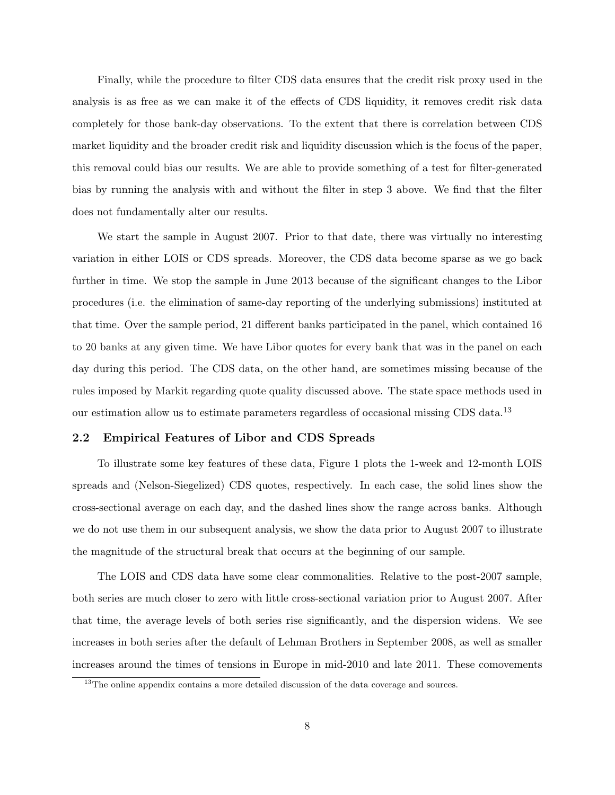Finally, while the procedure to filter CDS data ensures that the credit risk proxy used in the analysis is as free as we can make it of the effects of CDS liquidity, it removes credit risk data completely for those bank-day observations. To the extent that there is correlation between CDS market liquidity and the broader credit risk and liquidity discussion which is the focus of the paper, this removal could bias our results. We are able to provide something of a test for filter-generated bias by running the analysis with and without the filter in step 3 above. We find that the filter does not fundamentally alter our results.

We start the sample in August 2007. Prior to that date, there was virtually no interesting variation in either LOIS or CDS spreads. Moreover, the CDS data become sparse as we go back further in time. We stop the sample in June 2013 because of the significant changes to the Libor procedures (i.e. the elimination of same-day reporting of the underlying submissions) instituted at that time. Over the sample period, 21 different banks participated in the panel, which contained 16 to 20 banks at any given time. We have Libor quotes for every bank that was in the panel on each day during this period. The CDS data, on the other hand, are sometimes missing because of the rules imposed by Markit regarding quote quality discussed above. The state space methods used in our estimation allow us to estimate parameters regardless of occasional missing CDS data.<sup>13</sup>

#### 2.2 Empirical Features of Libor and CDS Spreads

To illustrate some key features of these data, Figure 1 plots the 1-week and 12-month LOIS spreads and (Nelson-Siegelized) CDS quotes, respectively. In each case, the solid lines show the cross-sectional average on each day, and the dashed lines show the range across banks. Although we do not use them in our subsequent analysis, we show the data prior to August 2007 to illustrate the magnitude of the structural break that occurs at the beginning of our sample.

The LOIS and CDS data have some clear commonalities. Relative to the post-2007 sample, both series are much closer to zero with little cross-sectional variation prior to August 2007. After that time, the average levels of both series rise significantly, and the dispersion widens. We see increases in both series after the default of Lehman Brothers in September 2008, as well as smaller increases around the times of tensions in Europe in mid-2010 and late 2011. These comovements

<sup>&</sup>lt;sup>13</sup>The online appendix contains a more detailed discussion of the data coverage and sources.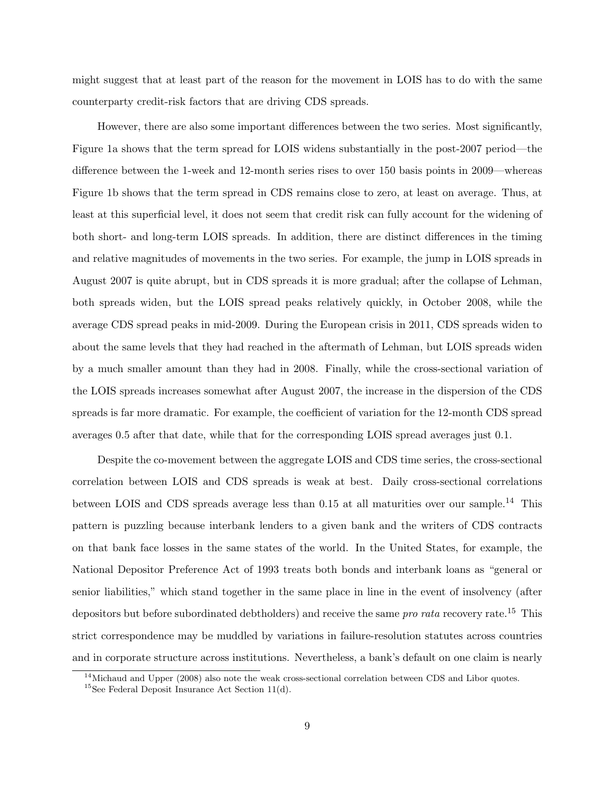might suggest that at least part of the reason for the movement in LOIS has to do with the same counterparty credit-risk factors that are driving CDS spreads.

However, there are also some important differences between the two series. Most significantly, Figure 1a shows that the term spread for LOIS widens substantially in the post-2007 period—the difference between the 1-week and 12-month series rises to over 150 basis points in 2009—whereas Figure 1b shows that the term spread in CDS remains close to zero, at least on average. Thus, at least at this superficial level, it does not seem that credit risk can fully account for the widening of both short- and long-term LOIS spreads. In addition, there are distinct differences in the timing and relative magnitudes of movements in the two series. For example, the jump in LOIS spreads in August 2007 is quite abrupt, but in CDS spreads it is more gradual; after the collapse of Lehman, both spreads widen, but the LOIS spread peaks relatively quickly, in October 2008, while the average CDS spread peaks in mid-2009. During the European crisis in 2011, CDS spreads widen to about the same levels that they had reached in the aftermath of Lehman, but LOIS spreads widen by a much smaller amount than they had in 2008. Finally, while the cross-sectional variation of the LOIS spreads increases somewhat after August 2007, the increase in the dispersion of the CDS spreads is far more dramatic. For example, the coefficient of variation for the 12-month CDS spread averages 0.5 after that date, while that for the corresponding LOIS spread averages just 0.1.

Despite the co-movement between the aggregate LOIS and CDS time series, the cross-sectional correlation between LOIS and CDS spreads is weak at best. Daily cross-sectional correlations between LOIS and CDS spreads average less than  $0.15$  at all maturities over our sample.<sup>14</sup> This pattern is puzzling because interbank lenders to a given bank and the writers of CDS contracts on that bank face losses in the same states of the world. In the United States, for example, the National Depositor Preference Act of 1993 treats both bonds and interbank loans as "general or senior liabilities," which stand together in the same place in line in the event of insolvency (after depositors but before subordinated debtholders) and receive the same *pro rata* recovery rate.<sup>15</sup> This strict correspondence may be muddled by variations in failure-resolution statutes across countries and in corporate structure across institutions. Nevertheless, a bank's default on one claim is nearly

 $14$ Michaud and Upper (2008) also note the weak cross-sectional correlation between CDS and Libor quotes.

 $15$ See Federal Deposit Insurance Act Section 11(d).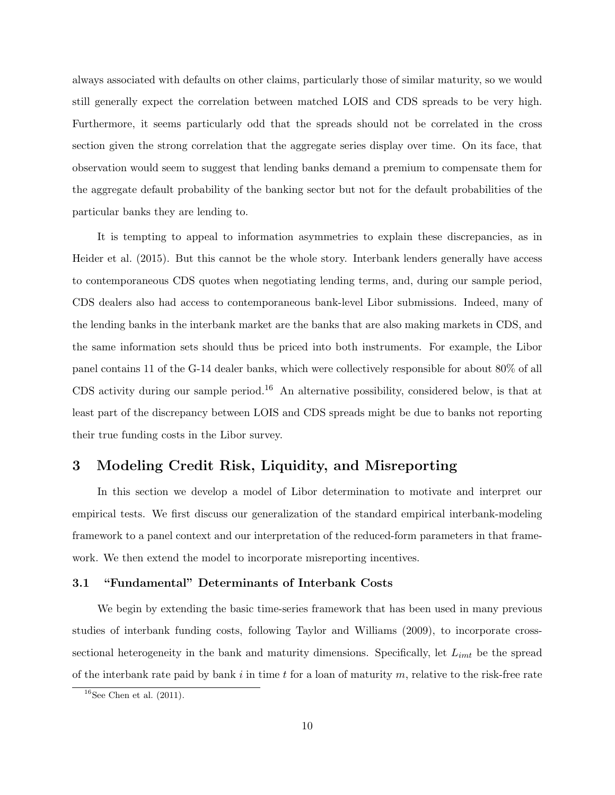always associated with defaults on other claims, particularly those of similar maturity, so we would still generally expect the correlation between matched LOIS and CDS spreads to be very high. Furthermore, it seems particularly odd that the spreads should not be correlated in the cross section given the strong correlation that the aggregate series display over time. On its face, that observation would seem to suggest that lending banks demand a premium to compensate them for the aggregate default probability of the banking sector but not for the default probabilities of the particular banks they are lending to.

It is tempting to appeal to information asymmetries to explain these discrepancies, as in Heider et al. (2015). But this cannot be the whole story. Interbank lenders generally have access to contemporaneous CDS quotes when negotiating lending terms, and, during our sample period, CDS dealers also had access to contemporaneous bank-level Libor submissions. Indeed, many of the lending banks in the interbank market are the banks that are also making markets in CDS, and the same information sets should thus be priced into both instruments. For example, the Libor panel contains 11 of the G-14 dealer banks, which were collectively responsible for about 80% of all CDS activity during our sample period.<sup>16</sup> An alternative possibility, considered below, is that at least part of the discrepancy between LOIS and CDS spreads might be due to banks not reporting their true funding costs in the Libor survey.

## 3 Modeling Credit Risk, Liquidity, and Misreporting

In this section we develop a model of Libor determination to motivate and interpret our empirical tests. We first discuss our generalization of the standard empirical interbank-modeling framework to a panel context and our interpretation of the reduced-form parameters in that framework. We then extend the model to incorporate misreporting incentives.

#### 3.1 "Fundamental" Determinants of Interbank Costs

We begin by extending the basic time-series framework that has been used in many previous studies of interbank funding costs, following Taylor and Williams (2009), to incorporate crosssectional heterogeneity in the bank and maturity dimensions. Specifically, let  $L_{imt}$  be the spread of the interbank rate paid by bank i in time t for a loan of maturity m, relative to the risk-free rate

 $16$ See Chen et al.  $(2011)$ .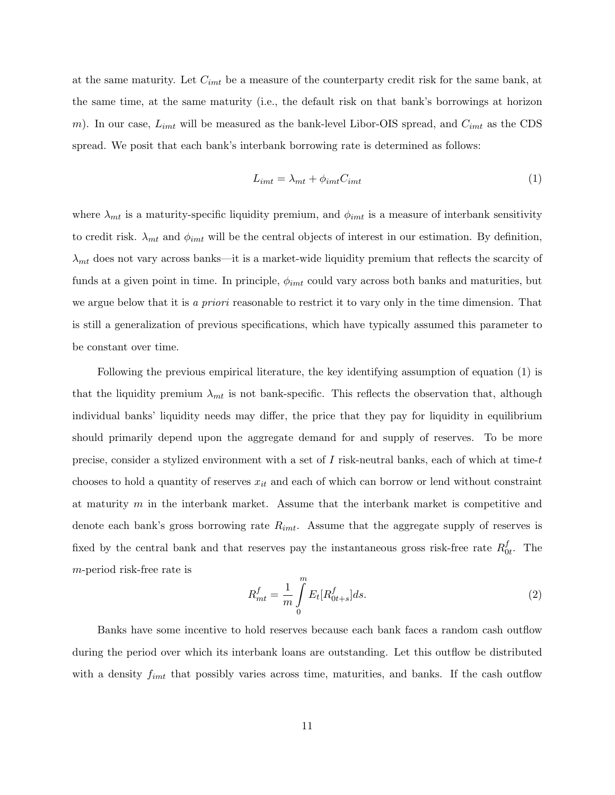at the same maturity. Let  $C_{imt}$  be a measure of the counterparty credit risk for the same bank, at the same time, at the same maturity (i.e., the default risk on that bank's borrowings at horizon m). In our case,  $L_{imt}$  will be measured as the bank-level Libor-OIS spread, and  $C_{imt}$  as the CDS spread. We posit that each bank's interbank borrowing rate is determined as follows:

$$
L_{imt} = \lambda_{mt} + \phi_{imt} C_{imt} \tag{1}
$$

where  $\lambda_{mt}$  is a maturity-specific liquidity premium, and  $\phi_{imt}$  is a measure of interbank sensitivity to credit risk.  $\lambda_{mt}$  and  $\phi_{imt}$  will be the central objects of interest in our estimation. By definition,  $\lambda_{mt}$  does not vary across banks—it is a market-wide liquidity premium that reflects the scarcity of funds at a given point in time. In principle,  $\phi_{imt}$  could vary across both banks and maturities, but we argue below that it is a priori reasonable to restrict it to vary only in the time dimension. That is still a generalization of previous specifications, which have typically assumed this parameter to be constant over time.

Following the previous empirical literature, the key identifying assumption of equation (1) is that the liquidity premium  $\lambda_{mt}$  is not bank-specific. This reflects the observation that, although individual banks' liquidity needs may differ, the price that they pay for liquidity in equilibrium should primarily depend upon the aggregate demand for and supply of reserves. To be more precise, consider a stylized environment with a set of I risk-neutral banks, each of which at time-t chooses to hold a quantity of reserves  $x_{it}$  and each of which can borrow or lend without constraint at maturity  $m$  in the interbank market. Assume that the interbank market is competitive and denote each bank's gross borrowing rate  $R_{imt}$ . Assume that the aggregate supply of reserves is fixed by the central bank and that reserves pay the instantaneous gross risk-free rate  $R_0^f$  $_{0t}^{J}$ . The m-period risk-free rate is

$$
R_{mt}^{f} = \frac{1}{m} \int_{0}^{m} E_t[R_{0t+s}^{f}] ds.
$$
\n(2)

Banks have some incentive to hold reserves because each bank faces a random cash outflow during the period over which its interbank loans are outstanding. Let this outflow be distributed with a density  $f_{imt}$  that possibly varies across time, maturities, and banks. If the cash outflow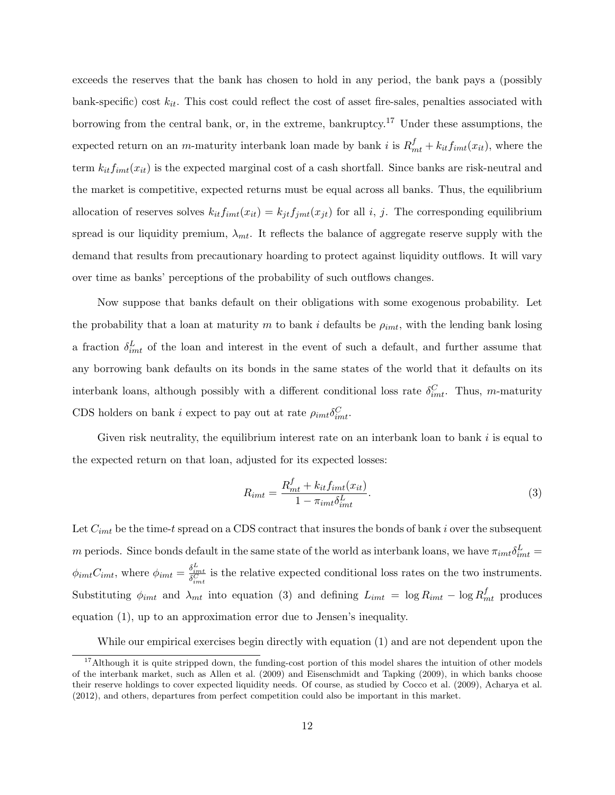exceeds the reserves that the bank has chosen to hold in any period, the bank pays a (possibly bank-specific) cost  $k_{it}$ . This cost could reflect the cost of asset fire-sales, penalties associated with borrowing from the central bank, or, in the extreme, bankruptcy.<sup>17</sup> Under these assumptions, the expected return on an *m*-maturity interbank loan made by bank *i* is  $R_{mt}^f + k_{it} f_{imt}(x_{it})$ , where the term  $k_{it}f_{imt}(x_{it})$  is the expected marginal cost of a cash shortfall. Since banks are risk-neutral and the market is competitive, expected returns must be equal across all banks. Thus, the equilibrium allocation of reserves solves  $k_{it}f_{imt}(x_{it}) = k_{jt}f_{jmt}(x_{jt})$  for all i, j. The corresponding equilibrium spread is our liquidity premium,  $\lambda_{mt}$ . It reflects the balance of aggregate reserve supply with the demand that results from precautionary hoarding to protect against liquidity outflows. It will vary over time as banks' perceptions of the probability of such outflows changes.

Now suppose that banks default on their obligations with some exogenous probability. Let the probability that a loan at maturity m to bank i defaults be  $\rho_{imt}$ , with the lending bank losing a fraction  $\delta_{imt}^L$  of the loan and interest in the event of such a default, and further assume that any borrowing bank defaults on its bonds in the same states of the world that it defaults on its interbank loans, although possibly with a different conditional loss rate  $\delta_{imt}^C$ . Thus, m-maturity CDS holders on bank *i* expect to pay out at rate  $\rho_{imt} \delta_{imt}^C$ .

Given risk neutrality, the equilibrium interest rate on an interbank loan to bank  $i$  is equal to the expected return on that loan, adjusted for its expected losses:

$$
R_{imt} = \frac{R_{mt}^f + k_{it}f_{imt}(x_{it})}{1 - \pi_{imt}\delta_{imt}^L}.
$$
\n(3)

Let  $C_{imt}$  be the time-t spread on a CDS contract that insures the bonds of bank i over the subsequent m periods. Since bonds default in the same state of the world as interbank loans, we have  $\pi_{imt}\delta^L_{imt}$  $\phi_{imt}C_{imt}$ , where  $\phi_{imt} = \frac{\delta_{imt}^L}{\delta_{imt}^C}$  is the relative expected conditional loss rates on the two instruments. Substituting  $\phi_{imt}$  and  $\lambda_{mt}$  into equation (3) and defining  $L_{imt} = \log R_{imt} - \log R_{mt}^f$  produces equation (1), up to an approximation error due to Jensen's inequality.

While our empirical exercises begin directly with equation (1) and are not dependent upon the

 $17$ Although it is quite stripped down, the funding-cost portion of this model shares the intuition of other models of the interbank market, such as Allen et al. (2009) and Eisenschmidt and Tapking (2009), in which banks choose their reserve holdings to cover expected liquidity needs. Of course, as studied by Cocco et al. (2009), Acharya et al. (2012), and others, departures from perfect competition could also be important in this market.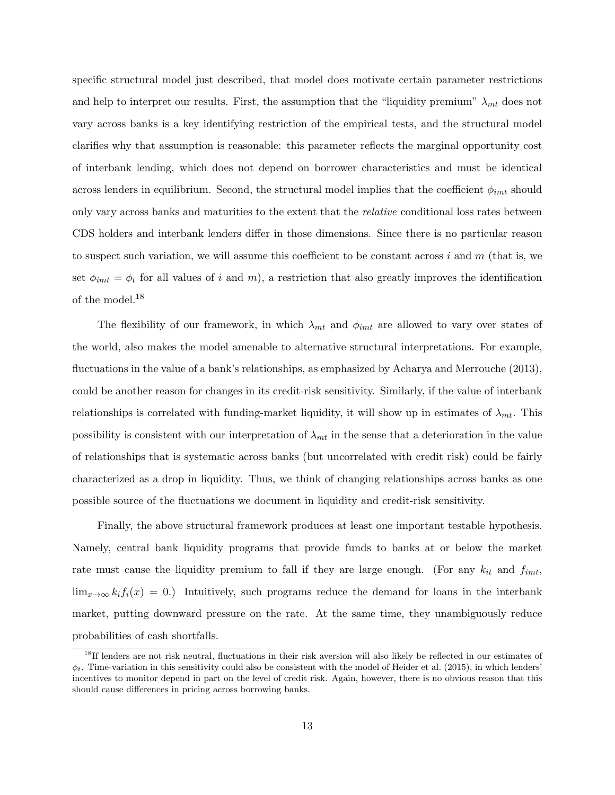specific structural model just described, that model does motivate certain parameter restrictions and help to interpret our results. First, the assumption that the "liquidity premium"  $\lambda_{mt}$  does not vary across banks is a key identifying restriction of the empirical tests, and the structural model clarifies why that assumption is reasonable: this parameter reflects the marginal opportunity cost of interbank lending, which does not depend on borrower characteristics and must be identical across lenders in equilibrium. Second, the structural model implies that the coefficient  $\phi_{imt}$  should only vary across banks and maturities to the extent that the relative conditional loss rates between CDS holders and interbank lenders differ in those dimensions. Since there is no particular reason to suspect such variation, we will assume this coefficient to be constant across i and  $m$  (that is, we set  $\phi_{imt} = \phi_t$  for all values of i and m), a restriction that also greatly improves the identification of the model.<sup>18</sup>

The flexibility of our framework, in which  $\lambda_{mt}$  and  $\phi_{imt}$  are allowed to vary over states of the world, also makes the model amenable to alternative structural interpretations. For example, fluctuations in the value of a bank's relationships, as emphasized by Acharya and Merrouche (2013), could be another reason for changes in its credit-risk sensitivity. Similarly, if the value of interbank relationships is correlated with funding-market liquidity, it will show up in estimates of  $\lambda_{mt}$ . This possibility is consistent with our interpretation of  $\lambda_{mt}$  in the sense that a deterioration in the value of relationships that is systematic across banks (but uncorrelated with credit risk) could be fairly characterized as a drop in liquidity. Thus, we think of changing relationships across banks as one possible source of the fluctuations we document in liquidity and credit-risk sensitivity.

Finally, the above structural framework produces at least one important testable hypothesis. Namely, central bank liquidity programs that provide funds to banks at or below the market rate must cause the liquidity premium to fall if they are large enough. (For any  $k_{it}$  and  $f_{imt}$ ,  $\lim_{x\to\infty} k_i f_i(x) = 0.$  Intuitively, such programs reduce the demand for loans in the interbank market, putting downward pressure on the rate. At the same time, they unambiguously reduce probabilities of cash shortfalls.

<sup>&</sup>lt;sup>18</sup>If lenders are not risk neutral, fluctuations in their risk aversion will also likely be reflected in our estimates of  $\phi_t$ . Time-variation in this sensitivity could also be consistent with the model of Heider et al. (2015), in which lenders' incentives to monitor depend in part on the level of credit risk. Again, however, there is no obvious reason that this should cause differences in pricing across borrowing banks.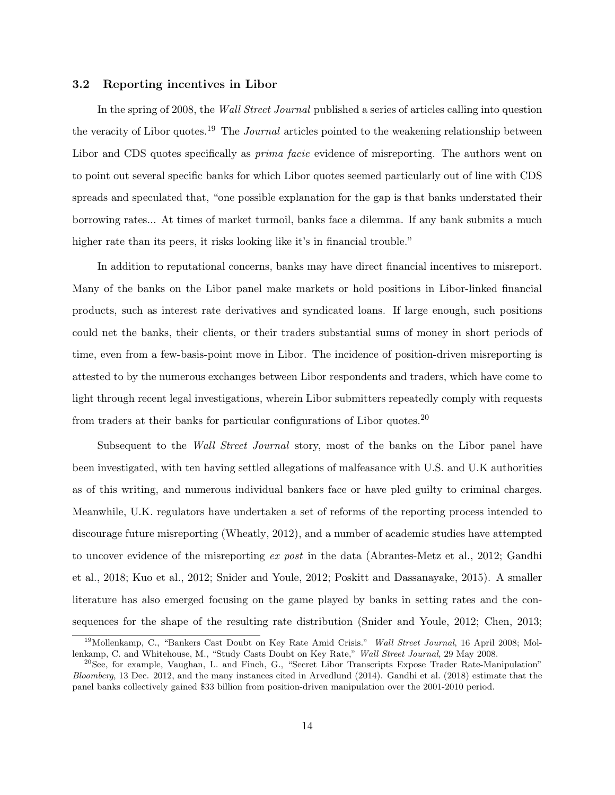#### 3.2 Reporting incentives in Libor

In the spring of 2008, the Wall Street Journal published a series of articles calling into question the veracity of Libor quotes.<sup>19</sup> The *Journal* articles pointed to the weakening relationship between Libor and CDS quotes specifically as *prima facie* evidence of misreporting. The authors went on to point out several specific banks for which Libor quotes seemed particularly out of line with CDS spreads and speculated that, "one possible explanation for the gap is that banks understated their borrowing rates... At times of market turmoil, banks face a dilemma. If any bank submits a much higher rate than its peers, it risks looking like it's in financial trouble."

In addition to reputational concerns, banks may have direct financial incentives to misreport. Many of the banks on the Libor panel make markets or hold positions in Libor-linked financial products, such as interest rate derivatives and syndicated loans. If large enough, such positions could net the banks, their clients, or their traders substantial sums of money in short periods of time, even from a few-basis-point move in Libor. The incidence of position-driven misreporting is attested to by the numerous exchanges between Libor respondents and traders, which have come to light through recent legal investigations, wherein Libor submitters repeatedly comply with requests from traders at their banks for particular configurations of Libor quotes.<sup>20</sup>

Subsequent to the *Wall Street Journal* story, most of the banks on the Libor panel have been investigated, with ten having settled allegations of malfeasance with U.S. and U.K authorities as of this writing, and numerous individual bankers face or have pled guilty to criminal charges. Meanwhile, U.K. regulators have undertaken a set of reforms of the reporting process intended to discourage future misreporting (Wheatly, 2012), and a number of academic studies have attempted to uncover evidence of the misreporting ex post in the data (Abrantes-Metz et al., 2012; Gandhi et al., 2018; Kuo et al., 2012; Snider and Youle, 2012; Poskitt and Dassanayake, 2015). A smaller literature has also emerged focusing on the game played by banks in setting rates and the consequences for the shape of the resulting rate distribution (Snider and Youle, 2012; Chen, 2013;

<sup>&</sup>lt;sup>19</sup>Mollenkamp, C., "Bankers Cast Doubt on Key Rate Amid Crisis." Wall Street Journal, 16 April 2008; Mollenkamp, C. and Whitehouse, M., "Study Casts Doubt on Key Rate," Wall Street Journal, 29 May 2008.

 $^{20}$ See, for example, Vaughan, L. and Finch, G., "Secret Libor Transcripts Expose Trader Rate-Manipulation" Bloomberg, 13 Dec. 2012, and the many instances cited in Arvedlund (2014). Gandhi et al. (2018) estimate that the panel banks collectively gained \$33 billion from position-driven manipulation over the 2001-2010 period.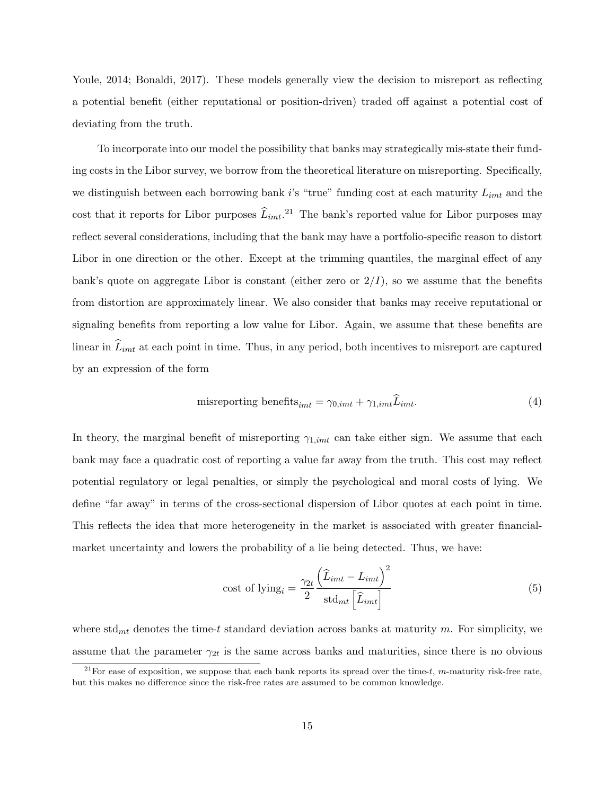Youle, 2014; Bonaldi, 2017). These models generally view the decision to misreport as reflecting a potential benefit (either reputational or position-driven) traded off against a potential cost of deviating from the truth.

To incorporate into our model the possibility that banks may strategically mis-state their funding costs in the Libor survey, we borrow from the theoretical literature on misreporting. Specifically, we distinguish between each borrowing bank i's "true" funding cost at each maturity  $L_{imt}$  and the cost that it reports for Libor purposes  $\widehat{L}_{imt}$ <sup>21</sup> The bank's reported value for Libor purposes may reflect several considerations, including that the bank may have a portfolio-specific reason to distort Libor in one direction or the other. Except at the trimming quantiles, the marginal effect of any bank's quote on aggregate Libor is constant (either zero or  $2/I$ ), so we assume that the benefits from distortion are approximately linear. We also consider that banks may receive reputational or signaling benefits from reporting a low value for Libor. Again, we assume that these benefits are linear in  $L_{imt}$  at each point in time. Thus, in any period, both incentives to misreport are captured by an expression of the form

misreporting benefits<sub>imt</sub> = 
$$
\gamma_{0,imt} + \gamma_{1,imt} \hat{L}_{imt}
$$
. (4)

In theory, the marginal benefit of misreporting  $\gamma_{1,imt}$  can take either sign. We assume that each bank may face a quadratic cost of reporting a value far away from the truth. This cost may reflect potential regulatory or legal penalties, or simply the psychological and moral costs of lying. We define "far away" in terms of the cross-sectional dispersion of Libor quotes at each point in time. This reflects the idea that more heterogeneity in the market is associated with greater financialmarket uncertainty and lowers the probability of a lie being detected. Thus, we have:

cost of lying<sub>i</sub> = 
$$
\frac{\gamma_{2t}}{2} \frac{\left(\widehat{L}_{imt} - L_{imt}\right)^2}{\text{std}_{mt} \left[\widehat{L}_{imt}\right]}
$$
(5)

where  $\text{std}_{mt}$  denotes the time-t standard deviation across banks at maturity m. For simplicity, we assume that the parameter  $\gamma_{2t}$  is the same across banks and maturities, since there is no obvious

<sup>&</sup>lt;sup>21</sup>For ease of exposition, we suppose that each bank reports its spread over the time-t, m-maturity risk-free rate, but this makes no difference since the risk-free rates are assumed to be common knowledge.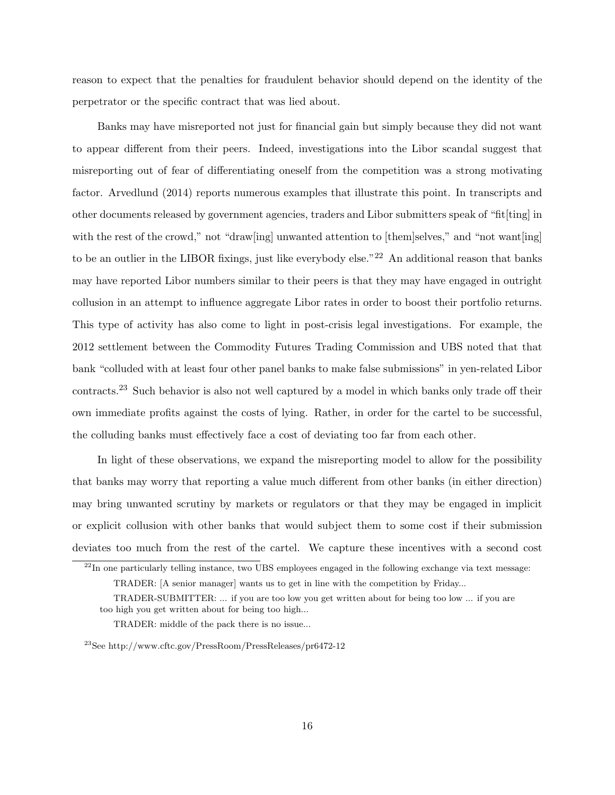reason to expect that the penalties for fraudulent behavior should depend on the identity of the perpetrator or the specific contract that was lied about.

Banks may have misreported not just for financial gain but simply because they did not want to appear different from their peers. Indeed, investigations into the Libor scandal suggest that misreporting out of fear of differentiating oneself from the competition was a strong motivating factor. Arvedlund (2014) reports numerous examples that illustrate this point. In transcripts and other documents released by government agencies, traders and Libor submitters speak of "fit[ting] in with the rest of the crowd," not "draw[ing] unwanted attention to [them]selves," and "not want[ing] to be an outlier in the LIBOR fixings, just like everybody else."<sup>22</sup> An additional reason that banks may have reported Libor numbers similar to their peers is that they may have engaged in outright collusion in an attempt to influence aggregate Libor rates in order to boost their portfolio returns. This type of activity has also come to light in post-crisis legal investigations. For example, the 2012 settlement between the Commodity Futures Trading Commission and UBS noted that that bank "colluded with at least four other panel banks to make false submissions" in yen-related Libor contracts.<sup>23</sup> Such behavior is also not well captured by a model in which banks only trade off their own immediate profits against the costs of lying. Rather, in order for the cartel to be successful, the colluding banks must effectively face a cost of deviating too far from each other.

In light of these observations, we expand the misreporting model to allow for the possibility that banks may worry that reporting a value much different from other banks (in either direction) may bring unwanted scrutiny by markets or regulators or that they may be engaged in implicit or explicit collusion with other banks that would subject them to some cost if their submission deviates too much from the rest of the cartel. We capture these incentives with a second cost

<sup>&</sup>lt;sup>22</sup>In one particularly telling instance, two UBS employees engaged in the following exchange via text message:

TRADER: [A senior manager] wants us to get in line with the competition by Friday...

TRADER-SUBMITTER: ... if you are too low you get written about for being too low ... if you are too high you get written about for being too high...

TRADER: middle of the pack there is no issue...

<sup>23</sup>See http://www.cftc.gov/PressRoom/PressReleases/pr6472-12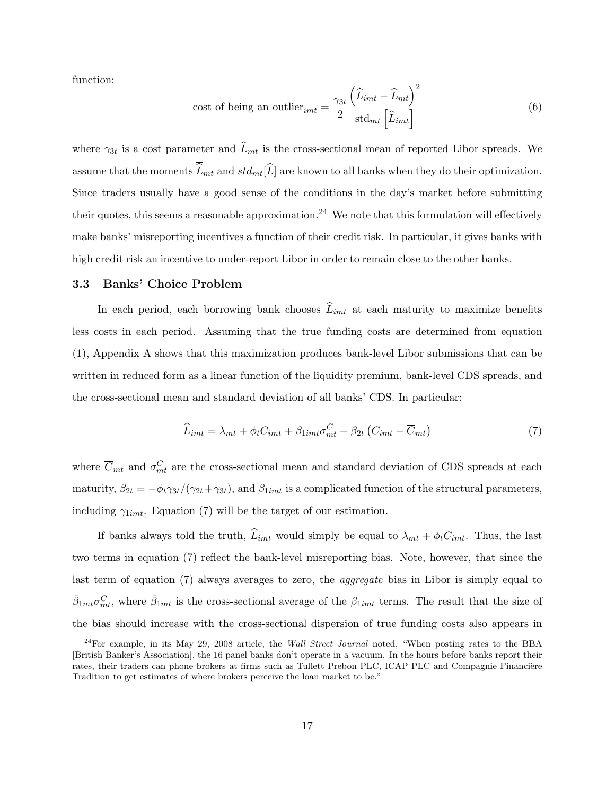function:

cost of being an outlier<sub>imt</sub> = 
$$
\frac{\gamma_{3t}}{2} \frac{\left(\widehat{L}_{imt} - \overline{\widehat{L}_{mt}}\right)^2}{\text{std}_{mt} \left[\widehat{L}_{imt}\right]}
$$
(6)

where  $\gamma_{3t}$  is a cost parameter and  $L_{mt}$  is the cross-sectional mean of reported Libor spreads. We assume that the moments  $\overline{\hat{L}}_{mt}$  and  $std_{mt}[\hat{L}]$  are known to all banks when they do their optimization. Since traders usually have a good sense of the conditions in the day's market before submitting their quotes, this seems a reasonable approximation.<sup>24</sup> We note that this formulation will effectively make banks' misreporting incentives a function of their credit risk. In particular, it gives banks with high credit risk an incentive to under-report Libor in order to remain close to the other banks.

#### 3.3 Banks' Choice Problem

In each period, each borrowing bank chooses  $\widehat{L}_{imt}$  at each maturity to maximize benefits less costs in each period. Assuming that the true funding costs are determined from equation (1), Appendix A shows that this maximization produces bank-level Libor submissions that can be written in reduced form as a linear function of the liquidity premium, bank-level CDS spreads, and the cross-sectional mean and standard deviation of all banks' CDS. In particular:

$$
\widehat{L}_{imt} = \lambda_{mt} + \phi_t C_{imt} + \beta_{1imt} \sigma_{mt}^C + \beta_{2t} \left( C_{imt} - \overline{C}_{mt} \right) \tag{7}
$$

where  $\overline{C}_{mt}$  and  $\sigma_{mt}^C$  are the cross-sectional mean and standard deviation of CDS spreads at each maturity,  $\beta_{2t} = -\phi_t \gamma_{3t}/(\gamma_{2t}+\gamma_{3t})$ , and  $\beta_{1imt}$  is a complicated function of the structural parameters, including  $\gamma_{1imt}$ . Equation (7) will be the target of our estimation.

If banks always told the truth,  $\hat{L}_{imt}$  would simply be equal to  $\lambda_{mt} + \phi_t C_{imt}$ . Thus, the last two terms in equation (7) reflect the bank-level misreporting bias. Note, however, that since the last term of equation (7) always averages to zero, the *aggregate* bias in Libor is simply equal to  $\bar{\beta}_{1mt}\sigma_{mt}^C$ , where  $\bar{\beta}_{1mt}$  is the cross-sectional average of the  $\beta_{1imt}$  terms. The result that the size of the bias should increase with the cross-sectional dispersion of true funding costs also appears in

 $^{24}$ For example, in its May 29, 2008 article, the *Wall Street Journal* noted, "When posting rates to the BBA [British Banker's Association], the 16 panel banks don't operate in a vacuum. In the hours before banks report their rates, their traders can phone brokers at firms such as Tullett Prebon PLC, ICAP PLC and Compagnie Financière Tradition to get estimates of where brokers perceive the loan market to be."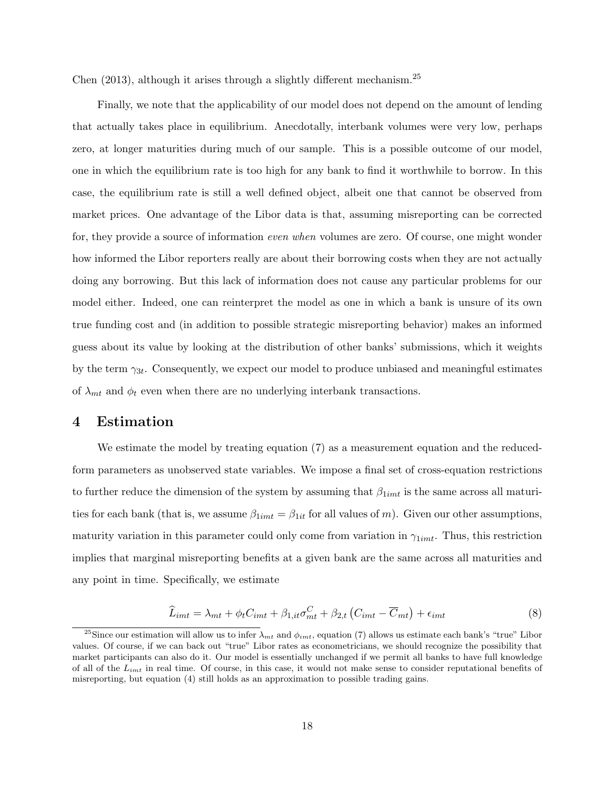Chen (2013), although it arises through a slightly different mechanism.<sup>25</sup>

Finally, we note that the applicability of our model does not depend on the amount of lending that actually takes place in equilibrium. Anecdotally, interbank volumes were very low, perhaps zero, at longer maturities during much of our sample. This is a possible outcome of our model, one in which the equilibrium rate is too high for any bank to find it worthwhile to borrow. In this case, the equilibrium rate is still a well defined object, albeit one that cannot be observed from market prices. One advantage of the Libor data is that, assuming misreporting can be corrected for, they provide a source of information even when volumes are zero. Of course, one might wonder how informed the Libor reporters really are about their borrowing costs when they are not actually doing any borrowing. But this lack of information does not cause any particular problems for our model either. Indeed, one can reinterpret the model as one in which a bank is unsure of its own true funding cost and (in addition to possible strategic misreporting behavior) makes an informed guess about its value by looking at the distribution of other banks' submissions, which it weights by the term  $\gamma_{3t}$ . Consequently, we expect our model to produce unbiased and meaningful estimates of  $\lambda_{mt}$  and  $\phi_t$  even when there are no underlying interbank transactions.

## 4 Estimation

We estimate the model by treating equation (7) as a measurement equation and the reducedform parameters as unobserved state variables. We impose a final set of cross-equation restrictions to further reduce the dimension of the system by assuming that  $\beta_{1imt}$  is the same across all maturities for each bank (that is, we assume  $\beta_{1imt} = \beta_{1it}$  for all values of m). Given our other assumptions, maturity variation in this parameter could only come from variation in  $\gamma_{1imt}$ . Thus, this restriction implies that marginal misreporting benefits at a given bank are the same across all maturities and any point in time. Specifically, we estimate

$$
\widehat{L}_{imt} = \lambda_{mt} + \phi_t C_{imt} + \beta_{1,it}\sigma_{mt}^C + \beta_{2,t} \left( C_{imt} - \overline{C}_{mt} \right) + \epsilon_{imt}
$$
\n
$$
\tag{8}
$$

<sup>&</sup>lt;sup>25</sup>Since our estimation will allow us to infer  $\lambda_{mt}$  and  $\phi_{imt}$ , equation (7) allows us estimate each bank's "true" Libor values. Of course, if we can back out "true" Libor rates as econometricians, we should recognize the possibility that market participants can also do it. Our model is essentially unchanged if we permit all banks to have full knowledge of all of the  $L_{imt}$  in real time. Of course, in this case, it would not make sense to consider reputational benefits of misreporting, but equation (4) still holds as an approximation to possible trading gains.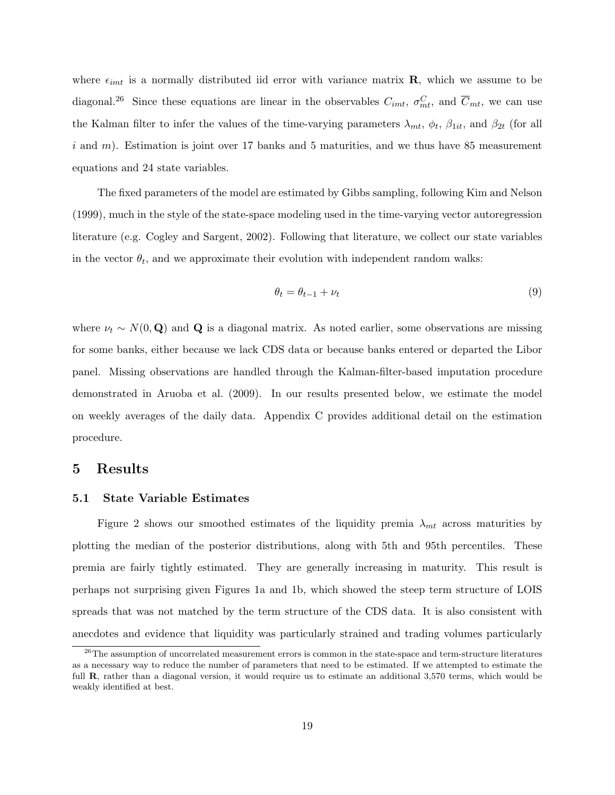where  $\epsilon_{imt}$  is a normally distributed iid error with variance matrix **R**, which we assume to be diagonal.<sup>26</sup> Since these equations are linear in the observables  $C_{imt}$ ,  $\sigma_{mt}^C$ , and  $\overline{C}_{mt}$ , we can use the Kalman filter to infer the values of the time-varying parameters  $\lambda_{mt}$ ,  $\phi_t$ ,  $\beta_{1it}$ , and  $\beta_{2t}$  (for all i and  $m$ ). Estimation is joint over 17 banks and 5 maturities, and we thus have 85 measurement equations and 24 state variables.

The fixed parameters of the model are estimated by Gibbs sampling, following Kim and Nelson (1999), much in the style of the state-space modeling used in the time-varying vector autoregression literature (e.g. Cogley and Sargent, 2002). Following that literature, we collect our state variables in the vector  $\theta_t$ , and we approximate their evolution with independent random walks:

$$
\theta_t = \theta_{t-1} + \nu_t \tag{9}
$$

where  $\nu_t \sim N(0, \mathbf{Q})$  and **Q** is a diagonal matrix. As noted earlier, some observations are missing for some banks, either because we lack CDS data or because banks entered or departed the Libor panel. Missing observations are handled through the Kalman-filter-based imputation procedure demonstrated in Aruoba et al. (2009). In our results presented below, we estimate the model on weekly averages of the daily data. Appendix C provides additional detail on the estimation procedure.

## 5 Results

#### 5.1 State Variable Estimates

Figure 2 shows our smoothed estimates of the liquidity premia  $\lambda_{mt}$  across maturities by plotting the median of the posterior distributions, along with 5th and 95th percentiles. These premia are fairly tightly estimated. They are generally increasing in maturity. This result is perhaps not surprising given Figures 1a and 1b, which showed the steep term structure of LOIS spreads that was not matched by the term structure of the CDS data. It is also consistent with anecdotes and evidence that liquidity was particularly strained and trading volumes particularly

<sup>&</sup>lt;sup>26</sup>The assumption of uncorrelated measurement errors is common in the state-space and term-structure literatures as a necessary way to reduce the number of parameters that need to be estimated. If we attempted to estimate the full **R**, rather than a diagonal version, it would require us to estimate an additional 3,570 terms, which would be weakly identified at best.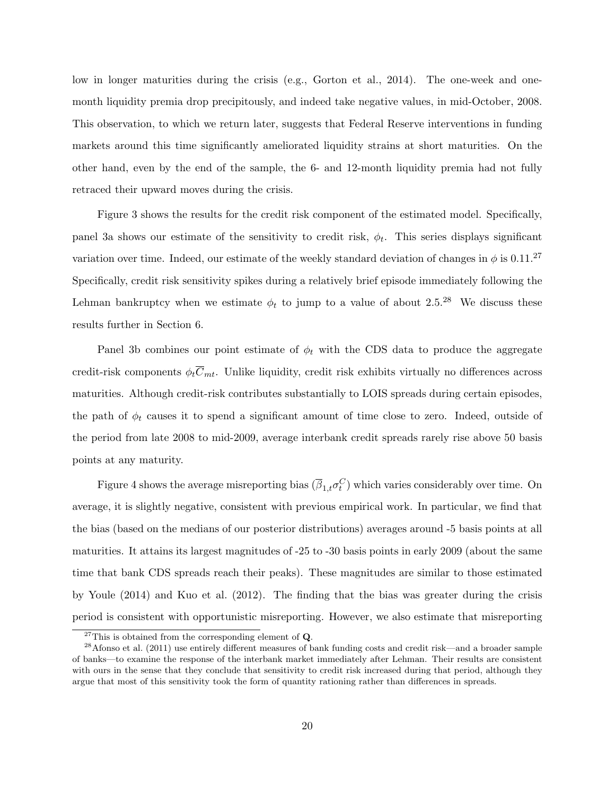low in longer maturities during the crisis (e.g., Gorton et al., 2014). The one-week and onemonth liquidity premia drop precipitously, and indeed take negative values, in mid-October, 2008. This observation, to which we return later, suggests that Federal Reserve interventions in funding markets around this time significantly ameliorated liquidity strains at short maturities. On the other hand, even by the end of the sample, the 6- and 12-month liquidity premia had not fully retraced their upward moves during the crisis.

Figure 3 shows the results for the credit risk component of the estimated model. Specifically, panel 3a shows our estimate of the sensitivity to credit risk,  $\phi_t$ . This series displays significant variation over time. Indeed, our estimate of the weekly standard deviation of changes in  $\phi$  is 0.11.<sup>27</sup> Specifically, credit risk sensitivity spikes during a relatively brief episode immediately following the Lehman bankruptcy when we estimate  $\phi_t$  to jump to a value of about 2.5.<sup>28</sup> We discuss these results further in Section 6.

Panel 3b combines our point estimate of  $\phi_t$  with the CDS data to produce the aggregate credit-risk components  $\phi_t \overline{C}_{mt}$ . Unlike liquidity, credit risk exhibits virtually no differences across maturities. Although credit-risk contributes substantially to LOIS spreads during certain episodes, the path of  $\phi_t$  causes it to spend a significant amount of time close to zero. Indeed, outside of the period from late 2008 to mid-2009, average interbank credit spreads rarely rise above 50 basis points at any maturity.

Figure 4 shows the average misreporting bias  $(\overline{\beta}_{1,t}\sigma_t^C)$  which varies considerably over time. On average, it is slightly negative, consistent with previous empirical work. In particular, we find that the bias (based on the medians of our posterior distributions) averages around -5 basis points at all maturities. It attains its largest magnitudes of -25 to -30 basis points in early 2009 (about the same time that bank CDS spreads reach their peaks). These magnitudes are similar to those estimated by Youle (2014) and Kuo et al. (2012). The finding that the bias was greater during the crisis period is consistent with opportunistic misreporting. However, we also estimate that misreporting

<sup>&</sup>lt;sup>27</sup>This is obtained from the corresponding element of  $Q$ .

 $^{28}$ Afonso et al. (2011) use entirely different measures of bank funding costs and credit risk—and a broader sample of banks—to examine the response of the interbank market immediately after Lehman. Their results are consistent with ours in the sense that they conclude that sensitivity to credit risk increased during that period, although they argue that most of this sensitivity took the form of quantity rationing rather than differences in spreads.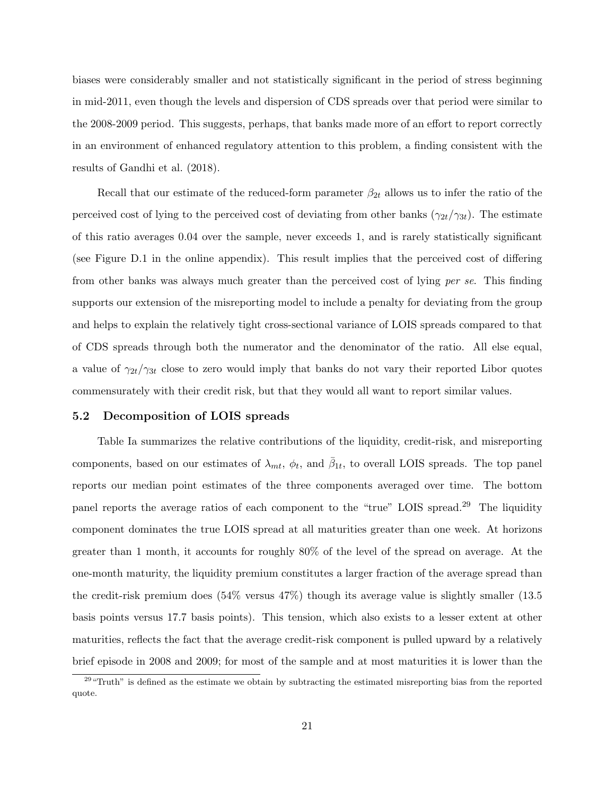biases were considerably smaller and not statistically significant in the period of stress beginning in mid-2011, even though the levels and dispersion of CDS spreads over that period were similar to the 2008-2009 period. This suggests, perhaps, that banks made more of an effort to report correctly in an environment of enhanced regulatory attention to this problem, a finding consistent with the results of Gandhi et al. (2018).

Recall that our estimate of the reduced-form parameter  $\beta_{2t}$  allows us to infer the ratio of the perceived cost of lying to the perceived cost of deviating from other banks  $(\gamma_{2t}/\gamma_{3t})$ . The estimate of this ratio averages 0.04 over the sample, never exceeds 1, and is rarely statistically significant (see Figure D.1 in the online appendix). This result implies that the perceived cost of differing from other banks was always much greater than the perceived cost of lying per se. This finding supports our extension of the misreporting model to include a penalty for deviating from the group and helps to explain the relatively tight cross-sectional variance of LOIS spreads compared to that of CDS spreads through both the numerator and the denominator of the ratio. All else equal, a value of  $\gamma_{2t}/\gamma_{3t}$  close to zero would imply that banks do not vary their reported Libor quotes commensurately with their credit risk, but that they would all want to report similar values.

#### 5.2 Decomposition of LOIS spreads

Table Ia summarizes the relative contributions of the liquidity, credit-risk, and misreporting components, based on our estimates of  $\lambda_{mt}$ ,  $\phi_t$ , and  $\bar{\beta}_{1t}$ , to overall LOIS spreads. The top panel reports our median point estimates of the three components averaged over time. The bottom panel reports the average ratios of each component to the "true" LOIS spread.<sup>29</sup> The liquidity component dominates the true LOIS spread at all maturities greater than one week. At horizons greater than 1 month, it accounts for roughly 80% of the level of the spread on average. At the one-month maturity, the liquidity premium constitutes a larger fraction of the average spread than the credit-risk premium does (54% versus 47%) though its average value is slightly smaller (13.5 basis points versus 17.7 basis points). This tension, which also exists to a lesser extent at other maturities, reflects the fact that the average credit-risk component is pulled upward by a relatively brief episode in 2008 and 2009; for most of the sample and at most maturities it is lower than the

<sup>&</sup>lt;sup>29 "Truth"</sup> is defined as the estimate we obtain by subtracting the estimated misreporting bias from the reported quote.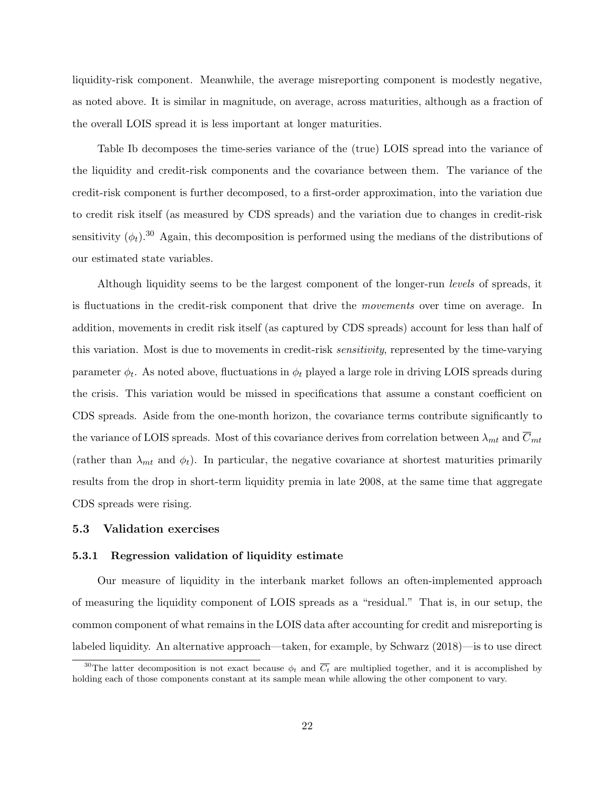liquidity-risk component. Meanwhile, the average misreporting component is modestly negative, as noted above. It is similar in magnitude, on average, across maturities, although as a fraction of the overall LOIS spread it is less important at longer maturities.

Table Ib decomposes the time-series variance of the (true) LOIS spread into the variance of the liquidity and credit-risk components and the covariance between them. The variance of the credit-risk component is further decomposed, to a first-order approximation, into the variation due to credit risk itself (as measured by CDS spreads) and the variation due to changes in credit-risk sensitivity  $(\phi_t)$ .<sup>30</sup> Again, this decomposition is performed using the medians of the distributions of our estimated state variables.

Although liquidity seems to be the largest component of the longer-run levels of spreads, it is fluctuations in the credit-risk component that drive the movements over time on average. In addition, movements in credit risk itself (as captured by CDS spreads) account for less than half of this variation. Most is due to movements in credit-risk sensitivity, represented by the time-varying parameter  $\phi_t$ . As noted above, fluctuations in  $\phi_t$  played a large role in driving LOIS spreads during the crisis. This variation would be missed in specifications that assume a constant coefficient on CDS spreads. Aside from the one-month horizon, the covariance terms contribute significantly to the variance of LOIS spreads. Most of this covariance derives from correlation between  $\lambda_{mt}$  and  $C_{mt}$ (rather than  $\lambda_{mt}$  and  $\phi_t$ ). In particular, the negative covariance at shortest maturities primarily results from the drop in short-term liquidity premia in late 2008, at the same time that aggregate CDS spreads were rising.

#### 5.3 Validation exercises

#### 5.3.1 Regression validation of liquidity estimate

Our measure of liquidity in the interbank market follows an often-implemented approach of measuring the liquidity component of LOIS spreads as a "residual." That is, in our setup, the common component of what remains in the LOIS data after accounting for credit and misreporting is labeled liquidity. An alternative approach—taken, for example, by Schwarz (2018)—is to use direct

<sup>&</sup>lt;sup>30</sup>The latter decomposition is not exact because  $\phi_t$  and  $\overline{C_t}$  are multiplied together, and it is accomplished by holding each of those components constant at its sample mean while allowing the other component to vary.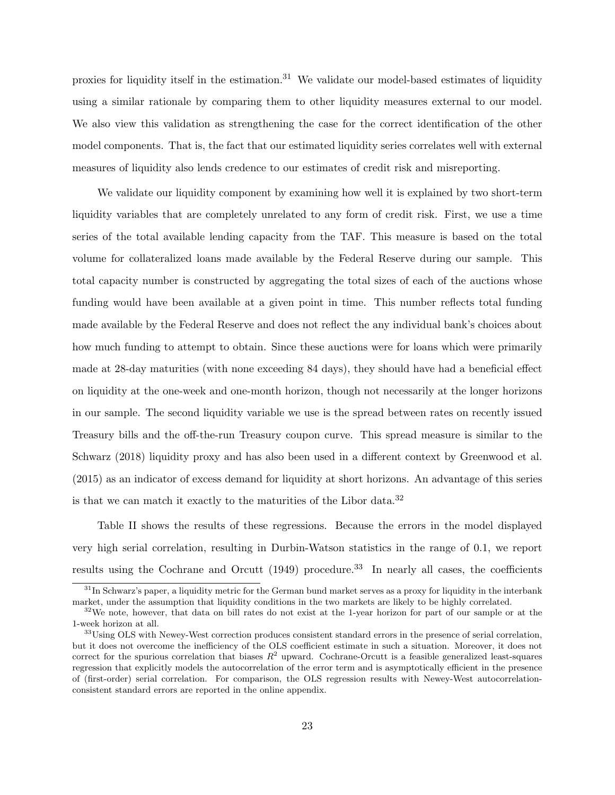proxies for liquidity itself in the estimation.<sup>31</sup> We validate our model-based estimates of liquidity using a similar rationale by comparing them to other liquidity measures external to our model. We also view this validation as strengthening the case for the correct identification of the other model components. That is, the fact that our estimated liquidity series correlates well with external measures of liquidity also lends credence to our estimates of credit risk and misreporting.

We validate our liquidity component by examining how well it is explained by two short-term liquidity variables that are completely unrelated to any form of credit risk. First, we use a time series of the total available lending capacity from the TAF. This measure is based on the total volume for collateralized loans made available by the Federal Reserve during our sample. This total capacity number is constructed by aggregating the total sizes of each of the auctions whose funding would have been available at a given point in time. This number reflects total funding made available by the Federal Reserve and does not reflect the any individual bank's choices about how much funding to attempt to obtain. Since these auctions were for loans which were primarily made at 28-day maturities (with none exceeding 84 days), they should have had a beneficial effect on liquidity at the one-week and one-month horizon, though not necessarily at the longer horizons in our sample. The second liquidity variable we use is the spread between rates on recently issued Treasury bills and the off-the-run Treasury coupon curve. This spread measure is similar to the Schwarz (2018) liquidity proxy and has also been used in a different context by Greenwood et al. (2015) as an indicator of excess demand for liquidity at short horizons. An advantage of this series is that we can match it exactly to the maturities of the Libor data.<sup>32</sup>

Table II shows the results of these regressions. Because the errors in the model displayed very high serial correlation, resulting in Durbin-Watson statistics in the range of 0.1, we report results using the Cochrane and Orcutt  $(1949)$  procedure.<sup>33</sup> In nearly all cases, the coefficients

 $31$ In Schwarz's paper, a liquidity metric for the German bund market serves as a proxy for liquidity in the interbank market, under the assumption that liquidity conditions in the two markets are likely to be highly correlated.

 $32$ We note, however, that data on bill rates do not exist at the 1-year horizon for part of our sample or at the 1-week horizon at all.

<sup>&</sup>lt;sup>33</sup>Using OLS with Newey-West correction produces consistent standard errors in the presence of serial correlation, but it does not overcome the inefficiency of the OLS coefficient estimate in such a situation. Moreover, it does not correct for the spurious correlation that biases  $R^2$  upward. Cochrane-Orcutt is a feasible generalized least-squares regression that explicitly models the autocorrelation of the error term and is asymptotically efficient in the presence of (first-order) serial correlation. For comparison, the OLS regression results with Newey-West autocorrelationconsistent standard errors are reported in the online appendix.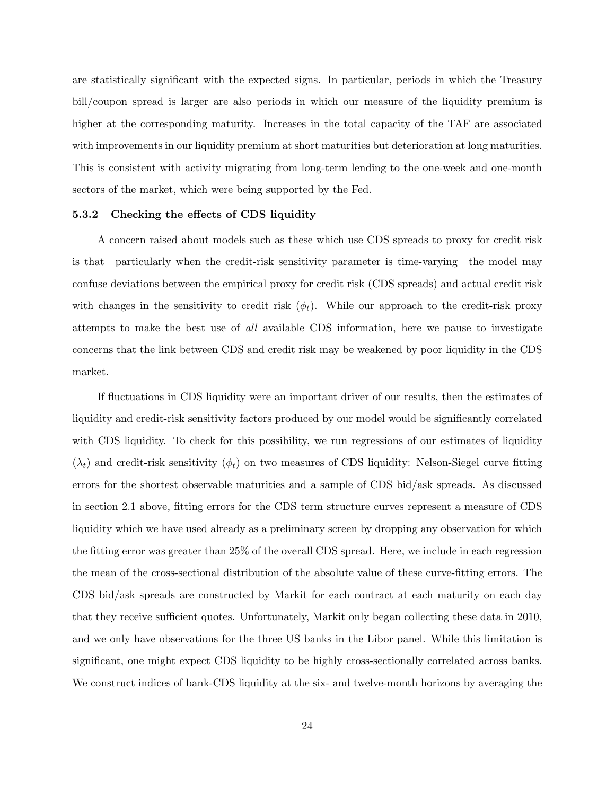are statistically significant with the expected signs. In particular, periods in which the Treasury bill/coupon spread is larger are also periods in which our measure of the liquidity premium is higher at the corresponding maturity. Increases in the total capacity of the TAF are associated with improvements in our liquidity premium at short maturities but deterioration at long maturities. This is consistent with activity migrating from long-term lending to the one-week and one-month sectors of the market, which were being supported by the Fed.

#### 5.3.2 Checking the effects of CDS liquidity

A concern raised about models such as these which use CDS spreads to proxy for credit risk is that—particularly when the credit-risk sensitivity parameter is time-varying—the model may confuse deviations between the empirical proxy for credit risk (CDS spreads) and actual credit risk with changes in the sensitivity to credit risk  $(\phi_t)$ . While our approach to the credit-risk proxy attempts to make the best use of all available CDS information, here we pause to investigate concerns that the link between CDS and credit risk may be weakened by poor liquidity in the CDS market.

If fluctuations in CDS liquidity were an important driver of our results, then the estimates of liquidity and credit-risk sensitivity factors produced by our model would be significantly correlated with CDS liquidity. To check for this possibility, we run regressions of our estimates of liquidity  $(\lambda_t)$  and credit-risk sensitivity  $(\phi_t)$  on two measures of CDS liquidity: Nelson-Siegel curve fitting errors for the shortest observable maturities and a sample of CDS bid/ask spreads. As discussed in section 2.1 above, fitting errors for the CDS term structure curves represent a measure of CDS liquidity which we have used already as a preliminary screen by dropping any observation for which the fitting error was greater than 25% of the overall CDS spread. Here, we include in each regression the mean of the cross-sectional distribution of the absolute value of these curve-fitting errors. The CDS bid/ask spreads are constructed by Markit for each contract at each maturity on each day that they receive sufficient quotes. Unfortunately, Markit only began collecting these data in 2010, and we only have observations for the three US banks in the Libor panel. While this limitation is significant, one might expect CDS liquidity to be highly cross-sectionally correlated across banks. We construct indices of bank-CDS liquidity at the six- and twelve-month horizons by averaging the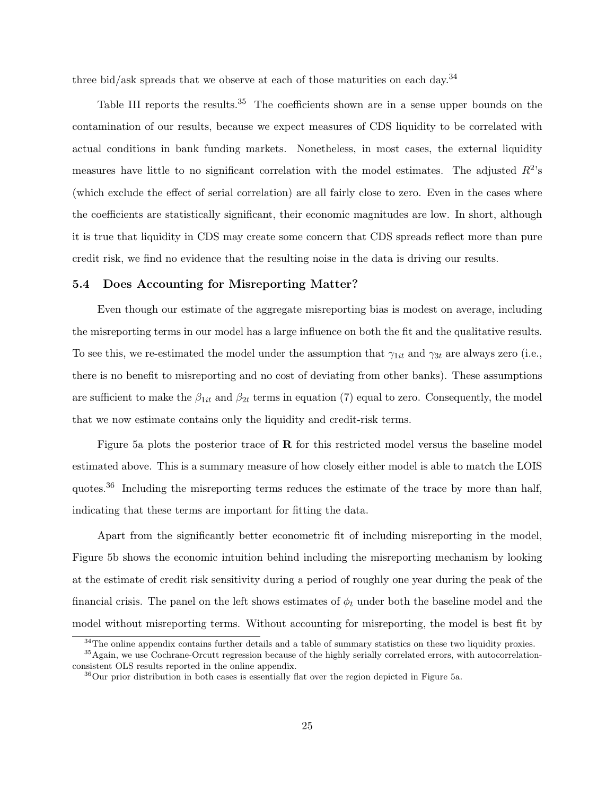three bid/ask spreads that we observe at each of those maturities on each day.<sup>34</sup>

Table III reports the results.<sup>35</sup> The coefficients shown are in a sense upper bounds on the contamination of our results, because we expect measures of CDS liquidity to be correlated with actual conditions in bank funding markets. Nonetheless, in most cases, the external liquidity measures have little to no significant correlation with the model estimates. The adjusted  $R^2$ 's (which exclude the effect of serial correlation) are all fairly close to zero. Even in the cases where the coefficients are statistically significant, their economic magnitudes are low. In short, although it is true that liquidity in CDS may create some concern that CDS spreads reflect more than pure credit risk, we find no evidence that the resulting noise in the data is driving our results.

#### 5.4 Does Accounting for Misreporting Matter?

Even though our estimate of the aggregate misreporting bias is modest on average, including the misreporting terms in our model has a large influence on both the fit and the qualitative results. To see this, we re-estimated the model under the assumption that  $\gamma_{1it}$  and  $\gamma_{3t}$  are always zero (i.e., there is no benefit to misreporting and no cost of deviating from other banks). These assumptions are sufficient to make the  $\beta_{1it}$  and  $\beta_{2t}$  terms in equation (7) equal to zero. Consequently, the model that we now estimate contains only the liquidity and credit-risk terms.

Figure 5a plots the posterior trace of  $\bf{R}$  for this restricted model versus the baseline model estimated above. This is a summary measure of how closely either model is able to match the LOIS quotes.<sup>36</sup> Including the misreporting terms reduces the estimate of the trace by more than half, indicating that these terms are important for fitting the data.

Apart from the significantly better econometric fit of including misreporting in the model, Figure 5b shows the economic intuition behind including the misreporting mechanism by looking at the estimate of credit risk sensitivity during a period of roughly one year during the peak of the financial crisis. The panel on the left shows estimates of  $\phi_t$  under both the baseline model and the model without misreporting terms. Without accounting for misreporting, the model is best fit by

 $34$ The online appendix contains further details and a table of summary statistics on these two liquidity proxies.

<sup>&</sup>lt;sup>35</sup>Again, we use Cochrane-Orcutt regression because of the highly serially correlated errors, with autocorrelationconsistent OLS results reported in the online appendix.

 $36$ Our prior distribution in both cases is essentially flat over the region depicted in Figure 5a.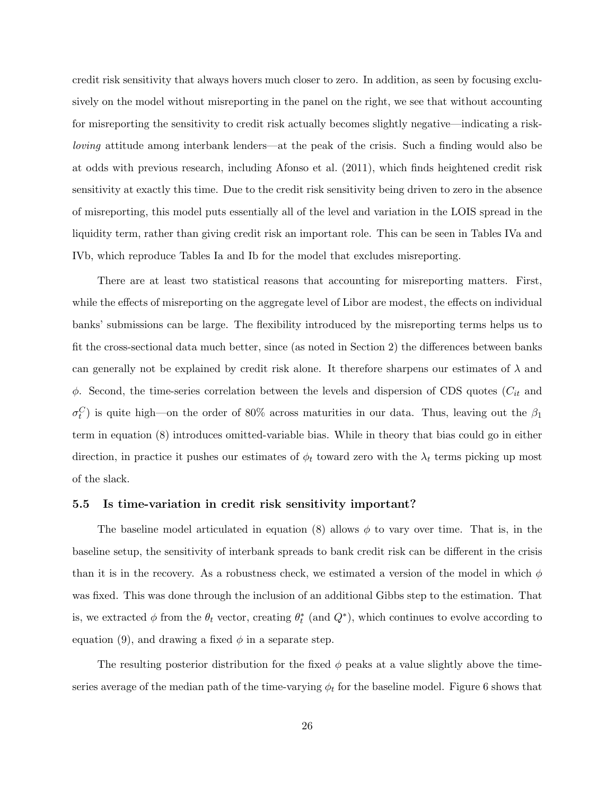credit risk sensitivity that always hovers much closer to zero. In addition, as seen by focusing exclusively on the model without misreporting in the panel on the right, we see that without accounting for misreporting the sensitivity to credit risk actually becomes slightly negative—indicating a riskloving attitude among interbank lenders—at the peak of the crisis. Such a finding would also be at odds with previous research, including Afonso et al. (2011), which finds heightened credit risk sensitivity at exactly this time. Due to the credit risk sensitivity being driven to zero in the absence of misreporting, this model puts essentially all of the level and variation in the LOIS spread in the liquidity term, rather than giving credit risk an important role. This can be seen in Tables IVa and IVb, which reproduce Tables Ia and Ib for the model that excludes misreporting.

There are at least two statistical reasons that accounting for misreporting matters. First, while the effects of misreporting on the aggregate level of Libor are modest, the effects on individual banks' submissions can be large. The flexibility introduced by the misreporting terms helps us to fit the cross-sectional data much better, since (as noted in Section 2) the differences between banks can generally not be explained by credit risk alone. It therefore sharpens our estimates of  $\lambda$  and  $\phi$ . Second, the time-series correlation between the levels and dispersion of CDS quotes ( $C_{it}$  and  $\sigma_t^C$ ) is quite high—on the order of 80% across maturities in our data. Thus, leaving out the  $\beta_1$ term in equation (8) introduces omitted-variable bias. While in theory that bias could go in either direction, in practice it pushes our estimates of  $\phi_t$  toward zero with the  $\lambda_t$  terms picking up most of the slack.

#### 5.5 Is time-variation in credit risk sensitivity important?

The baseline model articulated in equation (8) allows  $\phi$  to vary over time. That is, in the baseline setup, the sensitivity of interbank spreads to bank credit risk can be different in the crisis than it is in the recovery. As a robustness check, we estimated a version of the model in which  $\phi$ was fixed. This was done through the inclusion of an additional Gibbs step to the estimation. That is, we extracted  $\phi$  from the  $\theta_t$  vector, creating  $\theta_t^*$  (and  $Q^*$ ), which continues to evolve according to equation (9), and drawing a fixed  $\phi$  in a separate step.

The resulting posterior distribution for the fixed  $\phi$  peaks at a value slightly above the timeseries average of the median path of the time-varying  $\phi_t$  for the baseline model. Figure 6 shows that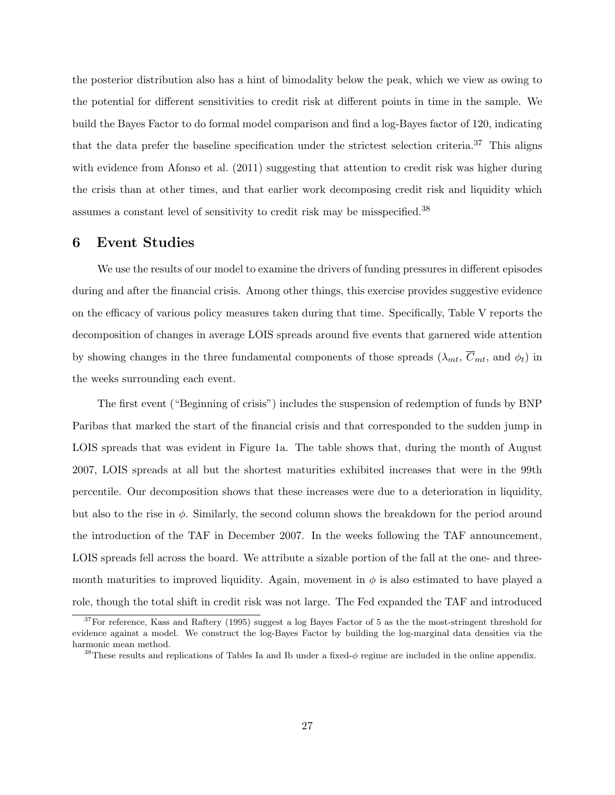the posterior distribution also has a hint of bimodality below the peak, which we view as owing to the potential for different sensitivities to credit risk at different points in time in the sample. We build the Bayes Factor to do formal model comparison and find a log-Bayes factor of 120, indicating that the data prefer the baseline specification under the strictest selection criteria.<sup>37</sup> This aligns with evidence from Afonso et al. (2011) suggesting that attention to credit risk was higher during the crisis than at other times, and that earlier work decomposing credit risk and liquidity which assumes a constant level of sensitivity to credit risk may be misspecified.<sup>38</sup>

## 6 Event Studies

We use the results of our model to examine the drivers of funding pressures in different episodes during and after the financial crisis. Among other things, this exercise provides suggestive evidence on the efficacy of various policy measures taken during that time. Specifically, Table V reports the decomposition of changes in average LOIS spreads around five events that garnered wide attention by showing changes in the three fundamental components of those spreads  $(\lambda_{mt}, C_{mt}, \text{ and } \phi_t)$  in the weeks surrounding each event.

The first event ("Beginning of crisis") includes the suspension of redemption of funds by BNP Paribas that marked the start of the financial crisis and that corresponded to the sudden jump in LOIS spreads that was evident in Figure 1a. The table shows that, during the month of August 2007, LOIS spreads at all but the shortest maturities exhibited increases that were in the 99th percentile. Our decomposition shows that these increases were due to a deterioration in liquidity, but also to the rise in  $\phi$ . Similarly, the second column shows the breakdown for the period around the introduction of the TAF in December 2007. In the weeks following the TAF announcement, LOIS spreads fell across the board. We attribute a sizable portion of the fall at the one- and threemonth maturities to improved liquidity. Again, movement in  $\phi$  is also estimated to have played a role, though the total shift in credit risk was not large. The Fed expanded the TAF and introduced

 $37$ For reference, Kass and Raftery (1995) suggest a log Bayes Factor of 5 as the the most-stringent threshold for evidence against a model. We construct the log-Bayes Factor by building the log-marginal data densities via the harmonic mean method.

<sup>&</sup>lt;sup>38</sup>These results and replications of Tables Ia and Ib under a fixed- $\phi$  regime are included in the online appendix.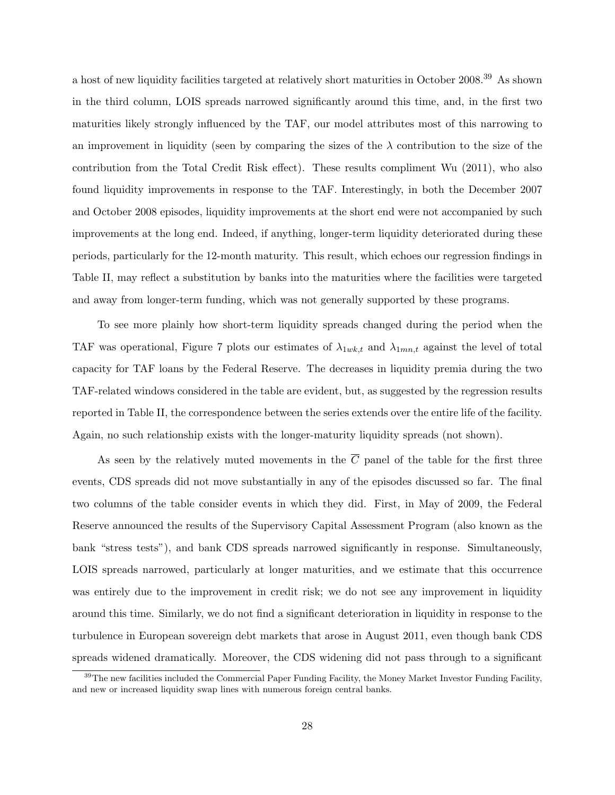a host of new liquidity facilities targeted at relatively short maturities in October 2008.<sup>39</sup> As shown in the third column, LOIS spreads narrowed significantly around this time, and, in the first two maturities likely strongly influenced by the TAF, our model attributes most of this narrowing to an improvement in liquidity (seen by comparing the sizes of the  $\lambda$  contribution to the size of the contribution from the Total Credit Risk effect). These results compliment Wu (2011), who also found liquidity improvements in response to the TAF. Interestingly, in both the December 2007 and October 2008 episodes, liquidity improvements at the short end were not accompanied by such improvements at the long end. Indeed, if anything, longer-term liquidity deteriorated during these periods, particularly for the 12-month maturity. This result, which echoes our regression findings in Table II, may reflect a substitution by banks into the maturities where the facilities were targeted and away from longer-term funding, which was not generally supported by these programs.

To see more plainly how short-term liquidity spreads changed during the period when the TAF was operational, Figure 7 plots our estimates of  $\lambda_{1wk,t}$  and  $\lambda_{1mn,t}$  against the level of total capacity for TAF loans by the Federal Reserve. The decreases in liquidity premia during the two TAF-related windows considered in the table are evident, but, as suggested by the regression results reported in Table II, the correspondence between the series extends over the entire life of the facility. Again, no such relationship exists with the longer-maturity liquidity spreads (not shown).

As seen by the relatively muted movements in the  $\overline{C}$  panel of the table for the first three events, CDS spreads did not move substantially in any of the episodes discussed so far. The final two columns of the table consider events in which they did. First, in May of 2009, the Federal Reserve announced the results of the Supervisory Capital Assessment Program (also known as the bank "stress tests"), and bank CDS spreads narrowed significantly in response. Simultaneously, LOIS spreads narrowed, particularly at longer maturities, and we estimate that this occurrence was entirely due to the improvement in credit risk; we do not see any improvement in liquidity around this time. Similarly, we do not find a significant deterioration in liquidity in response to the turbulence in European sovereign debt markets that arose in August 2011, even though bank CDS spreads widened dramatically. Moreover, the CDS widening did not pass through to a significant

<sup>&</sup>lt;sup>39</sup>The new facilities included the Commercial Paper Funding Facility, the Money Market Investor Funding Facility, and new or increased liquidity swap lines with numerous foreign central banks.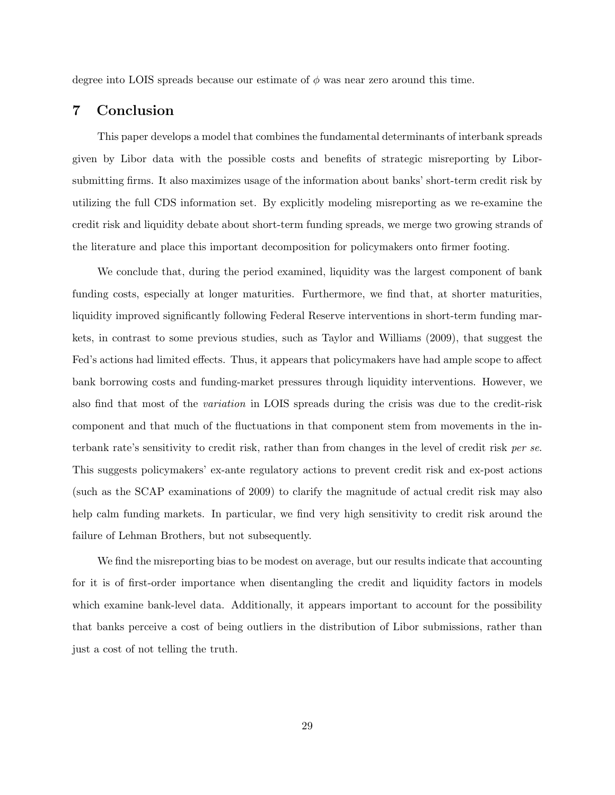degree into LOIS spreads because our estimate of  $\phi$  was near zero around this time.

## 7 Conclusion

This paper develops a model that combines the fundamental determinants of interbank spreads given by Libor data with the possible costs and benefits of strategic misreporting by Liborsubmitting firms. It also maximizes usage of the information about banks' short-term credit risk by utilizing the full CDS information set. By explicitly modeling misreporting as we re-examine the credit risk and liquidity debate about short-term funding spreads, we merge two growing strands of the literature and place this important decomposition for policymakers onto firmer footing.

We conclude that, during the period examined, liquidity was the largest component of bank funding costs, especially at longer maturities. Furthermore, we find that, at shorter maturities, liquidity improved significantly following Federal Reserve interventions in short-term funding markets, in contrast to some previous studies, such as Taylor and Williams (2009), that suggest the Fed's actions had limited effects. Thus, it appears that policymakers have had ample scope to affect bank borrowing costs and funding-market pressures through liquidity interventions. However, we also find that most of the variation in LOIS spreads during the crisis was due to the credit-risk component and that much of the fluctuations in that component stem from movements in the interbank rate's sensitivity to credit risk, rather than from changes in the level of credit risk per se. This suggests policymakers' ex-ante regulatory actions to prevent credit risk and ex-post actions (such as the SCAP examinations of 2009) to clarify the magnitude of actual credit risk may also help calm funding markets. In particular, we find very high sensitivity to credit risk around the failure of Lehman Brothers, but not subsequently.

We find the misreporting bias to be modest on average, but our results indicate that accounting for it is of first-order importance when disentangling the credit and liquidity factors in models which examine bank-level data. Additionally, it appears important to account for the possibility that banks perceive a cost of being outliers in the distribution of Libor submissions, rather than just a cost of not telling the truth.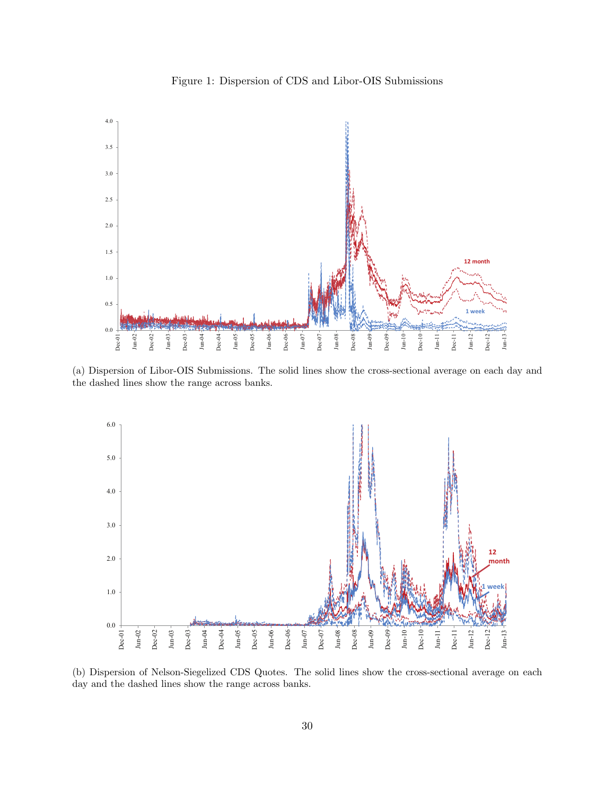



(a) Dispersion of Libor-OIS Submissions. The solid lines show the cross-sectional average on each day and the dashed lines show the range across banks.



(b) Dispersion of Nelson-Siegelized CDS Quotes. The solid lines show the cross-sectional average on each day and the dashed lines show the range across banks.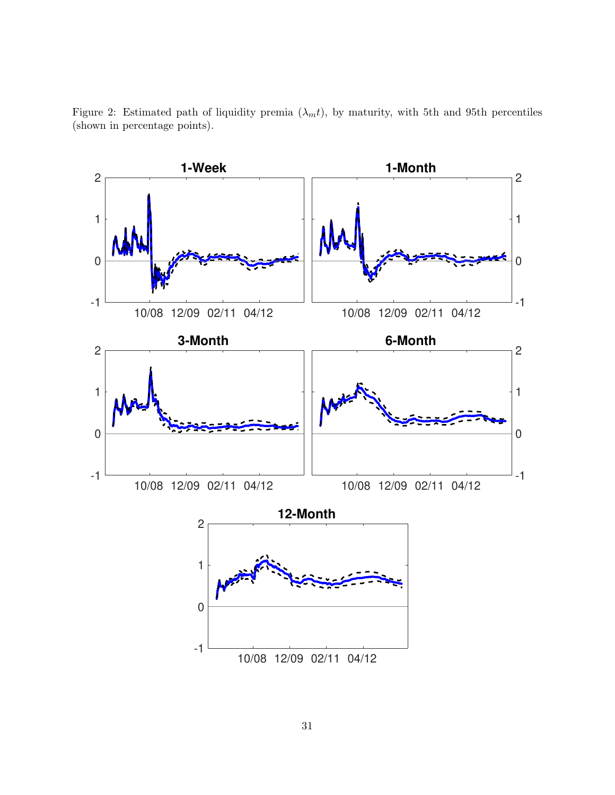

Figure 2: Estimated path of liquidity premia  $(\lambda_m t)$ , by maturity, with 5th and 95th percentiles (shown in percentage points).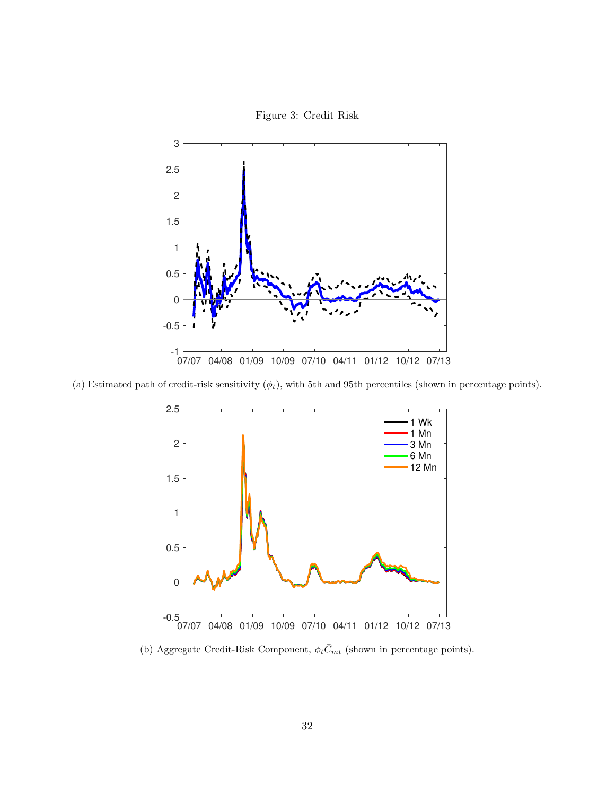

(a) Estimated path of credit-risk sensitivity  $(\phi_t)$ , with 5th and 95th percentiles (shown in percentage points).



(b) Aggregate Credit-Risk Component,  $\phi_t \bar{C}_{mt}$  (shown in percentage points).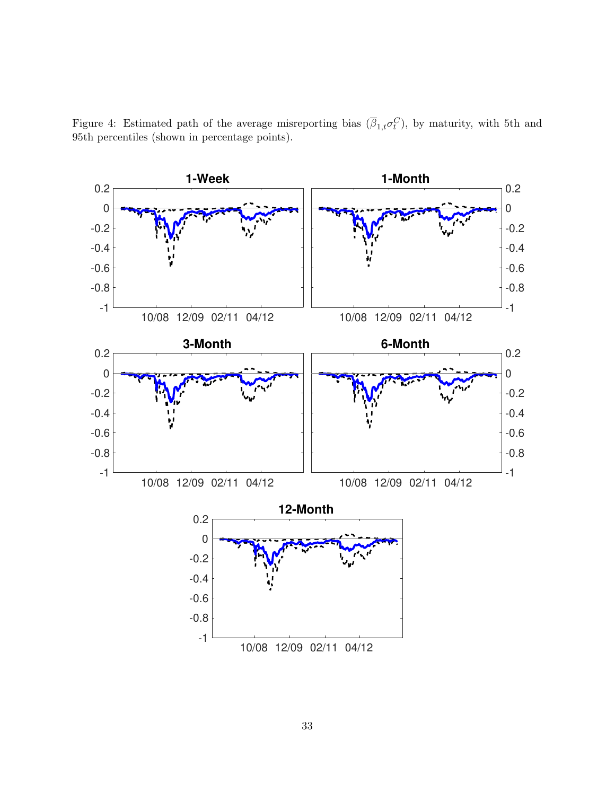Figure 4: Estimated path of the average misreporting bias  $(\overline{\beta}_{1,t}\sigma_t^C)$ , by maturity, with 5th and 95th percentiles (shown in percentage points).

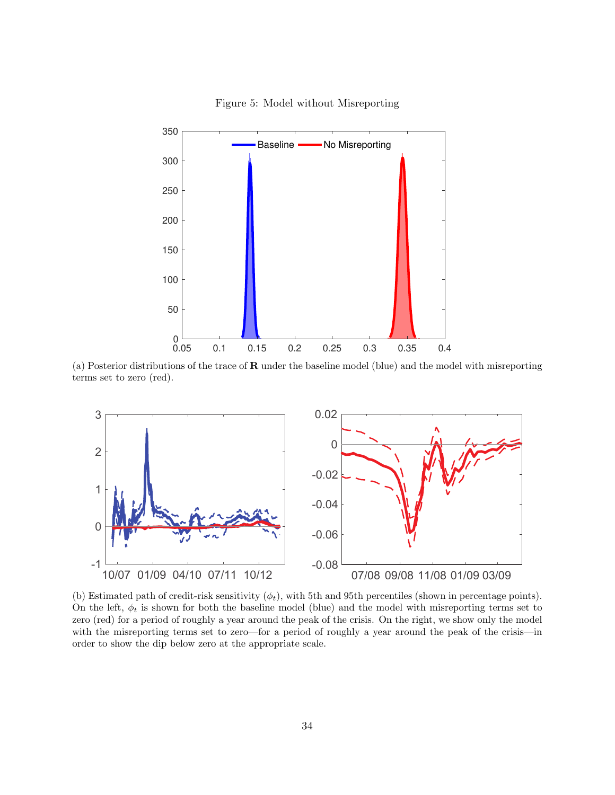

Figure 5: Model without Misreporting

(a) Posterior distributions of the trace of  **under the baseline model (blue) and the model with misreporting** terms set to zero (red).



(b) Estimated path of credit-risk sensitivity  $(\phi_t)$ , with 5th and 95th percentiles (shown in percentage points). On the left,  $\phi_t$  is shown for both the baseline model (blue) and the model with misreporting terms set to zero (red) for a period of roughly a year around the peak of the crisis. On the right, we show only the model with the misreporting terms set to zero—for a period of roughly a year around the peak of the crisis—in order to show the dip below zero at the appropriate scale.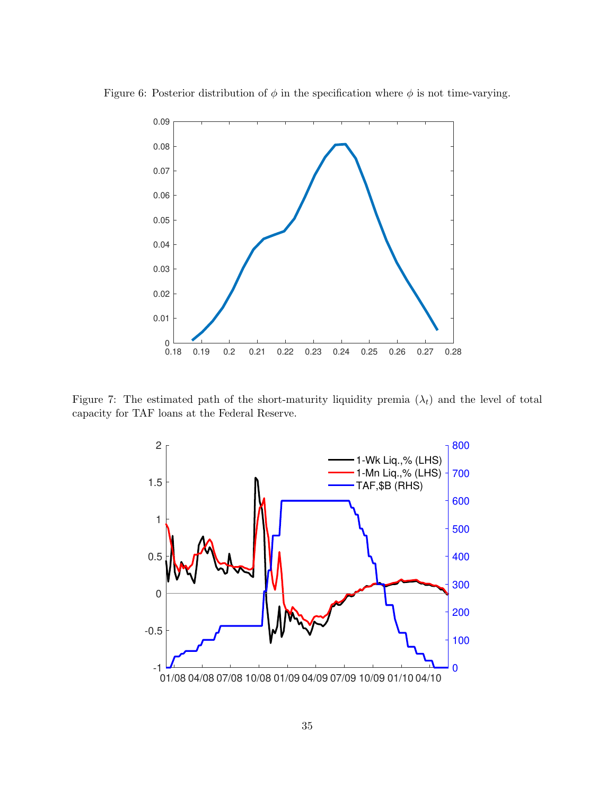

Figure 6: Posterior distribution of  $\phi$  in the specification where  $\phi$  is not time-varying.

Figure 7: The estimated path of the short-maturity liquidity premia  $(\lambda_t)$  and the level of total capacity for TAF loans at the Federal Reserve.

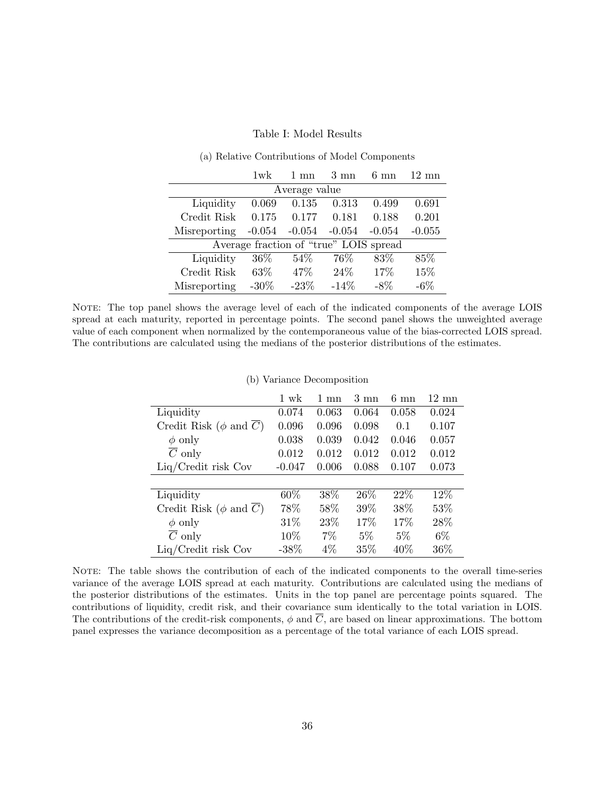#### Table I: Model Results

|              | 1 wk     | $1 \text{ mm}$ | $3 \text{ mm}$                         | $6 \text{ mm}$ | $12 \text{ mm}$ |
|--------------|----------|----------------|----------------------------------------|----------------|-----------------|
|              |          | Average value  |                                        |                |                 |
| Liquidity    | 0.069    | 0.135          | 0.313                                  | 0.499          | 0.691           |
| Credit Risk  | 0.175    | 0.177          | 0.181                                  | 0.188          | 0.201           |
| Misreporting | $-0.054$ | $-0.054$       | $-0.054$                               | $-0.054$       | $-0.055$        |
|              |          |                | Average fraction of "true" LOIS spread |                |                 |
| Liquidity    | 36\%     | 54%            | 76%                                    | 83%            | 85%             |
| Credit Risk  | 63\%     | 47\%           | $24\%$                                 | 17%            | 15%             |
| Misreporting | $-30\%$  | $-23%$         | $-14%$                                 | $-8\%$         | $-6\%$          |

#### (a) Relative Contributions of Model Components

NOTE: The top panel shows the average level of each of the indicated components of the average LOIS spread at each maturity, reported in percentage points. The second panel shows the unweighted average value of each component when normalized by the contemporaneous value of the bias-corrected LOIS spread. The contributions are calculated using the medians of the posterior distributions of the estimates.

| (b) Variance Decomposition |  |
|----------------------------|--|

|                             | 1 wk     | $1 \text{ mm}$ | $3 \text{ mm}$ | $6 \text{ mm}$ | $12 \text{ mn}$ |
|-----------------------------|----------|----------------|----------------|----------------|-----------------|
| Liquidity                   | 0.074    | 0.063          | 0.064          | 0.058          | 0.024           |
| Credit Risk ( $\phi$ and C) | 0.096    | 0.096          | 0.098          | 0.1            | 0.107           |
| $\phi$ only                 | 0.038    | 0.039          | 0.042          | 0.046          | 0.057           |
| $\overline{C}$ only         | 0.012    | 0.012          | 0.012          | 0.012          | 0.012           |
| $Liq/Credit$ risk Cov       | $-0.047$ | 0.006          | 0.088          | 0.107          | 0.073           |
|                             |          |                |                |                |                 |
| Liquidity                   | 60%      | 38%            | 26\%           | 22\%           | 12%             |
| Credit Risk ( $\phi$ and C) | 78%      | 58%            | 39%            | 38%            | 53%             |
| $\phi$ only                 | 31%      | 23%            | 17%            | 17%            | 28\%            |
| $\overline{C}$ only         | 10%      | $7\%$          | $5\%$          | $5\%$          | $6\%$           |
| $Liq/Credit$ risk Cov       | $-38%$   | $4\%$          | 35%            | 40\%           | 36\%            |

NOTE: The table shows the contribution of each of the indicated components to the overall time-series variance of the average LOIS spread at each maturity. Contributions are calculated using the medians of the posterior distributions of the estimates. Units in the top panel are percentage points squared. The contributions of liquidity, credit risk, and their covariance sum identically to the total variation in LOIS. The contributions of the credit-risk components,  $\phi$  and  $\overline{C}$ , are based on linear approximations. The bottom panel expresses the variance decomposition as a percentage of the total variance of each LOIS spread.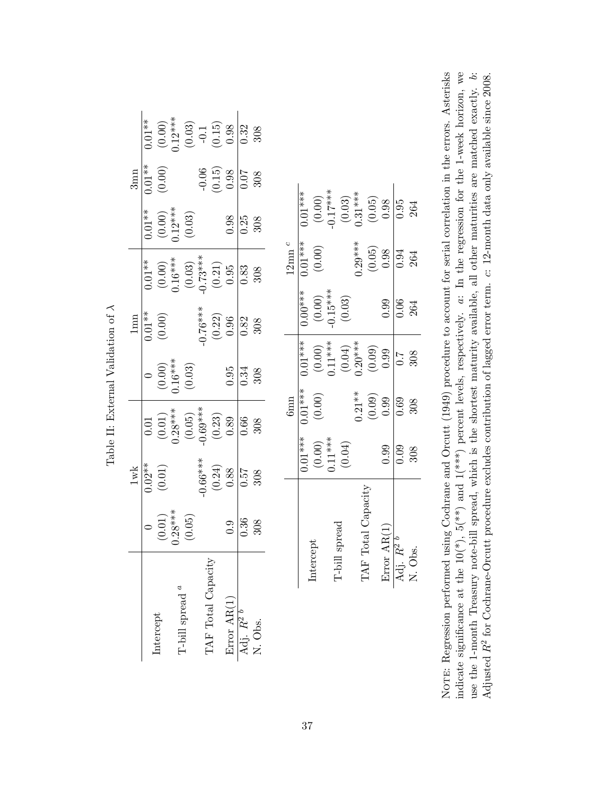|                                |                     |                         |                                               |                                                           | Table II: External Validation of $\lambda$  |                                               |                                               |                                                 |                                                        |                                                                                                   |
|--------------------------------|---------------------|-------------------------|-----------------------------------------------|-----------------------------------------------------------|---------------------------------------------|-----------------------------------------------|-----------------------------------------------|-------------------------------------------------|--------------------------------------------------------|---------------------------------------------------------------------------------------------------|
|                                |                     | $1\mathrm{w}\mathrm{k}$ |                                               |                                                           |                                             | $1 \text{mm}$                                 |                                               |                                                 | $3$ mn                                                 |                                                                                                   |
|                                |                     | $0.02**$                | $0.01\,$                                      |                                                           |                                             | $0.01**$                                      | $0.01**$                                      | $0.01**$                                        | $0.01**$                                               | $0.01**$                                                                                          |
| Intercept                      |                     | $(0.01)$                |                                               |                                                           |                                             | $(0.00)$                                      |                                               |                                                 | $(0.00)$                                               |                                                                                                   |
|                                | $(0.01)$<br>0.28*** |                         | $(0.01)$<br>0.28***                           |                                                           | $(0.00)$<br>0.16***                         |                                               | $(0.00)$<br>0.16***                           | $(0.00)$<br>0.12***                             |                                                        |                                                                                                   |
| T-bill spread $\real^a$        | (0.05)              |                         | $(0.05)$<br>$-0.69***$                        |                                                           | (0.03)                                      |                                               | $(0.03)$<br>$-0.73***$<br>$(0.21)$<br>$(0.95$ | $\left(0.03\right)$                             |                                                        | $\begin{array}{c} (0.00) \\ 0.12^{***} \\ (0.03) \\ -0.1 \\ (0.15) \\ (0.15) \\ 0.98 \end{array}$ |
|                                |                     | $-0.66***$              |                                               |                                                           |                                             | $4***9.76$                                    |                                               |                                                 |                                                        |                                                                                                   |
| TAF Total Capacity             |                     | (0.24)                  | $\begin{array}{c} (0.23) \\ 0.89 \end{array}$ |                                                           |                                             | $\begin{array}{c} (0.22) \\ 0.96 \end{array}$ |                                               |                                                 | $\begin{array}{c} -0.06 \\ (0.15) \\ 0.98 \end{array}$ |                                                                                                   |
| Error AR(1)                    | 0.9                 | 0.88                    |                                               |                                                           | 0.95                                        |                                               |                                               | 0.98                                            |                                                        |                                                                                                   |
| Adj. $R^2$ <sup><i>b</i></sup> | 0.36                | 757                     | 0.66                                          |                                                           | 0.34                                        | 0.82                                          | 0.83                                          | 0.25                                            | 0.07                                                   | 0.32                                                                                              |
| N. Obs.                        | 308                 | 308                     | 308                                           |                                                           | 308                                         | 308                                           | 308                                           | 308                                             | 308                                                    | 308                                                                                               |
|                                |                     |                         |                                               |                                                           |                                             |                                               |                                               |                                                 |                                                        |                                                                                                   |
|                                |                     |                         |                                               | $6$ mn                                                    |                                             |                                               | $12$ mn $^c$                                  |                                                 |                                                        |                                                                                                   |
|                                |                     |                         | $0.01***$                                     | $0.01***$                                                 | $0.01***$                                   | $0.00***$                                     | $0.01***$                                     | $0.01***$                                       |                                                        |                                                                                                   |
| Intercept                      |                     |                         |                                               | (0.00)                                                    |                                             |                                               | $(0.00)$                                      |                                                 |                                                        |                                                                                                   |
|                                |                     |                         |                                               |                                                           |                                             | $(0.00)$<br>-0.15***                          |                                               |                                                 |                                                        |                                                                                                   |
| T-bill                         | spread              |                         | $(0.00)$<br>$0.11***$<br>$(0.04)$             |                                                           | $(0.00)$<br>0.11***<br>$(0.04)$<br>$(0.04)$ | (0.03)                                        |                                               | $(0.00)$<br>$-0.17***$<br>$(0.03)$<br>$0.31***$ |                                                        |                                                                                                   |
| TAF                            |                     |                         |                                               |                                                           |                                             |                                               | $0.29***$                                     |                                                 |                                                        |                                                                                                   |
|                                | Total Capacity      |                         |                                               | $\begin{array}{c} 0.21** \\ (0.09) \\ (0.99) \end{array}$ | (0.09)                                      |                                               | $\begin{array}{c} (0.05) \\ 0.98 \end{array}$ | $\begin{array}{c} (0.05) \\ 0.98 \end{array}$   |                                                        |                                                                                                   |
| Error                          | AR(1)               |                         | 0.99                                          |                                                           | 0.99                                        | 0.99                                          |                                               |                                                 |                                                        |                                                                                                   |

NOTE: Regression performed using Cochrane and Orcutt (1949) procedure to account for serial correlation in the errors. Asterisks indicate significance at the  $10(*)$ ,  $5(*)$  and  $1(***)$  percent levels, respectively.  $a:$  In the regression for the 1-week horizon, we use the 1-month Treasury note-bill spread, which is the shortest maturity available, all other maturities are matched exactly. b: Adjusted  $R^2$  for Cochrane-Orcutt procedure excludes contribution of lagged error term.  $c: 12$ -month data only available since 2008. NOTE: Regression performed using Cochrane and Orcutt (1949) procedure to account for serial correlation in the errors. Asterisks indicate significance at the  $10(*)$ ,  $5(*)$  and  $1(*)**$  percent levels, respectively.  $a:$  In the regression for the 1-week horizon, we use the 1-month Treasury note-bill spread, which is the shortest maturity available, all other maturities are matched exactly. b: Adjusted  $R^2$  for Cochrane-Orcutt procedure excludes contribution of lagged error term. c: 12-month data only available since 2008.

Error AR(1)  $\boxed{0.99 \quad 0.99 \quad 0.99 \quad 0.98 \quad 0.98}$ Adj.  $R^2$   $b$   $\Big|$  0.09 0.69 0.7  $\Big|$  0.06 0.94 0.95 N. Obs. 308 308 308 264 264 264

0.99  $\frac{1}{0.09}$ 308

Error AR(1)  $\overline{\mathrm{Adj.}}\ \overline{R^2}^{\,b}$ N. Obs.

308  $\overline{\overline{6}}$ 

 $\frac{1}{0.69}$ 

 $0.99$  $\frac{6}{10}$ 264

 $\sqrt{0.95}$ 264

 $\sqrt{0.94}$ 264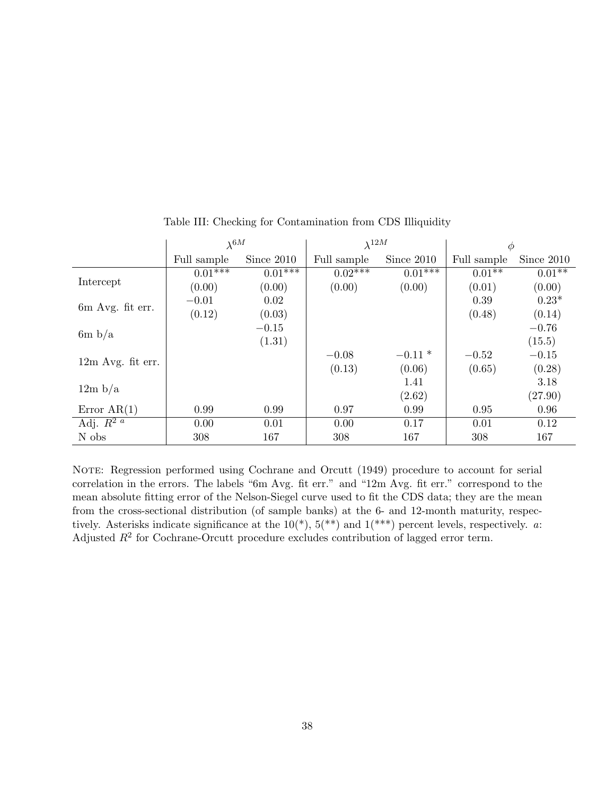|                          | $\lambda^{6M}$ |            | $\lambda^{12M}$ |            | $\phi$      |            |
|--------------------------|----------------|------------|-----------------|------------|-------------|------------|
|                          | Full sample    | Since 2010 | Full sample     | Since 2010 | Full sample | Since 2010 |
|                          | $0.01***$      | $0.01***$  | $0.02***$       | $0.01***$  | $0.01**$    | $0.01**$   |
| Intercept                | (0.00)         | (0.00)     | (0.00)          | (0.00)     | (0.01)      | (0.00)     |
| 6m Avg. fit err.         | $-0.01$        | 0.02       |                 |            | 0.39        | $0.23*$    |
|                          | (0.12)         | (0.03)     |                 |            | (0.48)      | (0.14)     |
| 6m b/a                   |                | $-0.15$    |                 |            |             | $-0.76$    |
|                          |                | (1.31)     |                 |            |             | (15.5)     |
|                          |                |            | $-0.08$         | $-0.11*$   | $-0.52$     | $-0.15$    |
| $12m$ Avg. fit err.      |                |            | (0.13)          | (0.06)     | (0.65)      | (0.28)     |
|                          |                |            |                 | 1.41       |             | 3.18       |
| 12m b/a                  |                |            |                 | (2.62)     |             | (27.90)    |
| Error $AR(1)$            | 0.99           | 0.99       | 0.97            | 0.99       | 0.95        | 0.96       |
| Adj. $\overline{R^{2}a}$ | 0.00           | 0.01       | 0.00            | 0.17       | 0.01        | 0.12       |
| N obs                    | 308            | 167        | 308             | 167        | 308         | 167        |

Table III: Checking for Contamination from CDS Illiquidity

NOTE: Regression performed using Cochrane and Orcutt (1949) procedure to account for serial correlation in the errors. The labels "6m Avg. fit err." and "12m Avg. fit err." correspond to the mean absolute fitting error of the Nelson-Siegel curve used to fit the CDS data; they are the mean from the cross-sectional distribution (of sample banks) at the 6- and 12-month maturity, respectively. Asterisks indicate significance at the  $10(*)$ ,  $5(*)$  and  $1(*)$  percent levels, respectively. a: Adjusted  $R^2$  for Cochrane-Orcutt procedure excludes contribution of lagged error term.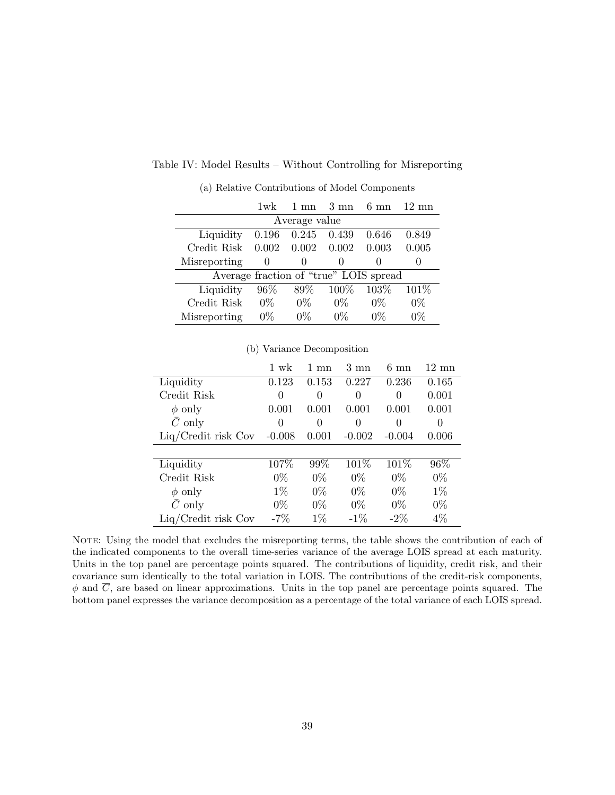|                   | $1$ wk | $1 \text{ mm}$   | $3 \text{ mm}$                         | $6 \text{ mm}$ | $12 \text{ mm}$ |
|-------------------|--------|------------------|----------------------------------------|----------------|-----------------|
|                   |        | Average value    |                                        |                |                 |
| Liquidity         | 0.196  | $\,0.245\,$      | 0.439                                  | 0.646          | 0.849           |
| Credit Risk 0.002 |        | 0.002            | 0.002                                  | 0.003          | 0.005           |
| Misreporting      |        | $\left( \right)$ | $\mathbf{0}$                           |                |                 |
|                   |        |                  | Average fraction of "true" LOIS spread |                |                 |
| Liquidity         | 96\%   | 89%              | 100%                                   | 103\%          | 101\%           |
| Credit Risk       | $0\%$  | $0\%$            | $0\%$                                  | $0\%$          | $0\%$           |
| Misreporting      | 0%     | 0%               | 0%                                     |                | 0%              |

## Table IV: Model Results – Without Controlling for Misreporting

(a) Relative Contributions of Model Components

|                       | 1 wk     | 1.<br>mn | $3 \text{ mn}$ | $6 \text{ mn}$ | $12 \text{ mn}$ |
|-----------------------|----------|----------|----------------|----------------|-----------------|
| Liquidity             | 0.123    | 0.153    | 0.227          | 0.236          | 0.165           |
| Credit Risk           | $\Omega$ | 0        | 0              | 0              | 0.001           |
| $\phi$ only           | 0.001    | 0.001    | 0.001          | 0.001          | 0.001           |
| $\bar{C}$ only        | 0        | 0        | 0              | $\theta$       | 0               |
| $Liq/Credit$ risk Cov | $-0.008$ | 0.001    | $-0.002$       | $-0.004$       | 0.006           |
|                       |          |          |                |                |                 |
| Liquidity             | 107%     | 99%      | 101%           | 101%           | 96%             |
| Credit Risk           | $0\%$    | $0\%$    | $0\%$          | $0\%$          | $0\%$           |
| $\phi$ only           | $1\%$    | $0\%$    | $0\%$          | $0\%$          | $1\%$           |
| $C$ only              | $0\%$    | $0\%$    | $0\%$          | $0\%$          | $0\%$           |
| $Liq/Credit$ risk Cov | $-7%$    | $1\%$    | $-1\%$         | $-2\%$         | 4%              |

(b) Variance Decomposition

NOTE: Using the model that excludes the misreporting terms, the table shows the contribution of each of the indicated components to the overall time-series variance of the average LOIS spread at each maturity. Units in the top panel are percentage points squared. The contributions of liquidity, credit risk, and their covariance sum identically to the total variation in LOIS. The contributions of the credit-risk components,  $\phi$  and C, are based on linear approximations. Units in the top panel are percentage points squared. The bottom panel expresses the variance decomposition as a percentage of the total variance of each LOIS spread.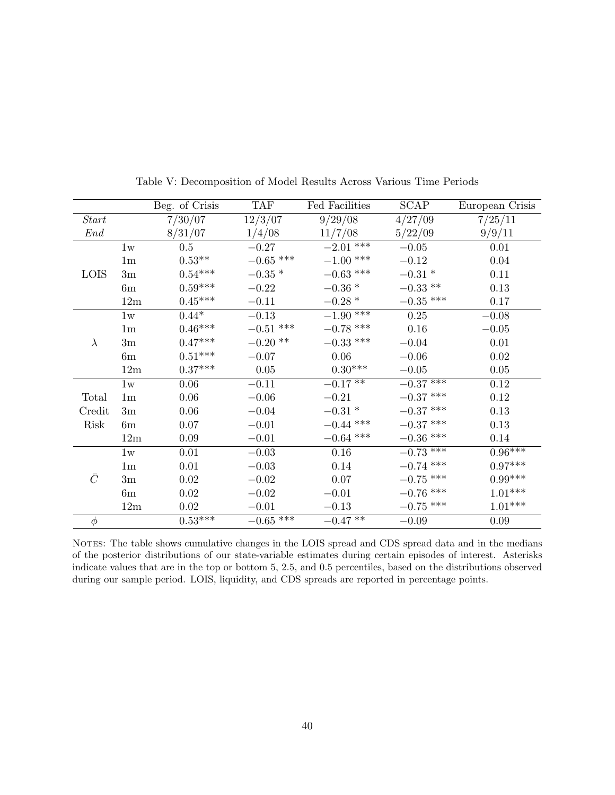|             |                | Beg. of Crisis        | <b>TAF</b>        | Fed Facilities    | <b>SCAP</b> | European Crisis       |
|-------------|----------------|-----------------------|-------------------|-------------------|-------------|-----------------------|
| Start       |                | 7/30/07               | 12/3/07           | 9/29/08           | 4/27/09     | 7/25/11               |
| End         |                | 8/31/07               | 1/4/08            | 11/7/08           | 5/22/09     | 9/9/11                |
|             | 1w             | 0.5                   | $-0.27$           | $-2.01$ ***       | $-0.05$     | 0.01                  |
|             | 1 <sub>m</sub> | $0.53^{\ast\ast}$     | $-0.65$ ***       | $-1.00$ ***       | $-0.12$     | $0.04\,$              |
| <b>LOIS</b> | 3m             | $0.54***$             | $-0.35$ $^{\ast}$ | $-0.63$ ***       | $-0.31*$    | 0.11                  |
|             | 6m             | $0.59^{\ast\ast\ast}$ | $-0.22$           | $-0.36$ $^{\ast}$ | $-0.33$ **  | 0.13                  |
|             | 12m            | $0.45***$             | $-0.11$           | $-0.28*$          | $-0.35$ *** | 0.17                  |
|             | 1w             | $0.44*$               | $-0.13$           | $-1.90$ ***       | 0.25        | $-0.08$               |
|             | 1 <sub>m</sub> | $0.46^{\ast\ast\ast}$ | $-0.51$ ***       | $-0.78$ ***       | $0.16\,$    | $-0.05$               |
| $\lambda$   | 3m             | $0.47***$             | $-0.20$ **        | $-0.33$ ***       | $-0.04$     | 0.01                  |
|             | 6m             | $0.51***$             | $-0.07$           | 0.06              | $-0.06$     | $0.02\,$              |
|             | 12m            | $0.37***$             | 0.05              | $0.30***$         | $-0.05$     | $0.05\,$              |
|             | 1w             | 0.06                  | $-0.11$           | $-0.17**$         | $-0.37***$  | 0.12                  |
| Total       | 1 <sub>m</sub> | $0.06\,$              | $-0.06$           | $-0.21$           | $-0.37$ *** | 0.12                  |
| Credit      | 3m             | 0.06                  | $-0.04$           | $-0.31$ *         | $-0.37$ *** | 0.13                  |
| Risk        | 6m             | $0.07\,$              | $-0.01$           | $-0.44$ ***       | $-0.37$ *** | $0.13\,$              |
|             | 12m            | 0.09                  | $-0.01$           | $-0.64$ ***       | $-0.36$ *** | 0.14                  |
|             | 1w             | 0.01                  | $-0.03$           | 0.16              | $-0.73***$  | $0.96***$             |
|             | 1 <sub>m</sub> | 0.01                  | $-0.03$           | 0.14              | $-0.74$ *** | $0.97***$             |
| $\bar{C}$   | 3m             | $0.02\,$              | $-0.02$           | 0.07              | $-0.75$ *** | $0.99^{\ast\ast\ast}$ |
|             | 6m             | $0.02\,$              | $-0.02$           | $-0.01$           | $-0.76$ *** | $1.01^{***}\,$        |
|             | 12m            | $0.02\,$              | $-0.01$           | $-0.13$           | $-0.75$ *** | $1.01^{***}\,$        |
| $\phi$      |                | $0.53***$             | $-0.65***$        | $-0.47**$         | $-0.09\,$   | 0.09                  |

Table V: Decomposition of Model Results Across Various Time Periods

NOTES: The table shows cumulative changes in the LOIS spread and CDS spread data and in the medians of the posterior distributions of our state-variable estimates during certain episodes of interest. Asterisks indicate values that are in the top or bottom 5, 2.5, and 0.5 percentiles, based on the distributions observed during our sample period. LOIS, liquidity, and CDS spreads are reported in percentage points.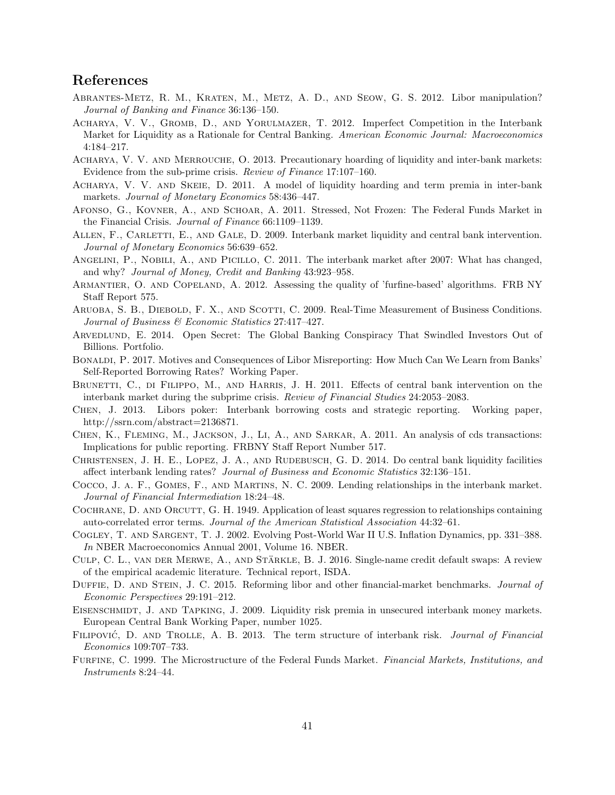## References

- Abrantes-Metz, R. M., Kraten, M., Metz, A. D., and Seow, G. S. 2012. Libor manipulation? Journal of Banking and Finance 36:136–150.
- Acharya, V. V., Gromb, D., and Yorulmazer, T. 2012. Imperfect Competition in the Interbank Market for Liquidity as a Rationale for Central Banking. American Economic Journal: Macroeconomics 4:184–217.
- ACHARYA, V. V. AND MERROUCHE, O. 2013. Precautionary hoarding of liquidity and inter-bank markets: Evidence from the sub-prime crisis. Review of Finance 17:107–160.
- Acharya, V. V. and Skeie, D. 2011. A model of liquidity hoarding and term premia in inter-bank markets. Journal of Monetary Economics 58:436–447.
- Afonso, G., Kovner, A., and Schoar, A. 2011. Stressed, Not Frozen: The Federal Funds Market in the Financial Crisis. Journal of Finance 66:1109–1139.
- ALLEN, F., CARLETTI, E., AND GALE, D. 2009. Interbank market liquidity and central bank intervention. Journal of Monetary Economics 56:639–652.
- Angelini, P., Nobili, A., and Picillo, C. 2011. The interbank market after 2007: What has changed, and why? Journal of Money, Credit and Banking 43:923–958.
- Armantier, O. and Copeland, A. 2012. Assessing the quality of 'furfine-based' algorithms. FRB NY Staff Report 575.
- ARUOBA, S. B., DIEBOLD, F. X., AND SCOTTI, C. 2009. Real-Time Measurement of Business Conditions. Journal of Business & Economic Statistics 27:417–427.
- ARVEDLUND, E. 2014. Open Secret: The Global Banking Conspiracy That Swindled Investors Out of Billions. Portfolio.
- Bonaldi, P. 2017. Motives and Consequences of Libor Misreporting: How Much Can We Learn from Banks' Self-Reported Borrowing Rates? Working Paper.
- BRUNETTI, C., DI FILIPPO, M., AND HARRIS, J. H. 2011. Effects of central bank intervention on the interbank market during the subprime crisis. Review of Financial Studies 24:2053–2083.
- Chen, J. 2013. Libors poker: Interbank borrowing costs and strategic reporting. Working paper, http://ssrn.com/abstract=2136871.
- Chen, K., Fleming, M., Jackson, J., Li, A., and Sarkar, A. 2011. An analysis of cds transactions: Implications for public reporting. FRBNY Staff Report Number 517.
- CHRISTENSEN, J. H. E., LOPEZ, J. A., AND RUDEBUSCH, G. D. 2014. Do central bank liquidity facilities affect interbank lending rates? Journal of Business and Economic Statistics 32:136–151.
- Cocco, J. a. F., Gomes, F., and Martins, N. C. 2009. Lending relationships in the interbank market. Journal of Financial Intermediation 18:24–48.
- COCHRANE, D. AND ORCUTT, G. H. 1949. Application of least squares regression to relationships containing auto-correlated error terms. Journal of the American Statistical Association 44:32–61.
- Cogley, T. and Sargent, T. J. 2002. Evolving Post-World War II U.S. Inflation Dynamics, pp. 331–388. In NBER Macroeconomics Annual 2001, Volume 16. NBER.
- CULP, C. L., VAN DER MERWE, A., AND STÄRKLE, B. J. 2016. Single-name credit default swaps: A review of the empirical academic literature. Technical report, ISDA.
- DUFFIE, D. AND STEIN, J. C. 2015. Reforming libor and other financial-market benchmarks. Journal of Economic Perspectives 29:191–212.
- EISENSCHMIDT, J. AND TAPKING, J. 2009. Liquidity risk premia in unsecured interbank money markets. European Central Bank Working Paper, number 1025.
- FILIPOVIĆ, D. AND TROLLE, A. B. 2013. The term structure of interbank risk. Journal of Financial Economics 109:707–733.
- FURFINE, C. 1999. The Microstructure of the Federal Funds Market. Financial Markets, Institutions, and Instruments 8:24–44.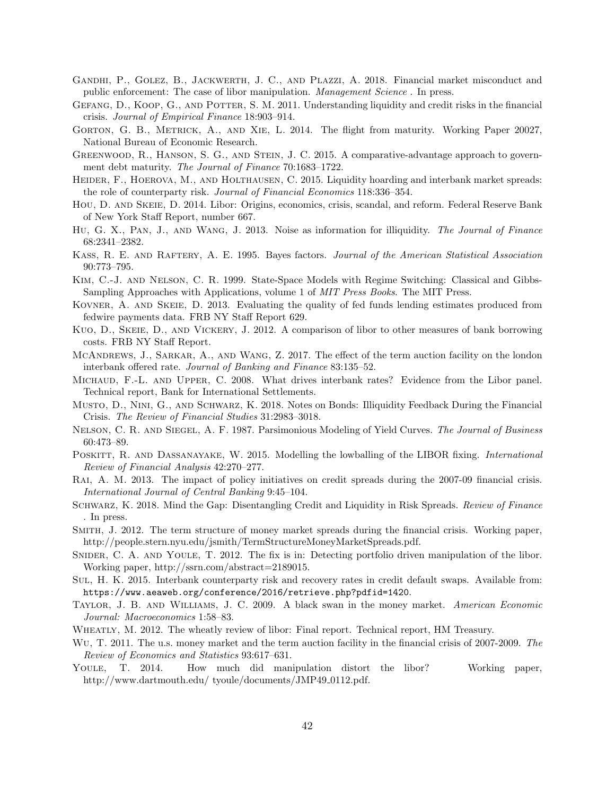- Gandhi, P., Golez, B., Jackwerth, J. C., and Plazzi, A. 2018. Financial market misconduct and public enforcement: The case of libor manipulation. Management Science . In press.
- GEFANG, D., KOOP, G., AND POTTER, S. M. 2011. Understanding liquidity and credit risks in the financial crisis. Journal of Empirical Finance 18:903–914.
- Gorton, G. B., Metrick, A., and Xie, L. 2014. The flight from maturity. Working Paper 20027, National Bureau of Economic Research.
- GREENWOOD, R., HANSON, S. G., AND STEIN, J. C. 2015. A comparative-advantage approach to government debt maturity. The Journal of Finance 70:1683–1722.
- HEIDER, F., HOEROVA, M., AND HOLTHAUSEN, C. 2015. Liquidity hoarding and interbank market spreads: the role of counterparty risk. Journal of Financial Economics 118:336–354.
- Hou, D. and Skeie, D. 2014. Libor: Origins, economics, crisis, scandal, and reform. Federal Reserve Bank of New York Staff Report, number 667.
- HU, G. X., PAN, J., AND WANG, J. 2013. Noise as information for illiquidity. The Journal of Finance 68:2341–2382.
- Kass, R. E. and Raftery, A. E. 1995. Bayes factors. Journal of the American Statistical Association 90:773–795.
- Kim, C.-J. and Nelson, C. R. 1999. State-Space Models with Regime Switching: Classical and Gibbs-Sampling Approaches with Applications, volume 1 of MIT Press Books. The MIT Press.
- Kovner, A. and Skeie, D. 2013. Evaluating the quality of fed funds lending estimates produced from fedwire payments data. FRB NY Staff Report 629.
- Kuo, D., Skeie, D., and Vickery, J. 2012. A comparison of libor to other measures of bank borrowing costs. FRB NY Staff Report.
- MCANDREWS, J., SARKAR, A., AND WANG, Z. 2017. The effect of the term auction facility on the london interbank offered rate. Journal of Banking and Finance 83:135–52.
- Michaud, F.-L. and Upper, C. 2008. What drives interbank rates? Evidence from the Libor panel. Technical report, Bank for International Settlements.
- Musto, D., Nini, G., and Schwarz, K. 2018. Notes on Bonds: Illiquidity Feedback During the Financial Crisis. The Review of Financial Studies 31:2983–3018.
- NELSON, C. R. AND SIEGEL, A. F. 1987. Parsimonious Modeling of Yield Curves. The Journal of Business 60:473–89.
- POSKITT, R. AND DASSANAYAKE, W. 2015. Modelling the lowballing of the LIBOR fixing. *International* Review of Financial Analysis 42:270–277.
- Rai, A. M. 2013. The impact of policy initiatives on credit spreads during the 2007-09 financial crisis. International Journal of Central Banking 9:45–104.
- SCHWARZ, K. 2018. Mind the Gap: Disentangling Credit and Liquidity in Risk Spreads. Review of Finance . In press.
- Smith, J. 2012. The term structure of money market spreads during the financial crisis. Working paper, http://people.stern.nyu.edu/jsmith/TermStructureMoneyMarketSpreads.pdf.
- SNIDER, C. A. AND YOULE, T. 2012. The fix is in: Detecting portfolio driven manipulation of the libor. Working paper, http://ssrn.com/abstract=2189015.
- Sul, H. K. 2015. Interbank counterparty risk and recovery rates in credit default swaps. Available from: https://www.aeaweb.org/conference/2016/retrieve.php?pdfid=1420.
- Taylor, J. B. and Williams, J. C. 2009. A black swan in the money market. American Economic Journal: Macroeconomics 1:58–83.
- WHEATLY, M. 2012. The wheatly review of libor: Final report. Technical report, HM Treasury.
- WU, T. 2011. The u.s. money market and the term auction facility in the financial crisis of 2007-2009. The Review of Economics and Statistics 93:617–631.
- Youle, T. 2014. How much did manipulation distort the libor? Working paper, http://www.dartmouth.edu/ tyoule/documents/JMP49\_0112.pdf.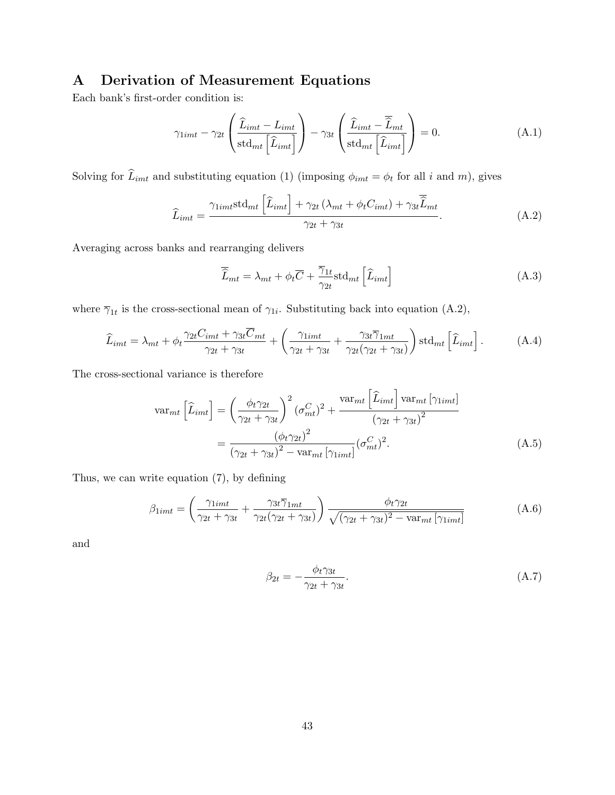# A Derivation of Measurement Equations

Each bank's first-order condition is:

$$
\gamma_{1imt} - \gamma_{2t} \left( \frac{\widehat{L}_{imt} - L_{imt}}{\text{std}_{mt} \left[ \widehat{L}_{imt} \right]} \right) - \gamma_{3t} \left( \frac{\widehat{L}_{imt} - \overline{\widehat{L}}_{mt}}{\text{std}_{mt} \left[ \widehat{L}_{imt} \right]} \right) = 0. \tag{A.1}
$$

Solving for  $\hat{L}_{imt}$  and substituting equation (1) (imposing  $\phi_{imt} = \phi_t$  for all i and m), gives

$$
\widehat{L}_{imt} = \frac{\gamma_{1imt} \text{std}_{mt} \left[ \widehat{L}_{imt} \right] + \gamma_{2t} \left( \lambda_{mt} + \phi_t C_{imt} \right) + \gamma_{3t} \overline{\widehat{L}}_{mt}}{\gamma_{2t} + \gamma_{3t}}.
$$
\n(A.2)

Averaging across banks and rearranging delivers

$$
\overline{\hat{L}}_{mt} = \lambda_{mt} + \phi_t \overline{C} + \frac{\overline{\gamma}_{1t}}{\gamma_{2t}} \text{std}_{mt} \left[ \hat{L}_{imt} \right]
$$
\n(A.3)

where  $\overline{\gamma}_{1t}$  is the cross-sectional mean of  $\gamma_{1i}$ . Substituting back into equation (A.2),

$$
\widehat{L}_{imt} = \lambda_{mt} + \phi_t \frac{\gamma_{2t} C_{imt} + \gamma_{3t} \overline{C}_{mt}}{\gamma_{2t} + \gamma_{3t}} + \left(\frac{\gamma_{1imt}}{\gamma_{2t} + \gamma_{3t}} + \frac{\gamma_{3t} \overline{\gamma}_{1mt}}{\gamma_{2t}(\gamma_{2t} + \gamma_{3t})}\right) \text{std}_{mt} \left[\widehat{L}_{imt}\right]. \tag{A.4}
$$

The cross-sectional variance is therefore

$$
\text{var}_{mt}\left[\hat{L}_{imt}\right] = \left(\frac{\phi_t \gamma_{2t}}{\gamma_{2t} + \gamma_{3t}}\right)^2 (\sigma_{mt}^C)^2 + \frac{\text{var}_{mt}\left[\hat{L}_{imt}\right] \text{var}_{mt}[\gamma_{1imt}]}{(\gamma_{2t} + \gamma_{3t})^2}
$$

$$
= \frac{(\phi_t \gamma_{2t})^2}{(\gamma_{2t} + \gamma_{3t})^2 - \text{var}_{mt}[\gamma_{1imt}]} (\sigma_{mt}^C)^2. \tag{A.5}
$$

Thus, we can write equation (7), by defining

$$
\beta_{1imt} = \left(\frac{\gamma_{1imt}}{\gamma_{2t} + \gamma_{3t}} + \frac{\gamma_{3t}\overline{\gamma}_{1mt}}{\gamma_{2t}(\gamma_{2t} + \gamma_{3t})}\right) \frac{\phi_t \gamma_{2t}}{\sqrt{(\gamma_{2t} + \gamma_{3t})^2 - \text{var}_{mt}[\gamma_{1imt}]}}
$$
(A.6)

and

$$
\beta_{2t} = -\frac{\phi_t \gamma_{3t}}{\gamma_{2t} + \gamma_{3t}}.\tag{A.7}
$$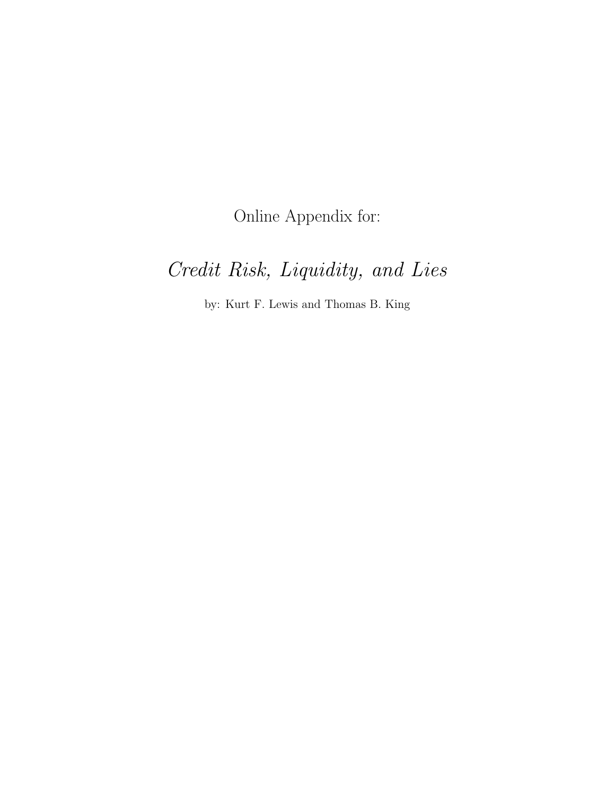Online Appendix for:

# Credit Risk, Liquidity, and Lies

by: Kurt F. Lewis and Thomas B. King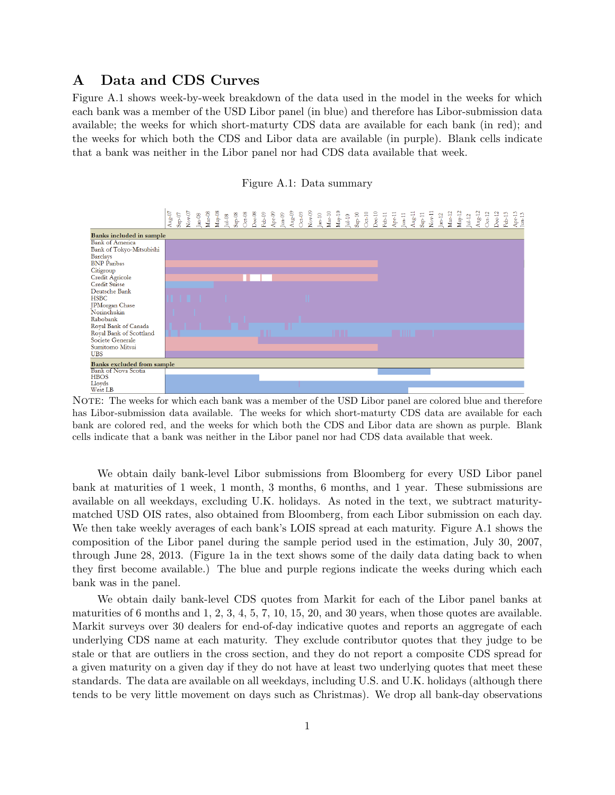## A Data and CDS Curves

Figure A.1 shows week-by-week breakdown of the data used in the model in the weeks for which each bank was a member of the USD Libor panel (in blue) and therefore has Libor-submission data available; the weeks for which short-maturty CDS data are available for each bank (in red); and the weeks for which both the CDS and Libor data are available (in purple). Blank cells indicate that a bank was neither in the Libor panel nor had CDS data available that week.





NOTE: The weeks for which each bank was a member of the USD Libor panel are colored blue and therefore has Libor-submission data available. The weeks for which short-maturty CDS data are available for each bank are colored red, and the weeks for which both the CDS and Libor data are shown as purple. Blank cells indicate that a bank was neither in the Libor panel nor had CDS data available that week.

We obtain daily bank-level Libor submissions from Bloomberg for every USD Libor panel bank at maturities of 1 week, 1 month, 3 months, 6 months, and 1 year. These submissions are available on all weekdays, excluding U.K. holidays. As noted in the text, we subtract maturitymatched USD OIS rates, also obtained from Bloomberg, from each Libor submission on each day. We then take weekly averages of each bank's LOIS spread at each maturity. Figure A.1 shows the composition of the Libor panel during the sample period used in the estimation, July 30, 2007, through June 28, 2013. (Figure 1a in the text shows some of the daily data dating back to when they first become available.) The blue and purple regions indicate the weeks during which each bank was in the panel.

We obtain daily bank-level CDS quotes from Markit for each of the Libor panel banks at maturities of 6 months and 1, 2, 3, 4, 5, 7, 10, 15, 20, and 30 years, when those quotes are available. Markit surveys over 30 dealers for end-of-day indicative quotes and reports an aggregate of each underlying CDS name at each maturity. They exclude contributor quotes that they judge to be stale or that are outliers in the cross section, and they do not report a composite CDS spread for a given maturity on a given day if they do not have at least two underlying quotes that meet these standards. The data are available on all weekdays, including U.S. and U.K. holidays (although there tends to be very little movement on days such as Christmas). We drop all bank-day observations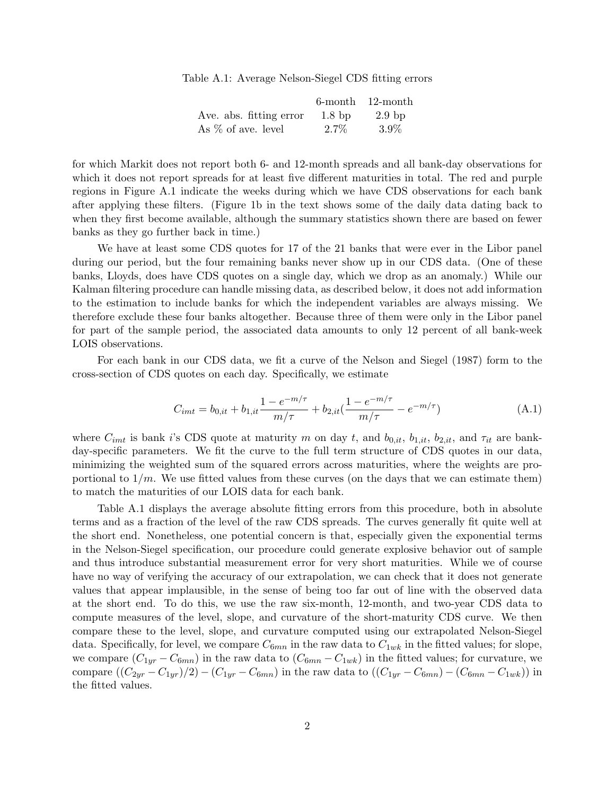Table A.1: Average Nelson-Siegel CDS fitting errors

|                         | 6-month           | – 12-month        |
|-------------------------|-------------------|-------------------|
| Ave. abs. fitting error | 1.8 <sub>bp</sub> | $2.9~\mathrm{bp}$ |
| As $\%$ of ave. level   | $2.7\%$           | $3.9\%$           |

for which Markit does not report both 6- and 12-month spreads and all bank-day observations for which it does not report spreads for at least five different maturities in total. The red and purple regions in Figure A.1 indicate the weeks during which we have CDS observations for each bank after applying these filters. (Figure 1b in the text shows some of the daily data dating back to when they first become available, although the summary statistics shown there are based on fewer banks as they go further back in time.)

We have at least some CDS quotes for 17 of the 21 banks that were ever in the Libor panel during our period, but the four remaining banks never show up in our CDS data. (One of these banks, Lloyds, does have CDS quotes on a single day, which we drop as an anomaly.) While our Kalman filtering procedure can handle missing data, as described below, it does not add information to the estimation to include banks for which the independent variables are always missing. We therefore exclude these four banks altogether. Because three of them were only in the Libor panel for part of the sample period, the associated data amounts to only 12 percent of all bank-week LOIS observations.

For each bank in our CDS data, we fit a curve of the Nelson and Siegel (1987) form to the cross-section of CDS quotes on each day. Specifically, we estimate

$$
C_{imt} = b_{0,it} + b_{1,it} \frac{1 - e^{-m/\tau}}{m/\tau} + b_{2,it} (\frac{1 - e^{-m/\tau}}{m/\tau} - e^{-m/\tau})
$$
(A.1)

where  $C_{imt}$  is bank i's CDS quote at maturity m on day t, and  $b_{0,it}$ ,  $b_{1,it}$ ,  $b_{2,it}$ , and  $\tau_{it}$  are bankday-specific parameters. We fit the curve to the full term structure of CDS quotes in our data, minimizing the weighted sum of the squared errors across maturities, where the weights are proportional to  $1/m$ . We use fitted values from these curves (on the days that we can estimate them) to match the maturities of our LOIS data for each bank.

Table A.1 displays the average absolute fitting errors from this procedure, both in absolute terms and as a fraction of the level of the raw CDS spreads. The curves generally fit quite well at the short end. Nonetheless, one potential concern is that, especially given the exponential terms in the Nelson-Siegel specification, our procedure could generate explosive behavior out of sample and thus introduce substantial measurement error for very short maturities. While we of course have no way of verifying the accuracy of our extrapolation, we can check that it does not generate values that appear implausible, in the sense of being too far out of line with the observed data at the short end. To do this, we use the raw six-month, 12-month, and two-year CDS data to compute measures of the level, slope, and curvature of the short-maturity CDS curve. We then compare these to the level, slope, and curvature computed using our extrapolated Nelson-Siegel data. Specifically, for level, we compare  $C_{6mn}$  in the raw data to  $C_{1wk}$  in the fitted values; for slope, we compare  $(C_{1yr} - C_{6mn})$  in the raw data to  $(C_{6mn} - C_{1wk})$  in the fitted values; for curvature, we compare  $((C_{2yr}-C_{1yr})/2)-(C_{1yr}-C_{6mn})$  in the raw data to  $((C_{1yr}-C_{6mn})-(C_{6mn}-C_{1wk}))$  in the fitted values.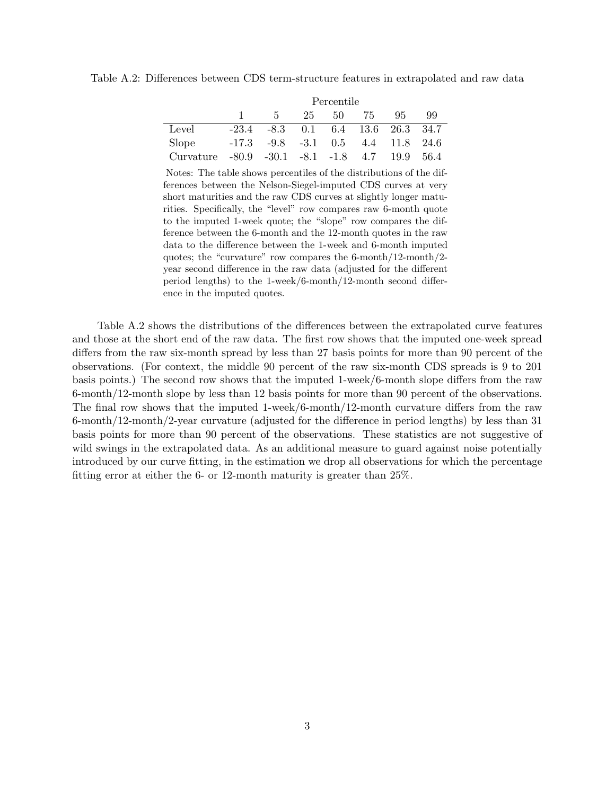Table A.2: Differences between CDS term-structure features in extrapolated and raw data

|           |                                                   |                                                 |    | Percentile |       |    |    |
|-----------|---------------------------------------------------|-------------------------------------------------|----|------------|-------|----|----|
|           |                                                   | $\frac{1}{2}$ 5                                 | 25 |            | 50 75 | 95 | 99 |
| Level     |                                                   | $-23.4$ $-8.3$ 0.1 6.4 13.6 26.3 34.7           |    |            |       |    |    |
| Slope     |                                                   | $-17.3$ $-9.8$ $-3.1$ $0.5$ $4.4$ $11.8$ $24.6$ |    |            |       |    |    |
| Curvature | $-80.9$ $-30.1$ $-8.1$ $-1.8$ $4.7$ $19.9$ $56.4$ |                                                 |    |            |       |    |    |

Notes: The table shows percentiles of the distributions of the differences between the Nelson-Siegel-imputed CDS curves at very short maturities and the raw CDS curves at slightly longer maturities. Specifically, the "level" row compares raw 6-month quote to the imputed 1-week quote; the "slope" row compares the difference between the 6-month and the 12-month quotes in the raw data to the difference between the 1-week and 6-month imputed quotes; the "curvature" row compares the 6-month/12-month/2 year second difference in the raw data (adjusted for the different period lengths) to the 1-week/6-month/12-month second difference in the imputed quotes.

Table A.2 shows the distributions of the differences between the extrapolated curve features and those at the short end of the raw data. The first row shows that the imputed one-week spread differs from the raw six-month spread by less than 27 basis points for more than 90 percent of the observations. (For context, the middle 90 percent of the raw six-month CDS spreads is 9 to 201 basis points.) The second row shows that the imputed 1-week/6-month slope differs from the raw 6-month/12-month slope by less than 12 basis points for more than 90 percent of the observations. The final row shows that the imputed 1-week/6-month/12-month curvature differs from the raw 6-month/12-month/2-year curvature (adjusted for the difference in period lengths) by less than 31 basis points for more than 90 percent of the observations. These statistics are not suggestive of wild swings in the extrapolated data. As an additional measure to guard against noise potentially introduced by our curve fitting, in the estimation we drop all observations for which the percentage fitting error at either the 6- or 12-month maturity is greater than 25%.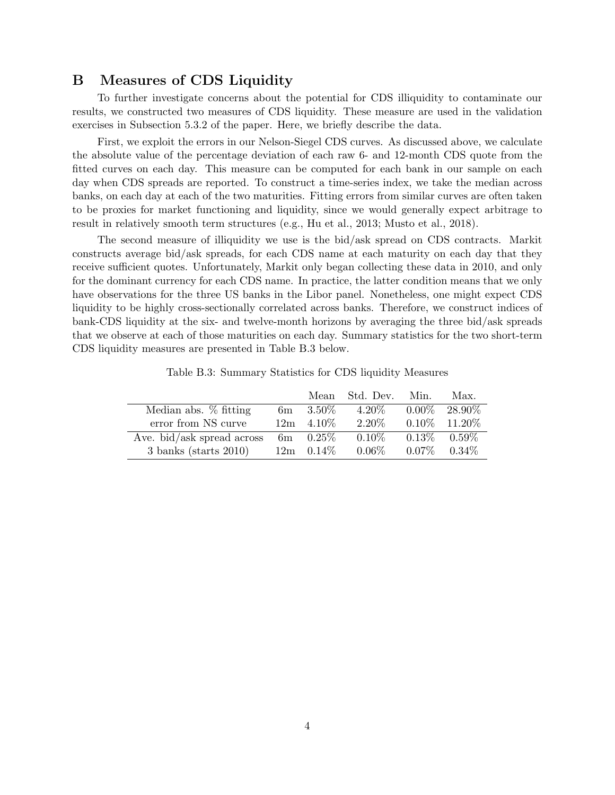## B Measures of CDS Liquidity

To further investigate concerns about the potential for CDS illiquidity to contaminate our results, we constructed two measures of CDS liquidity. These measure are used in the validation exercises in Subsection 5.3.2 of the paper. Here, we briefly describe the data.

First, we exploit the errors in our Nelson-Siegel CDS curves. As discussed above, we calculate the absolute value of the percentage deviation of each raw 6- and 12-month CDS quote from the fitted curves on each day. This measure can be computed for each bank in our sample on each day when CDS spreads are reported. To construct a time-series index, we take the median across banks, on each day at each of the two maturities. Fitting errors from similar curves are often taken to be proxies for market functioning and liquidity, since we would generally expect arbitrage to result in relatively smooth term structures (e.g., Hu et al., 2013; Musto et al., 2018).

The second measure of illiquidity we use is the bid/ask spread on CDS contracts. Markit constructs average bid/ask spreads, for each CDS name at each maturity on each day that they receive sufficient quotes. Unfortunately, Markit only began collecting these data in 2010, and only for the dominant currency for each CDS name. In practice, the latter condition means that we only have observations for the three US banks in the Libor panel. Nonetheless, one might expect CDS liquidity to be highly cross-sectionally correlated across banks. Therefore, we construct indices of bank-CDS liquidity at the six- and twelve-month horizons by averaging the three bid/ask spreads that we observe at each of those maturities on each day. Summary statistics for the two short-term CDS liquidity measures are presented in Table B.3 below.

|                            |                      | Mean Std. Dev. Min. | Max.              |
|----------------------------|----------------------|---------------------|-------------------|
| Median abs. % fitting      | 6m $3.50\%$          | $4.20\%$            | $0.00\%$ 28.90\%  |
| error from NS curve        | $12m + 4.10\%$       | $2.20\%$            | $0.10\%$ 11.20%   |
| Ave. bid/ask spread across | $6\text{m}$ $0.25\%$ | $0.10\%$            | $0.13\%$ $0.59\%$ |
| $3$ banks (starts 2010)    | $12m \quad 0.14\%$   | $0.06\%$            | $0.07\%$ 0.34\%   |

Table B.3: Summary Statistics for CDS liquidity Measures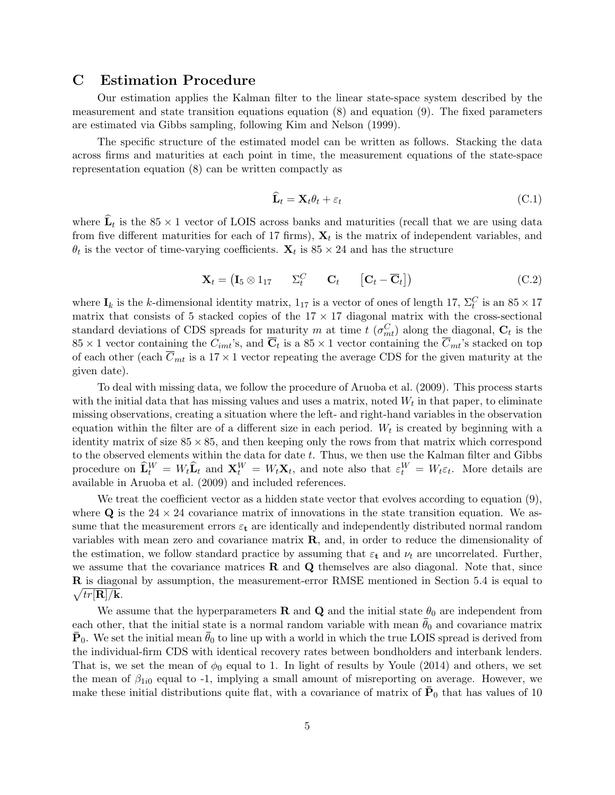## C Estimation Procedure

Our estimation applies the Kalman filter to the linear state-space system described by the measurement and state transition equations equation (8) and equation (9). The fixed parameters are estimated via Gibbs sampling, following Kim and Nelson (1999).

The specific structure of the estimated model can be written as follows. Stacking the data across firms and maturities at each point in time, the measurement equations of the state-space representation equation (8) can be written compactly as

$$
\widehat{\mathbf{L}}_t = \mathbf{X}_t \theta_t + \varepsilon_t \tag{C.1}
$$

where  $\mathbf{L}_t$  is the 85 × 1 vector of LOIS across banks and maturities (recall that we are using data from five different maturities for each of 17 firms),  $\mathbf{X}_t$  is the matrix of independent variables, and  $\theta_t$  is the vector of time-varying coefficients.  $\mathbf{X}_t$  is  $85 \times 24$  and has the structure

$$
\mathbf{X}_t = \begin{pmatrix} \mathbf{I}_5 \otimes \mathbf{1}_{17} & \Sigma_t^C & \mathbf{C}_t \end{pmatrix} \qquad \begin{bmatrix} \mathbf{C}_t - \overline{\mathbf{C}}_t \end{bmatrix}
$$
 (C.2)

where  $I_k$  is the k-dimensional identity matrix,  $1_{17}$  is a vector of ones of length 17,  $\Sigma_t^C$  is an  $85 \times 17$ matrix that consists of 5 stacked copies of the  $17 \times 17$  diagonal matrix with the cross-sectional standard deviations of CDS spreads for maturity m at time  $t(\sigma_{mt}^C)$  along the diagonal,  $C_t$  is the  $85 \times 1$  vector containing the  $C_{imt}$ 's, and  $\overline{C}_t$  is a  $85 \times 1$  vector containing the  $\overline{C}_{mt}$ 's stacked on top of each other (each  $\overline{C}_{mt}$  is a 17 × 1 vector repeating the average CDS for the given maturity at the given date).

To deal with missing data, we follow the procedure of Aruoba et al. (2009). This process starts with the initial data that has missing values and uses a matrix, noted  $W_t$  in that paper, to eliminate missing observations, creating a situation where the left- and right-hand variables in the observation equation within the filter are of a different size in each period.  $W_t$  is created by beginning with a identity matrix of size  $85 \times 85$ , and then keeping only the rows from that matrix which correspond to the observed elements within the data for date  $t$ . Thus, we then use the Kalman filter and Gibbs procedure on  $\widehat{\mathbf{L}}_t^W = W_t \widehat{\mathbf{L}}_t$  and  $\mathbf{X}_t^W = W_t \mathbf{X}_t$ , and note also that  $\varepsilon_t^W = W_t \varepsilon_t$ . More details are available in Aruoba et al. (2009) and included references.

We treat the coefficient vector as a hidden state vector that evolves according to equation  $(9)$ , where  $\bf{Q}$  is the 24  $\times$  24 covariance matrix of innovations in the state transition equation. We assume that the measurement errors  $\varepsilon_t$  are identically and independently distributed normal random variables with mean zero and covariance matrix R, and, in order to reduce the dimensionality of the estimation, we follow standard practice by assuming that  $\varepsilon_t$  and  $\nu_t$  are uncorrelated. Further, we assume that the covariance matrices  $\bf{R}$  and  $\bf{Q}$  themselves are also diagonal. Note that, since R is diagonal by assumption, the measurement-error RMSE mentioned in Section 5.4 is equal to  $\sqrt{tr[\mathbf{R}] / \mathbf{k}}$ .

We assume that the hyperparameters **R** and **Q** and the initial state  $\theta_0$  are independent from each other, that the initial state is a normal random variable with mean  $\bar{\theta}_0$  and covariance matrix  $\mathbf{P}_0$ . We set the initial mean  $\theta_0$  to line up with a world in which the true LOIS spread is derived from the individual-firm CDS with identical recovery rates between bondholders and interbank lenders. That is, we set the mean of  $\phi_0$  equal to 1. In light of results by Youle (2014) and others, we set the mean of  $\beta_{1i0}$  equal to -1, implying a small amount of misreporting on average. However, we make these initial distributions quite flat, with a covariance of matrix of  $\bar{P}_0$  that has values of 10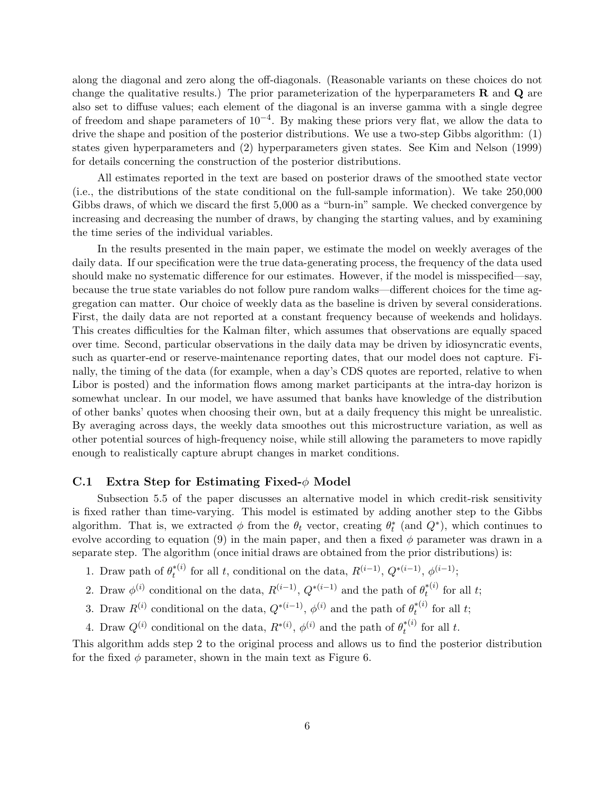along the diagonal and zero along the off-diagonals. (Reasonable variants on these choices do not change the qualitative results.) The prior parameterization of the hyperparameters  $\bf{R}$  and  $\bf{Q}$  are also set to diffuse values; each element of the diagonal is an inverse gamma with a single degree of freedom and shape parameters of  $10^{-4}$ . By making these priors very flat, we allow the data to drive the shape and position of the posterior distributions. We use a two-step Gibbs algorithm: (1) states given hyperparameters and (2) hyperparameters given states. See Kim and Nelson (1999) for details concerning the construction of the posterior distributions.

All estimates reported in the text are based on posterior draws of the smoothed state vector (i.e., the distributions of the state conditional on the full-sample information). We take 250,000 Gibbs draws, of which we discard the first 5,000 as a "burn-in" sample. We checked convergence by increasing and decreasing the number of draws, by changing the starting values, and by examining the time series of the individual variables.

In the results presented in the main paper, we estimate the model on weekly averages of the daily data. If our specification were the true data-generating process, the frequency of the data used should make no systematic difference for our estimates. However, if the model is misspecified—say, because the true state variables do not follow pure random walks—different choices for the time aggregation can matter. Our choice of weekly data as the baseline is driven by several considerations. First, the daily data are not reported at a constant frequency because of weekends and holidays. This creates difficulties for the Kalman filter, which assumes that observations are equally spaced over time. Second, particular observations in the daily data may be driven by idiosyncratic events, such as quarter-end or reserve-maintenance reporting dates, that our model does not capture. Finally, the timing of the data (for example, when a day's CDS quotes are reported, relative to when Libor is posted) and the information flows among market participants at the intra-day horizon is somewhat unclear. In our model, we have assumed that banks have knowledge of the distribution of other banks' quotes when choosing their own, but at a daily frequency this might be unrealistic. By averaging across days, the weekly data smoothes out this microstructure variation, as well as other potential sources of high-frequency noise, while still allowing the parameters to move rapidly enough to realistically capture abrupt changes in market conditions.

#### C.1 Extra Step for Estimating Fixed- $\phi$  Model

Subsection 5.5 of the paper discusses an alternative model in which credit-risk sensitivity is fixed rather than time-varying. This model is estimated by adding another step to the Gibbs algorithm. That is, we extracted  $\phi$  from the  $\theta_t$  vector, creating  $\theta_t^*$  (and  $Q^*$ ), which continues to evolve according to equation (9) in the main paper, and then a fixed  $\phi$  parameter was drawn in a separate step. The algorithm (once initial draws are obtained from the prior distributions) is:

- 1. Draw path of  $\theta_t^{*(i)}$ <sup>\*(i)</sup> for all t, conditional on the data,  $R^{(i-1)}$ ,  $Q^{*(i-1)}$ ,  $\phi^{(i-1)}$ ;
- 2. Draw  $\phi^{(i)}$  conditional on the data,  $R^{(i-1)}$ ,  $Q^{*(i-1)}$  and the path of  $\theta_t^{*(i)}$  $t^{*(i)}$  for all t;
- 3. Draw  $R^{(i)}$  conditional on the data,  $Q^{*(i-1)}$ ,  $\phi^{(i)}$  and the path of  $\theta_t^{*(i)}$  $t^{*(i)}$  for all t;
- 4. Draw  $Q^{(i)}$  conditional on the data,  $R^{*(i)}$ ,  $\phi^{(i)}$  and the path of  $\theta_t^{*(i)}$  $t^{*(t)}$  for all t.

This algorithm adds step 2 to the original process and allows us to find the posterior distribution for the fixed  $\phi$  parameter, shown in the main text as Figure 6.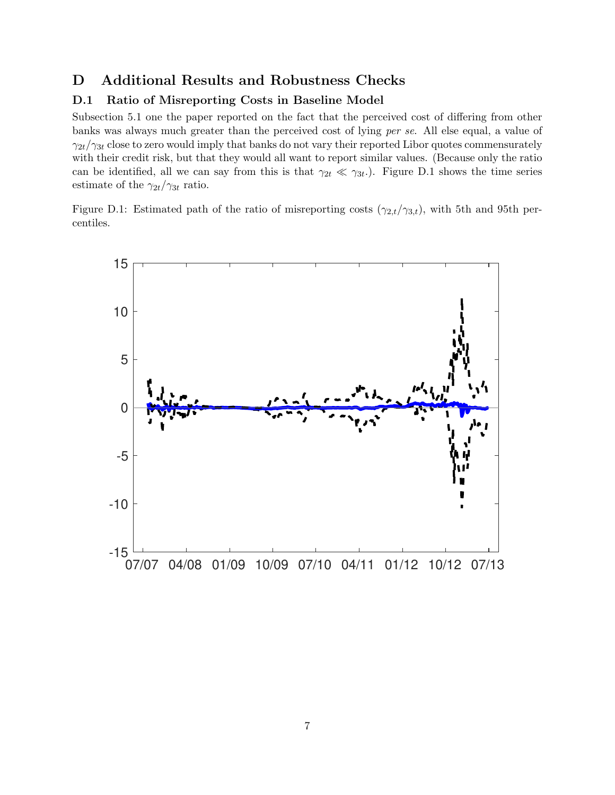## D Additional Results and Robustness Checks

## D.1 Ratio of Misreporting Costs in Baseline Model

Subsection 5.1 one the paper reported on the fact that the perceived cost of differing from other banks was always much greater than the perceived cost of lying per se. All else equal, a value of  $\gamma_{2t}/\gamma_{3t}$  close to zero would imply that banks do not vary their reported Libor quotes commensurately with their credit risk, but that they would all want to report similar values. (Because only the ratio can be identified, all we can say from this is that  $\gamma_{2t} \ll \gamma_{3t}$ . Figure D.1 shows the time series estimate of the  $\gamma_{2t}/\gamma_{3t}$  ratio.

Figure D.1: Estimated path of the ratio of misreporting costs  $(\gamma_{2,t}/\gamma_{3,t})$ , with 5th and 95th percentiles.

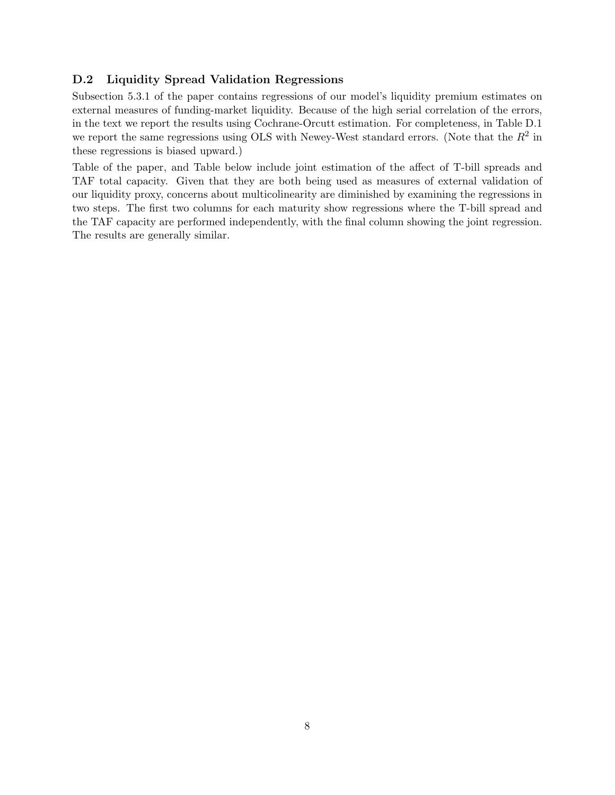## D.2 Liquidity Spread Validation Regressions

Subsection 5.3.1 of the paper contains regressions of our model's liquidity premium estimates on external measures of funding-market liquidity. Because of the high serial correlation of the errors, in the text we report the results using Cochrane-Orcutt estimation. For completeness, in Table D.1 we report the same regressions using OLS with Newey-West standard errors. (Note that the  $R^2$  in these regressions is biased upward.)

Table of the paper, and Table below include joint estimation of the affect of T-bill spreads and TAF total capacity. Given that they are both being used as measures of external validation of our liquidity proxy, concerns about multicolinearity are diminished by examining the regressions in two steps. The first two columns for each maturity show regressions where the T-bill spread and the TAF capacity are performed independently, with the final column showing the joint regression. The results are generally similar.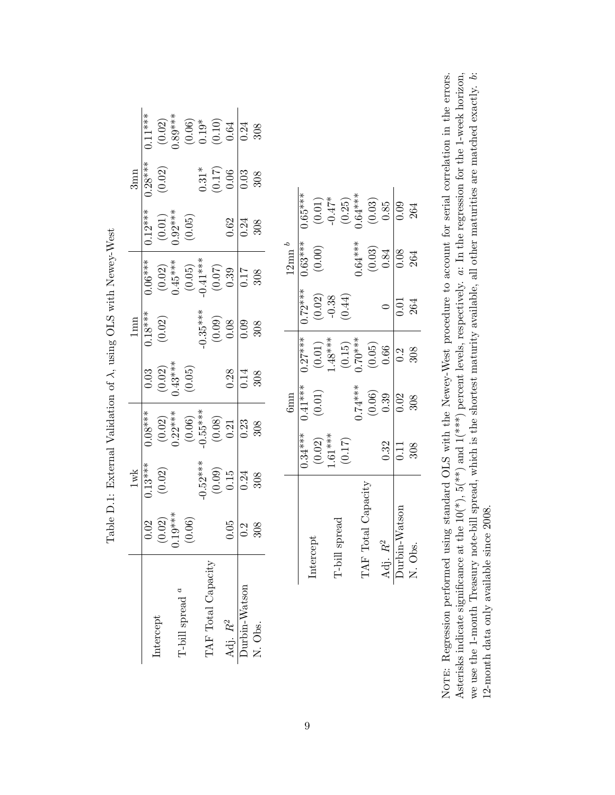|                     |                                                              |                                                           |                                              | rent reserved to the contract of the contract of the contract of the contract of the contract of the contract of the contract of the contract of the contract of the contract of the contract of the contract of the contract |                                           |                                                          |                                                                                                               |                       |                        |                                               |                                                                                                       |
|---------------------|--------------------------------------------------------------|-----------------------------------------------------------|----------------------------------------------|-------------------------------------------------------------------------------------------------------------------------------------------------------------------------------------------------------------------------------|-------------------------------------------|----------------------------------------------------------|---------------------------------------------------------------------------------------------------------------|-----------------------|------------------------|-----------------------------------------------|-------------------------------------------------------------------------------------------------------|
|                     |                                                              | $1\mathrm{wk}$                                            |                                              |                                                                                                                                                                                                                               |                                           | 1mn                                                      |                                                                                                               |                       |                        | $3$ mn                                        |                                                                                                       |
|                     | 0.02                                                         | $0.13***$                                                 | $0.08***$                                    |                                                                                                                                                                                                                               | 0.03                                      | $0.18***$                                                | $0.06***$                                                                                                     |                       | $0.12***$              | $0.28***$                                     | $0.11***$                                                                                             |
| Intercept           |                                                              | (0.02)                                                    |                                              |                                                                                                                                                                                                                               | $(0.02)$<br>0.43***                       | $(0.02)$                                                 |                                                                                                               |                       |                        | (0.02)                                        |                                                                                                       |
|                     | $(0.02)$<br>0.19***                                          |                                                           | $(0.02)$<br>0.22***                          |                                                                                                                                                                                                                               |                                           |                                                          |                                                                                                               |                       | $(0.01)$<br>0.92***    |                                               |                                                                                                       |
| T-bill spread $^a$  | (0.06)                                                       |                                                           | $(0.06)$<br>$-0.55***$<br>$(0.08)$<br>$0.21$ |                                                                                                                                                                                                                               | (0.05)                                    |                                                          | $\begin{array}{c} (0.02) \\ 0.45^{***} \\ (0.05) \\ (0.05) \\ -0.41^{***} \\ (0.07) \\ (0.07) \\ \end{array}$ |                       | (0.05)                 |                                               | $\begin{array}{c} (0.02) \\ 0.89^{***} \\ (0.06) \\ 0.19^{*} \\ (0.10) \\ (0.10) \\ 0.64 \end{array}$ |
|                     |                                                              | $-0.52***$                                                |                                              |                                                                                                                                                                                                                               |                                           | $-0.35***$                                               |                                                                                                               |                       |                        | $0.31*$                                       |                                                                                                       |
| TAF Total Capacity  |                                                              | $\left( \begin{matrix} 0.09 \\ 0.15 \end{matrix} \right)$ |                                              |                                                                                                                                                                                                                               |                                           | $\begin{array}{c} 0.09 \\ 0.08 \end{array}$              |                                                                                                               |                       |                        | $\begin{array}{c} (0.17) \\ 0.06 \end{array}$ |                                                                                                       |
| Adj. $\mathbb{R}^2$ | 0.05                                                         |                                                           |                                              |                                                                                                                                                                                                                               | 0.28                                      |                                                          |                                                                                                               |                       | 0.62                   |                                               |                                                                                                       |
| Durbin-Watson       | 0.2                                                          | 0.24                                                      | 0.23                                         |                                                                                                                                                                                                                               | 0.14                                      | 0.09                                                     | 0.17                                                                                                          |                       | 0.24                   | 0.03                                          | 0.24                                                                                                  |
| N. Obs.             | 308                                                          | 308                                                       | 308                                          |                                                                                                                                                                                                                               | 308                                       | 308                                                      | 308                                                                                                           |                       | 308                    | 308                                           | 308                                                                                                   |
|                     |                                                              |                                                           |                                              |                                                                                                                                                                                                                               |                                           |                                                          |                                                                                                               |                       |                        |                                               |                                                                                                       |
|                     |                                                              |                                                           |                                              | $6$ mn                                                                                                                                                                                                                        |                                           |                                                          |                                                                                                               | $12 \mathrm{nm}$ $^b$ |                        |                                               |                                                                                                       |
|                     |                                                              |                                                           | $0.34***$                                    | $0.41***$                                                                                                                                                                                                                     | $0.27***$                                 | $0.72***$                                                |                                                                                                               | $0.63***$             | $0.65***$              |                                               |                                                                                                       |
| Intercept           |                                                              |                                                           | $(0.02)$ $1.61***$ $(0.17)$                  | $\left( 0.01\right)$                                                                                                                                                                                                          |                                           | $\begin{array}{c} (0.02) \\ -0.38 \\ (0.44) \end{array}$ |                                                                                                               | $(0.00)$              | $(0.01)$ $^{+24.7\,*}$ |                                               |                                                                                                       |
| $T$ -bill           |                                                              |                                                           |                                              |                                                                                                                                                                                                                               |                                           |                                                          |                                                                                                               |                       |                        |                                               |                                                                                                       |
|                     | l spread                                                     |                                                           |                                              |                                                                                                                                                                                                                               | $(0.01)$<br>1.48***<br>(0.15)<br>(0.70*** |                                                          |                                                                                                               |                       | $(0.25)$<br>0.64***    |                                               |                                                                                                       |
| F<br>F<br>F         | $\begin{array}{c} \n\ddots \\ \phantom{\ddots}\n\end{array}$ |                                                           |                                              | $0.74***$                                                                                                                                                                                                                     |                                           |                                                          |                                                                                                               | $0.64***$             |                        |                                               |                                                                                                       |

Table D.1: External Validation of A using OLS with Newey-West Table D.1: External Validation of λ, using OLS with Newey-West

Asterisks indicate significance at the  $10(*)$ ,  $5(**)$  and  $1(***)$  percent levels, respectively.  $a:$  In the regression for the 1-week horizon, we use the 1-month Treasury note-bill spread, which is the shortest maturity available, all other maturities are matched exactly. b: NOTE: Regression performed using standard OLS with the Newey-West procedure to account for serial correlation in the errors. Asterisks indicate significance at the  $10(*)$ ,  $5(*)$  and  $1(*)$  percent levels, respectively.  $a:$  In the regression for the 1-week horizon, we use the 1-month Treasury note-bill spread, which is the shortest maturity available, all other maturities are matched exactly. b: Norme: Regression performed using standard OLS with the Newey-West procedure to account for serial correlation in the errors. 12-month data only available since 2008. 12-month data only available since 2008.

 $TAF Total Capacity \begin{array}{|l|} \hline 0.74*** & 0.70*** & 0.64*** & 0.64*** \ \hline \end{array}$  (0.05) (0.03) (0.03) (0.03)

TAF Total Capacity

 $\begin{array}{c} (0.05) \\ 0.66 \end{array}$ 

 $(0.06)$ <br>0.39

Adj.  $R^2$   $0.32$   $0.39$   $0.66$  0  $0.84$  0.85 Durbin-Watson 0.11 0.10 0.2 0.2 0.2 0.08 0.08 N. Obs. 308 308 308 264 264 264

0.32

 $\sqrt{0.02}$ 308

Durbin-Watson

N. Obs.

Adj.  $\mathbb{R}^2$ 

308  $0.11$ 

 $(0.03)$ <br> $0.85$ <br> $0.09$ 

 $\begin{array}{c} (0.03) \\ 0.84 \end{array}$ 

 $\frac{80}{10}$ 264

264

264  $\sqrt{0.01}$  $\circ$ 

 $\frac{1}{0.2}$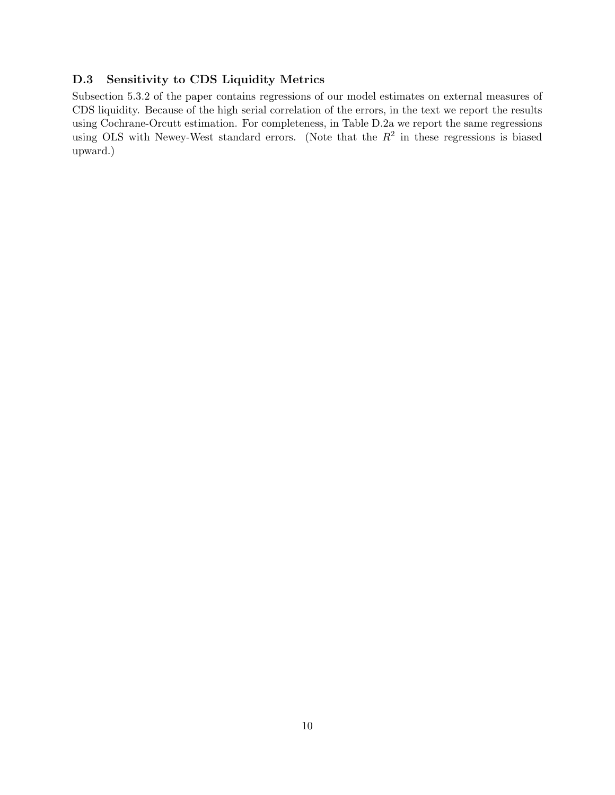## D.3 Sensitivity to CDS Liquidity Metrics

Subsection 5.3.2 of the paper contains regressions of our model estimates on external measures of CDS liquidity. Because of the high serial correlation of the errors, in the text we report the results using Cochrane-Orcutt estimation. For completeness, in Table D.2a we report the same regressions using OLS with Newey-West standard errors. (Note that the  $R^2$  in these regressions is biased upward.)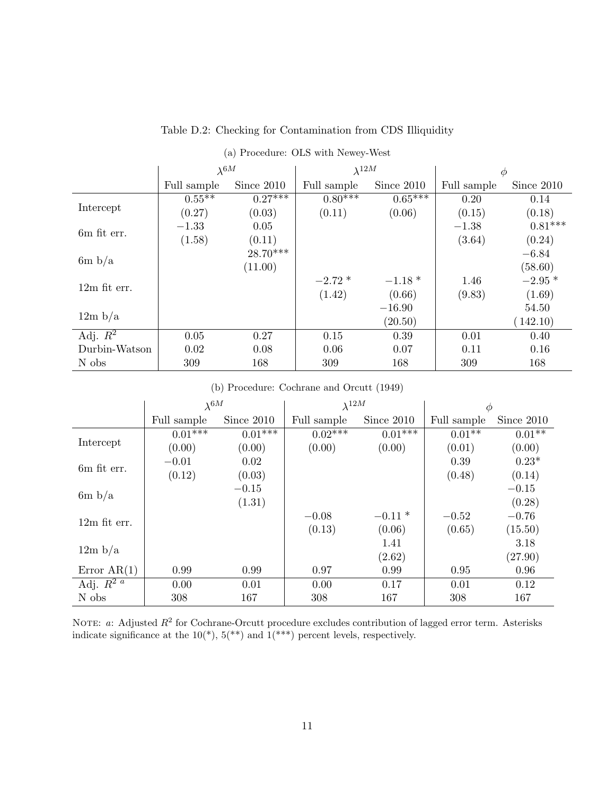|                | $\lambda^{6M}$ |            | $\lambda^{12M}$ |            | $\phi$      |            |
|----------------|----------------|------------|-----------------|------------|-------------|------------|
|                | Full sample    | Since 2010 | Full sample     | Since 2010 | Full sample | Since 2010 |
|                | $0.55**$       | $0.27***$  | $0.80***$       | $0.65***$  | 0.20        | 0.14       |
| Intercept      | (0.27)         | (0.03)     | (0.11)          | (0.06)     | (0.15)      | (0.18)     |
| 6m fit err.    | $-1.33$        | 0.05       |                 |            | $-1.38$     | $0.81***$  |
|                | (1.58)         | (0.11)     |                 |            | (3.64)      | (0.24)     |
| 6m b/a         |                | $28.70***$ |                 |            |             | $-6.84$    |
|                |                | (11.00)    |                 |            |             | (58.60)    |
| $12m$ fit err. |                |            | $-2.72*$        | $-1.18*$   | 1.46        | $-2.95*$   |
|                |                |            | (1.42)          | (0.66)     | (9.83)      | (1.69)     |
|                |                |            |                 | $-16.90$   |             | 54.50      |
| 12m b/a        |                |            |                 | (20.50)    |             | (142.10)   |
| Adj. $R^2$     | 0.05           | 0.27       | 0.15            | 0.39       | 0.01        | 0.40       |
| Durbin-Watson  | 0.02           | 0.08       | 0.06            | 0.07       | 0.11        | 0.16       |
| N obs          | 309            | 168        | 309             | 168        | 309         | 168        |

## Table D.2: Checking for Contamination from CDS Illiquidity

|  |  |  | (a) Procedure: OLS with Newey-West |  |  |  |  |
|--|--|--|------------------------------------|--|--|--|--|
|--|--|--|------------------------------------|--|--|--|--|

### (b) Procedure: Cochrane and Orcutt (1949)

|                          | $\lambda^{6M}$ |            | $\lambda^{12M}$ |            | $\phi$      |            |
|--------------------------|----------------|------------|-----------------|------------|-------------|------------|
|                          | Full sample    | Since 2010 | Full sample     | Since 2010 | Full sample | Since 2010 |
|                          | $0.01***$      | $0.01***$  | $0.02***$       | $0.01***$  | $0.01**$    | $0.01**$   |
| Intercept                | (0.00)         | (0.00)     | (0.00)          | (0.00)     | (0.01)      | (0.00)     |
| 6m fit err.              | $-0.01$        | 0.02       |                 |            | 0.39        | $0.23*$    |
|                          | (0.12)         | (0.03)     |                 |            | (0.48)      | (0.14)     |
| 6m b/a                   |                | $-0.15$    |                 |            |             | $-0.15$    |
|                          |                | (1.31)     |                 |            |             | (0.28)     |
| $12m$ fit err.           |                |            | $-0.08$         | $-0.11*$   | $-0.52$     | $-0.76$    |
|                          |                |            | (0.13)          | (0.06)     | (0.65)      | (15.50)    |
| 12m b/a                  |                |            |                 | 1.41       |             | 3.18       |
|                          |                |            |                 | (2.62)     |             | (27.90)    |
| Error $AR(1)$            | 0.99           | 0.99       | 0.97            | 0.99       | 0.95        | 0.96       |
| Adj. $\overline{R^{2}a}$ | 0.00           | 0.01       | 0.00            | 0.17       | 0.01        | 0.12       |
| N obs                    | 308            | 167        | 308             | 167        | 308         | 167        |

NOTE: a: Adjusted  $R^2$  for Cochrane-Orcutt procedure excludes contribution of lagged error term. Asterisks indicate significance at the  $10(*)$ ,  $5(**)$  and  $1(***)$  percent levels, respectively.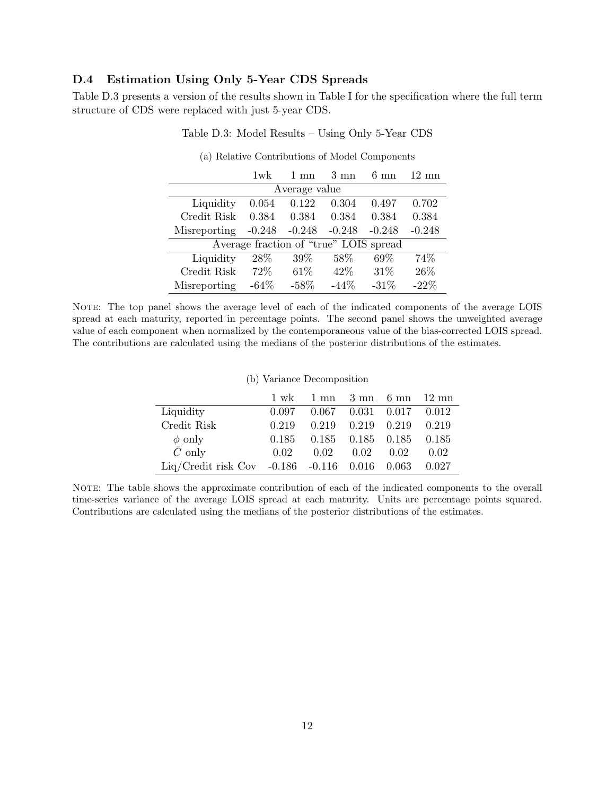#### D.4 Estimation Using Only 5-Year CDS Spreads

Table D.3 presents a version of the results shown in Table I for the specification where the full term structure of CDS were replaced with just 5-year CDS.

|              | $1$ wk   | $1 \text{ mn}$                         | $3 \text{ mm}$ | $6 \text{ mm}$ | $12 \text{ mm}$ |
|--------------|----------|----------------------------------------|----------------|----------------|-----------------|
|              |          | Average value                          |                |                |                 |
| Liquidity    | 0.054    | 0.122                                  | 0.304          | 0.497          | 0.702           |
| Credit Risk  | 0.384    | 0.384                                  | 0.384          | 0.384          | 0.384           |
| Misreporting | $-0.248$ | $-0.248$                               | $-0.248$       | $-0.248$       | $-0.248$        |
|              |          | Average fraction of "true" LOIS spread |                |                |                 |
| Liquidity    | 28\%     | $39\%$                                 | 58\%           | 69\%           | 74%             |
| Credit Risk  | 72\%     | $61\%$                                 | $42\%$         | 31\%           | 26\%            |
| Misreporting | $-64%$   | $-58%$                                 | $-44%$         | $-31%$         | $-22%$          |

(a) Relative Contributions of Model Components

Table D.3: Model Results – Using Only 5-Year CDS

NOTE: The top panel shows the average level of each of the indicated components of the average LOIS spread at each maturity, reported in percentage points. The second panel shows the unweighted average value of each component when normalized by the contemporaneous value of the bias-corrected LOIS spread. The contributions are calculated using the medians of the posterior distributions of the estimates.

|                                               | $\mathcal{O}(n)$ variance Decomposition |                                                                             |                         |                                 |       |
|-----------------------------------------------|-----------------------------------------|-----------------------------------------------------------------------------|-------------------------|---------------------------------|-------|
|                                               |                                         | $1 \text{ wk}$ $1 \text{ mm}$ $3 \text{ mm}$ $6 \text{ mm}$ $12 \text{ mm}$ |                         |                                 |       |
| Liquidity                                     | 0.097                                   | $0.067$ $0.031$ $0.017$ $0.012$                                             |                         |                                 |       |
| Credit Risk                                   | 0.219                                   |                                                                             | $0.219$ $0.219$ $0.219$ |                                 | 0.219 |
| $\phi$ only                                   | 0.185                                   |                                                                             |                         | $0.185$ $0.185$ $0.185$ $0.185$ |       |
| $\bar{C}$ only                                | 0.02                                    | 0.02                                                                        | 0.02                    | 0.02                            | 0.02  |
| Liq/Credit risk Cov -0.186 -0.116 0.016 0.063 |                                         |                                                                             |                         |                                 | 0.027 |

#### (b) Variance Decomposition

NOTE: The table shows the approximate contribution of each of the indicated components to the overall time-series variance of the average LOIS spread at each maturity. Units are percentage points squared. Contributions are calculated using the medians of the posterior distributions of the estimates.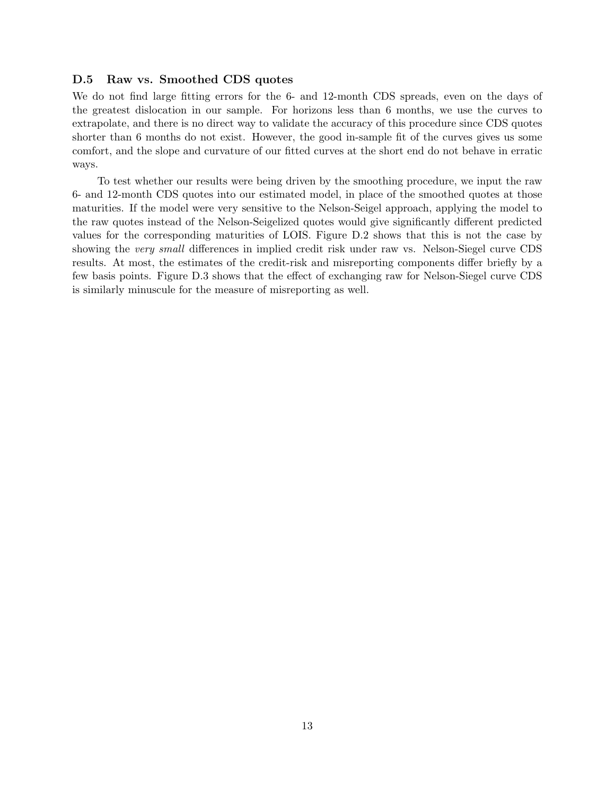## D.5 Raw vs. Smoothed CDS quotes

We do not find large fitting errors for the 6- and 12-month CDS spreads, even on the days of the greatest dislocation in our sample. For horizons less than 6 months, we use the curves to extrapolate, and there is no direct way to validate the accuracy of this procedure since CDS quotes shorter than 6 months do not exist. However, the good in-sample fit of the curves gives us some comfort, and the slope and curvature of our fitted curves at the short end do not behave in erratic ways.

To test whether our results were being driven by the smoothing procedure, we input the raw 6- and 12-month CDS quotes into our estimated model, in place of the smoothed quotes at those maturities. If the model were very sensitive to the Nelson-Seigel approach, applying the model to the raw quotes instead of the Nelson-Seigelized quotes would give significantly different predicted values for the corresponding maturities of LOIS. Figure D.2 shows that this is not the case by showing the very small differences in implied credit risk under raw vs. Nelson-Siegel curve CDS results. At most, the estimates of the credit-risk and misreporting components differ briefly by a few basis points. Figure D.3 shows that the effect of exchanging raw for Nelson-Siegel curve CDS is similarly minuscule for the measure of misreporting as well.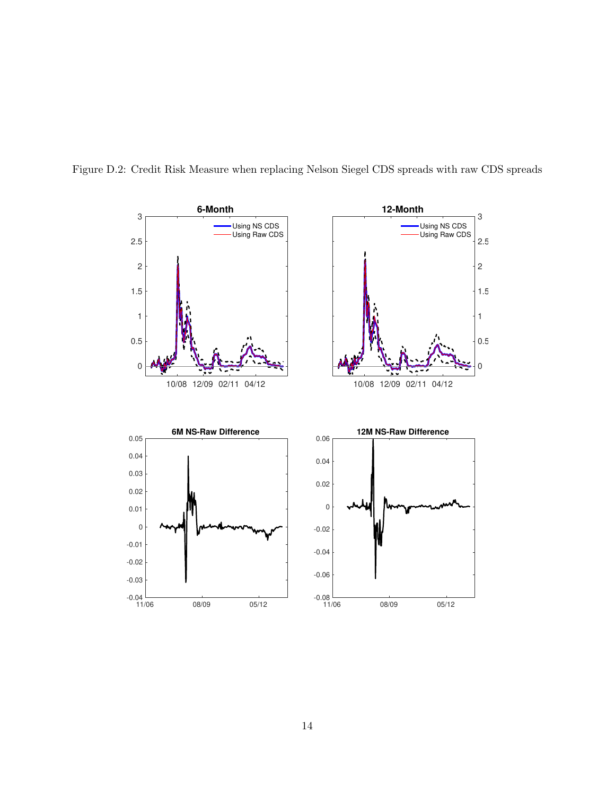

Figure D.2: Credit Risk Measure when replacing Nelson Siegel CDS spreads with raw CDS spreads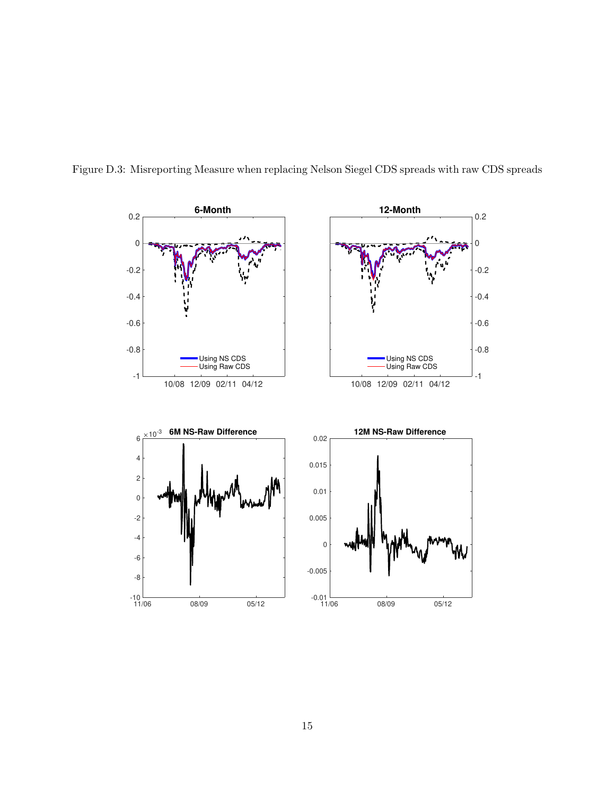

Figure D.3: Misreporting Measure when replacing Nelson Siegel CDS spreads with raw CDS spreads